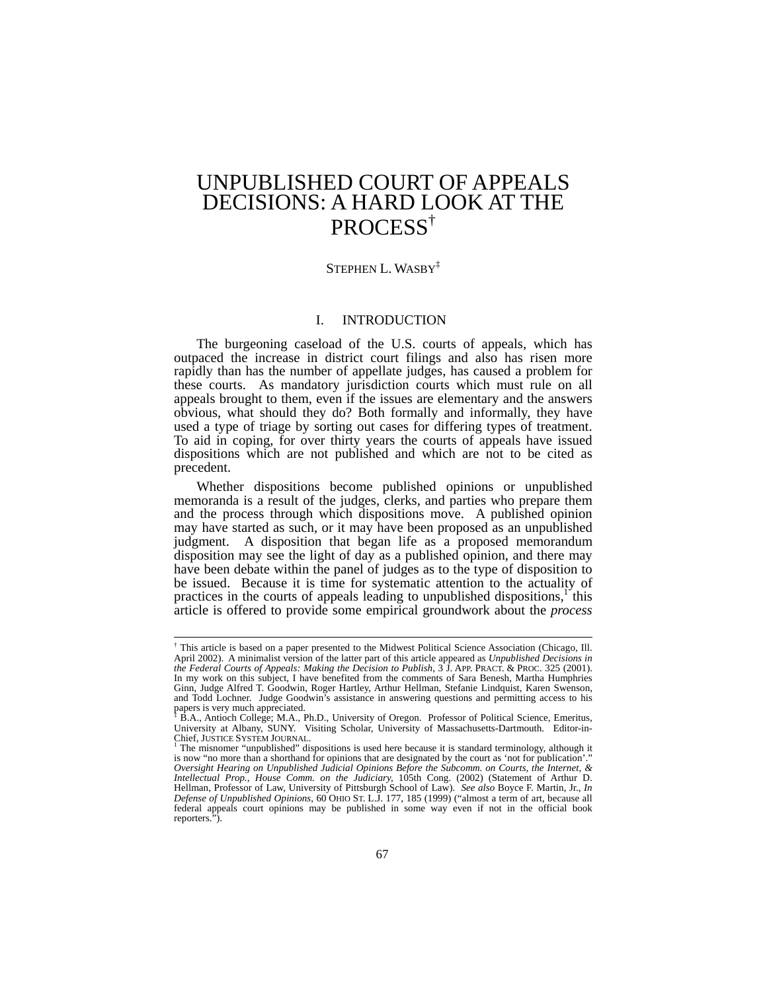# UNPUBLISHED COURT OF APPEALS DECISIONS: A HARD LOOK AT THE PROCESS†

# STEPHEN L. WASBY<sup>‡</sup>

## I. INTRODUCTION

The burgeoning caseload of the U.S. courts of appeals, which has outpaced the increase in district court filings and also has risen more rapidly than has the number of appellate judges, has caused a problem for these courts. As mandatory jurisdiction courts which must rule on all appeals brought to them, even if the issues are elementary and the answers obvious, what should they do? Both formally and informally, they have used a type of triage by sorting out cases for differing types of treatment. To aid in coping, for over thirty years the courts of appeals have issued dispositions which are not published and which are not to be cited as precedent.

Whether dispositions become published opinions or unpublished memoranda is a result of the judges, clerks, and parties who prepare them and the process through which dispositions move. A published opinion may have started as such, or it may have been proposed as an unpublished judgment. A disposition that began life as a proposed memorandum disposition may see the light of day as a published opinion, and there may have been debate within the panel of judges as to the type of disposition to be issued. Because it is time for systematic attention to the actuality of practices in the courts of appeals leading to unpublished dispositions, $1$  this article is offered to provide some empirical groundwork about the *process*

 <sup>†</sup> This article is based on a paper presented to the Midwest Political Science Association (Chicago, Ill. April 2002). A minimalist version of the latter part of this article appeared as *Unpublished Decisions in the Federal Courts of Appeals: Making the Decision to Publish*, 3 J. APP. PRACT. & PROC. 325 (2001). In my work on this subject, I have benefited from the comments of Sara Benesh, Martha Humphries Ginn, Judge Alfred T. Goodwin, Roger Hartley, Arthur Hellman, Stefanie Lindquist, Karen Swenson, and Todd Lochner. Judge Goodwin's assistance in answering questions and permitting access to his

papers is very much appreciated.<br>\* B.A., Antioch College; M.A., Ph.D., University of Oregon. Professor of Political Science, Emeritus,<br>University at Albany, SUNY. Visiting Scholar, University of Massachusetts-Dartmouth. Ed Chief, JUSTICE SYSTEM JOURNAL.

The misnomer "unpublished" dispositions is used here because it is standard terminology, although it is now "no more than a shorthand for opinions that are designated by the court as 'not for publication'. *Oversight Hearing on Unpublished Judicial Opinions Before the Subcomm. on Courts, the Internet, & Intellectual Prop., House Comm. on the Judiciary,* 105th Cong. (2002) (Statement of Arthur D. Hellman, Professor of Law, University of Pittsburgh School of Law). *See also* Boyce F. Martin, Jr., *In Defense of Unpublished Opinions*, 60 OHIO ST. L.J. 177, 185 (1999) ("almost a term of art, because all federal appeals court opinions may be published in some way even if not in the official book reporters.").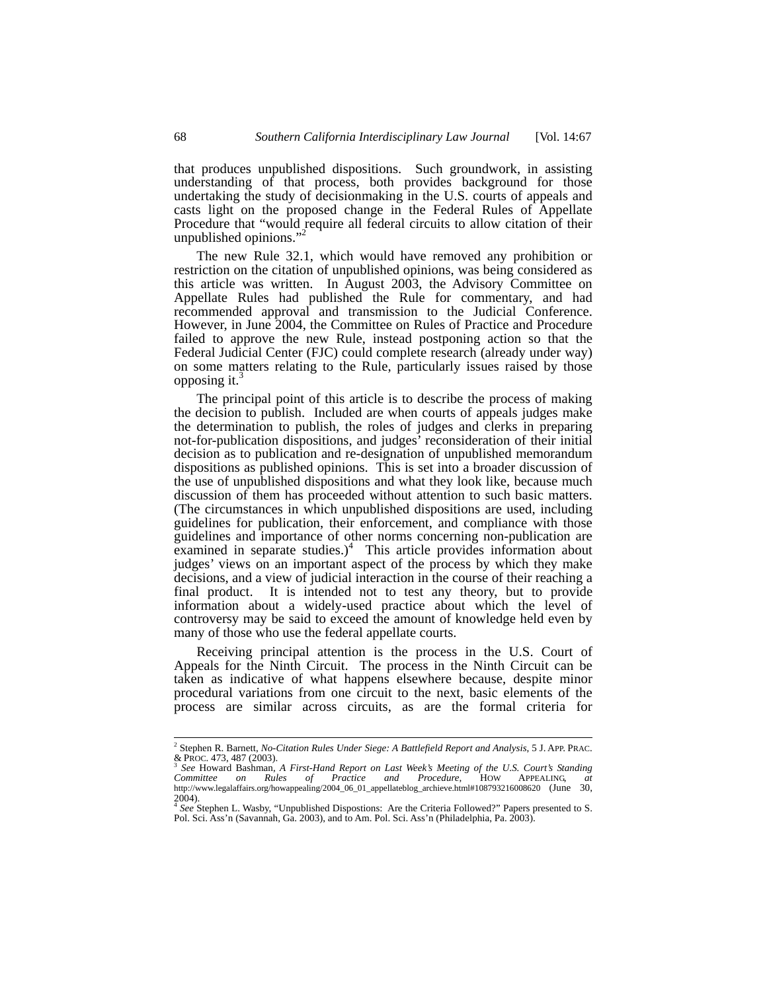that produces unpublished dispositions. Such groundwork, in assisting understanding of that process, both provides background for those undertaking the study of decisionmaking in the U.S. courts of appeals and casts light on the proposed change in the Federal Rules of Appellate Procedure that "would require all federal circuits to allow citation of their unpublished opinions."<sup>2</sup>

The new Rule 32.1, which would have removed any prohibition or restriction on the citation of unpublished opinions, was being considered as this article was written. In August 2003, the Advisory Committee on Appellate Rules had published the Rule for commentary, and had recommended approval and transmission to the Judicial Conference. However, in June 2004, the Committee on Rules of Practice and Procedure failed to approve the new Rule, instead postponing action so that the Federal Judicial Center (FJC) could complete research (already under way) on some matters relating to the Rule, particularly issues raised by those opposing it. $\delta$ 

The principal point of this article is to describe the process of making the decision to publish. Included are when courts of appeals judges make the determination to publish, the roles of judges and clerks in preparing not-for-publication dispositions, and judges' reconsideration of their initial decision as to publication and re-designation of unpublished memorandum dispositions as published opinions. This is set into a broader discussion of the use of unpublished dispositions and what they look like, because much discussion of them has proceeded without attention to such basic matters. (The circumstances in which unpublished dispositions are used, including guidelines for publication, their enforcement, and compliance with those guidelines and importance of other norms concerning non-publication are examined in separate studies.)<sup>4</sup> This article provides information about judges' views on an important aspect of the process by which they make decisions, and a view of judicial interaction in the course of their reaching a final product. It is intended not to test any theory, but to provide information about a widely-used practice about which the level of controversy may be said to exceed the amount of knowledge held even by many of those who use the federal appellate courts.

Receiving principal attention is the process in the U.S. Court of Appeals for the Ninth Circuit. The process in the Ninth Circuit can be taken as indicative of what happens elsewhere because, despite minor procedural variations from one circuit to the next, basic elements of the process are similar across circuits, as are the formal criteria for

 $\frac{1}{2}$ <sup>2</sup> Stephen R. Barnett, *No-Citation Rules Under Siege: A Battlefield Report and Analysis*, 5 J. APP. PRAC.<br>& PROC. 473, 487 (2003).<br><sup>3</sup> See Howard Bashman, *A First-Hand Report on Last Week's Meeting of the U.S. Court's S* 

*Committee on Rules of Practice and Procedure,* HOW APPEALING, *at* http://www.legalaffairs.org/howappealing/2004\_06\_01\_appellateblog\_archieve.html#108793216008620 (June 30, 2004). <sup>4</sup> *See* Stephen L. Wasby, "Unpublished Dispostions: Are the Criteria Followed?" Papers presented to S.

Pol. Sci. Ass'n (Savannah, Ga. 2003), and to Am. Pol. Sci. Ass'n (Philadelphia, Pa. 2003).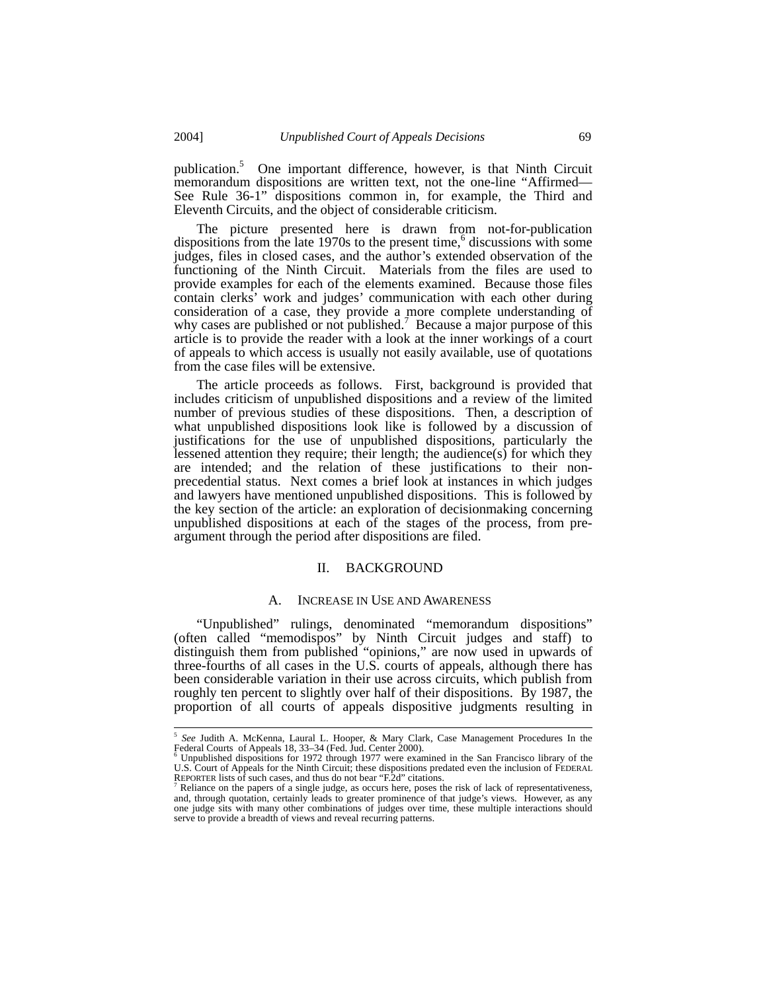publication.5 One important difference, however, is that Ninth Circuit memorandum dispositions are written text, not the one-line "Affirmed— See Rule 36-1" dispositions common in, for example, the Third and Eleventh Circuits, and the object of considerable criticism.

The picture presented here is drawn from not-for-publication dispositions from the late 1970s to the present time,<sup>6</sup> discussions with some judges, files in closed cases, and the author's extended observation of the functioning of the Ninth Circuit. Materials from the files are used to provide examples for each of the elements examined. Because those files contain clerks' work and judges' communication with each other during consideration of a case, they provide a more complete understanding of why cases are published or not published.<sup>7</sup> Because a major purpose of this article is to provide the reader with a look at the inner workings of a court of appeals to which access is usually not easily available, use of quotations from the case files will be extensive.

The article proceeds as follows. First, background is provided that includes criticism of unpublished dispositions and a review of the limited number of previous studies of these dispositions. Then, a description of what unpublished dispositions look like is followed by a discussion of justifications for the use of unpublished dispositions, particularly the lessened attention they require; their length; the audience $(s)$  for which they are intended; and the relation of these justifications to their nonprecedential status. Next comes a brief look at instances in which judges and lawyers have mentioned unpublished dispositions. This is followed by the key section of the article: an exploration of decisionmaking concerning unpublished dispositions at each of the stages of the process, from preargument through the period after dispositions are filed.

#### II. BACKGROUND

#### A. INCREASE IN USE AND AWARENESS

"Unpublished" rulings, denominated "memorandum dispositions" (often called "memodispos" by Ninth Circuit judges and staff) to distinguish them from published "opinions," are now used in upwards of three-fourths of all cases in the U.S. courts of appeals, although there has been considerable variation in their use across circuits, which publish from roughly ten percent to slightly over half of their dispositions. By 1987, the proportion of all courts of appeals dispositive judgments resulting in

 <sup>5</sup> *See* Judith A. McKenna, Laural L. Hooper, & Mary Clark, Case Management Procedures In the

Federal Courts of Appeals 18, 33–34 (Fed. Jud. Center 2000). 6 Unpublished dispositions for 1972 through 1977 were examined in the San Francisco library of the U.S. Court of Appeals for the Ninth Circuit; these dispositions predated even the inclusion of FEDERAL REPORTER lists of such cases, and thus do not bear "F.2d" citations.<br><sup>7</sup> Reliance on the papers of a single judge, as occurs here, poses the risk of lack of representativeness,

and, through quotation, certainly leads to greater prominence of that judge's views. However, as any one judge sits with many other combinations of judges over time, these multiple interactions should serve to provide a breadth of views and reveal recurring patterns.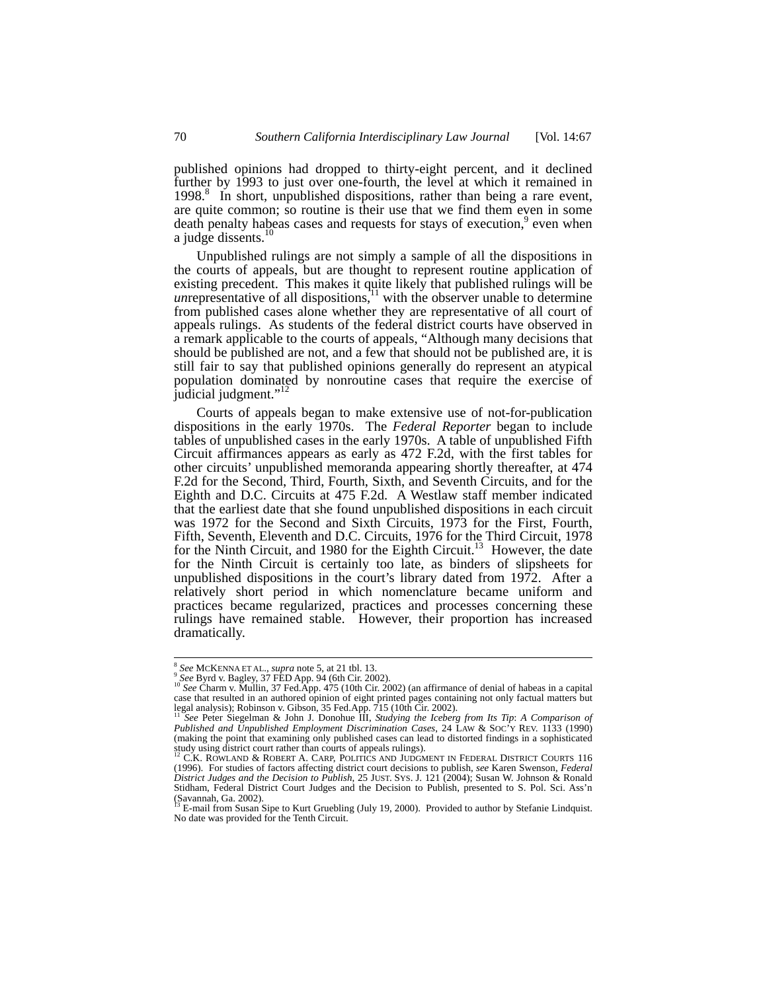published opinions had dropped to thirty-eight percent, and it declined further by 1993 to just over one-fourth, the level at which it remained in 1998.<sup>8</sup> In short, unpublished dispositions, rather than being a rare event, are quite common; so routine is their use that we find them even in some death penalty habeas cases and requests for stays of execution,<sup>9</sup> even when a judge dissents.<sup>10</sup>

Unpublished rulings are not simply a sample of all the dispositions in the courts of appeals, but are thought to represent routine application of existing precedent. This makes it quite likely that published rulings will be *unrepresentative of all dispositions*,<sup>11</sup> with the observer unable to determine from published cases alone whether they are representative of all court of appeals rulings. As students of the federal district courts have observed in a remark applicable to the courts of appeals, "Although many decisions that should be published are not, and a few that should not be published are, it is still fair to say that published opinions generally do represent an atypical population dominated by nonroutine cases that require the exercise of judicial judgment."<sup>12</sup>

Courts of appeals began to make extensive use of not-for-publication dispositions in the early 1970s. The *Federal Reporter* began to include tables of unpublished cases in the early 1970s. A table of unpublished Fifth Circuit affirmances appears as early as 472 F.2d, with the first tables for other circuits' unpublished memoranda appearing shortly thereafter, at 474 F.2d for the Second, Third, Fourth, Sixth, and Seventh Circuits, and for the Eighth and D.C. Circuits at 475 F.2d. A Westlaw staff member indicated that the earliest date that she found unpublished dispositions in each circuit was 1972 for the Second and Sixth Circuits, 1973 for the First, Fourth, Fifth, Seventh, Eleventh and D.C. Circuits, 1976 for the Third Circuit, 1978 for the Ninth Circuit, and 1980 for the Eighth Circuit.<sup>13</sup> However, the date for the Ninth Circuit is certainly too late, as binders of slipsheets for unpublished dispositions in the court's library dated from 1972. After a relatively short period in which nomenclature became uniform and practices became regularized, practices and processes concerning these rulings have remained stable. However, their proportion has increased dramatically.

 $\frac{8}{9}$  See MCKENNA ET AL., *supra* note 5, at 21 tbl. 13.<br> $\frac{9}{9}$  See Byrd v. Bagley, 37 FED App. 94 (6th Cir. 2002).<br> $\frac{10}{3}$  See Charm v. Mullin, 37 Fed. App. 475 (10th Cir. 2002) (an affirmance of denial of habe case that resulted in an authored opinion of eight printed pages containing not only factual matters but

legal analysis); Robinson v. Gibson, 35 Fed.App. 715 (10th Cir. 2002).<br><sup>11</sup> See Peter Siegelman & John J. Donohue III, *Studying the Iceberg from Its Tip: A Comparison of*<br>Published and Unpublished Employment Discriminatio (making the point that examining only published cases can lead to distorted findings in a sophisticated study using district court rather than courts of appeals rulings).<br><sup>12</sup> C.K. ROWLAND & ROBERT A. CARP, POLITICS AND JUDGMENT IN FEDERAL DISTRICT COURTS 116

<sup>(1996).</sup> For studies of factors affecting district court decisions to publish, *see* Karen Swenson, *Federal District Judges and the Decision to Publish*, 25 JUST. SYS. J. 121 (2004); Susan W. Johnson & Ronald Stidham, Federal District Court Judges and the Decision to Publish, presented to S. Pol. Sci. Ass'n (Savannah, Ga. 2002). 13 E-mail from Susan Sipe to Kurt Gruebling (July 19, 2000). Provided to author by Stefanie Lindquist.

No date was provided for the Tenth Circuit.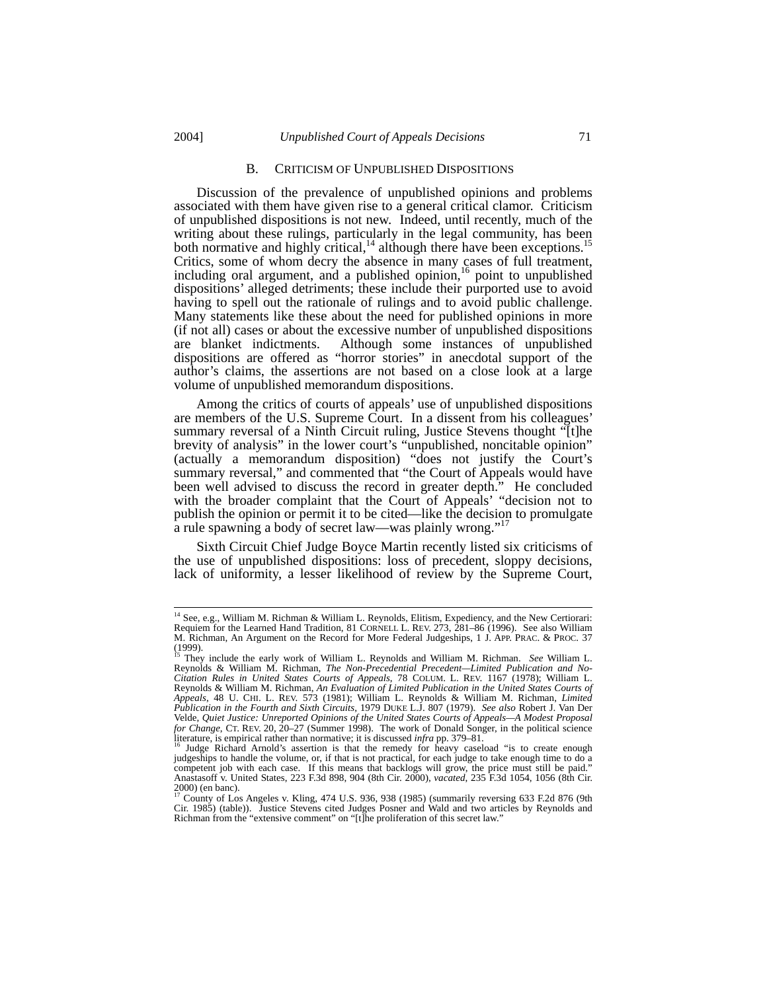#### B. CRITICISM OF UNPUBLISHED DISPOSITIONS

Discussion of the prevalence of unpublished opinions and problems associated with them have given rise to a general critical clamor. Criticism of unpublished dispositions is not new. Indeed, until recently, much of the writing about these rulings, particularly in the legal community, has been both normative and highly critical,<sup>14</sup> although there have been exceptions.<sup>15</sup> Critics, some of whom decry the absence in many cases of full treatment, including oral argument, and a published opinion,<sup>16</sup> point to unpublished dispositions' alleged detriments; these include their purported use to avoid having to spell out the rationale of rulings and to avoid public challenge. Many statements like these about the need for published opinions in more (if not all) cases or about the excessive number of unpublished dispositions are blanket indictments. Although some instances of unpublished dispositions are offered as "horror stories" in anecdotal support of the author's claims, the assertions are not based on a close look at a large volume of unpublished memorandum dispositions.

Among the critics of courts of appeals' use of unpublished dispositions are members of the U.S. Supreme Court. In a dissent from his colleagues' summary reversal of a Ninth Circuit ruling, Justice Stevens thought "[t]he brevity of analysis" in the lower court's "unpublished, noncitable opinion" (actually a memorandum disposition) "does not justify the Court's summary reversal," and commented that "the Court of Appeals would have been well advised to discuss the record in greater depth." He concluded with the broader complaint that the Court of Appeals' "decision not to publish the opinion or permit it to be cited—like the decision to promulgate a rule spawning a body of secret law—was plainly wrong."

Sixth Circuit Chief Judge Boyce Martin recently listed six criticisms of the use of unpublished dispositions: loss of precedent, sloppy decisions, lack of uniformity, a lesser likelihood of review by the Supreme Court,

<sup>&</sup>lt;sup>14</sup> See, e.g., William M. Richman & William L. Reynolds, Elitism, Expediency, and the New Certiorari: Requiem for the Learned Hand Tradition, 81 CORNELL L. REV. 273, 281–86 (1996). See also William M. Richman, An Argument on the Record for More Federal Judgeships, 1 J. APP. PRAC. & PROC. 37

<sup>&</sup>lt;sup>15</sup> They include the early work of William L. Reynolds and William M. Richman. *See* William L.<br>Reynolds & William M. Richman, *The Non-Precedential Precedent—Limited Publication and No-*<br>Citation Rules in United States C Reynolds & William M. Richman, *An Evaluation of Limited Publication in the United States Courts of Appeals*, 48 U. CHI. L. REV. 573 (1981); William L. Reynolds & William M. Richman, *Limited Publication in the Fourth and Sixth Circuits*, 1979 DUKE L.J. 807 (1979). *See also* Robert J. Van Der Velde, *Quiet Justice: Unreported Opinions of the United States Courts of Appeals—A Modest Proposal for Change*, CT. REV. 20, 20–27 (Summer 1998). The work of Donald Songer, in the political science

literature, is empirical rather than normative; it is discussed *infra* pp. 379–81.<br><sup>16</sup> Judge Richard Arnold's assertion is that the remedy for heavy caseload "is to create enough<br>judgeships to handle the volume, or, if t competent job with each case. If this means that backlogs will grow, the price must still be paid." Anastasoff v. United States, 223 F.3d 898, 904 (8th Cir. 2000), *vacated*, 235 F.3d 1054, 1056 (8th Cir.  $2000$ ) (en banc).

<sup>17</sup> County of Los Angeles v. Kling, 474 U.S. 936, 938 (1985) (summarily reversing 633 F.2d 876 (9th Cir. 1985) (table)). Justice Stevens cited Judges Posner and Wald and two articles by Reynolds and Richman from the "extensive comment" on "[t]he proliferation of this secret law."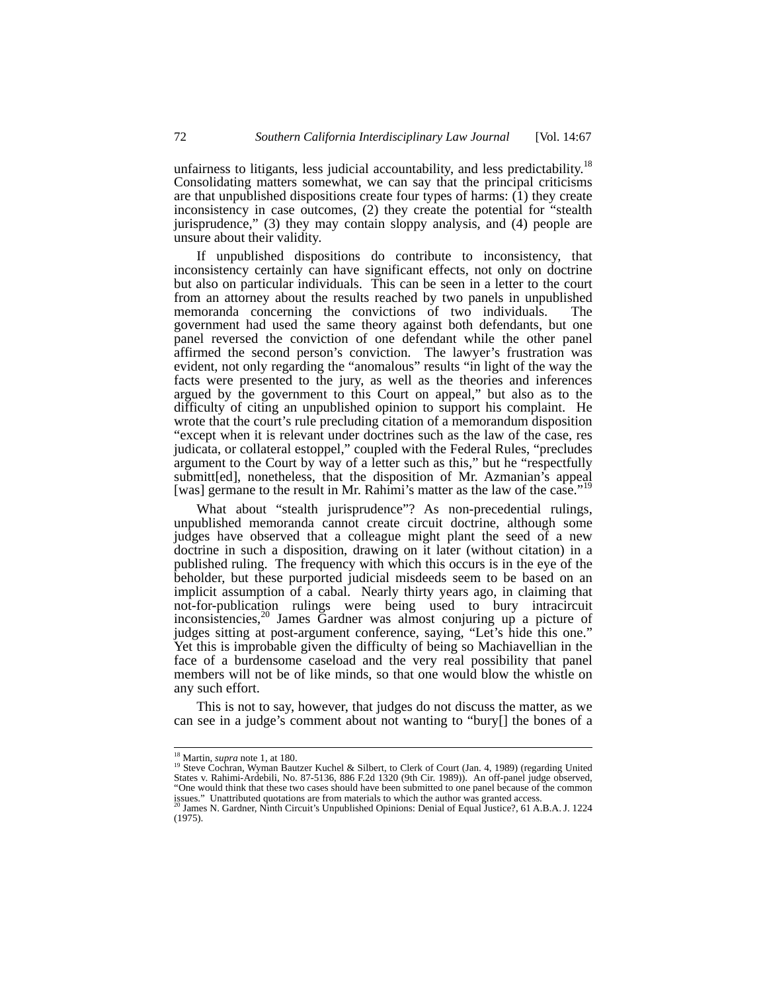unfairness to litigants, less judicial accountability, and less predictability.<sup>18</sup> Consolidating matters somewhat, we can say that the principal criticisms are that unpublished dispositions create four types of harms:  $(1)$  they create inconsistency in case outcomes, (2) they create the potential for "stealth jurisprudence," (3) they may contain sloppy analysis, and (4) people are unsure about their validity.

If unpublished dispositions do contribute to inconsistency, that inconsistency certainly can have significant effects, not only on doctrine but also on particular individuals. This can be seen in a letter to the court from an attorney about the results reached by two panels in unpublished memoranda concerning the convictions of two individuals. The government had used the same theory against both defendants, but one panel reversed the conviction of one defendant while the other panel affirmed the second person's conviction. The lawyer's frustration was evident, not only regarding the "anomalous" results "in light of the way the facts were presented to the jury, as well as the theories and inferences argued by the government to this Court on appeal," but also as to the difficulty of citing an unpublished opinion to support his complaint. He wrote that the court's rule precluding citation of a memorandum disposition "except when it is relevant under doctrines such as the law of the case, res judicata, or collateral estoppel," coupled with the Federal Rules, "precludes argument to the Court by way of a letter such as this," but he "respectfully submitt[ed], nonetheless, that the disposition of Mr. Azmanian's appeal [was] germane to the result in Mr. Rahimi's matter as the law of the case."

What about "stealth jurisprudence"? As non-precedential rulings, unpublished memoranda cannot create circuit doctrine, although some judges have observed that a colleague might plant the seed of a new doctrine in such a disposition, drawing on it later (without citation) in a published ruling. The frequency with which this occurs is in the eye of the beholder, but these purported judicial misdeeds seem to be based on an implicit assumption of a cabal. Nearly thirty years ago, in claiming that not-for-publication rulings were being used to bury intracircuit inconsistencies,20 James Gardner was almost conjuring up a picture of judges sitting at post-argument conference, saying, "Let's hide this one." Yet this is improbable given the difficulty of being so Machiavellian in the face of a burdensome caseload and the very real possibility that panel members will not be of like minds, so that one would blow the whistle on any such effort.

This is not to say, however, that judges do not discuss the matter, as we can see in a judge's comment about not wanting to "bury[] the bones of a

<sup>&</sup>lt;sup>18</sup> Martin, *supra* note 1, at 180.<br><sup>19</sup> Steve Cochran, Wyman Bautzer Kuchel & Silbert, to Clerk of Court (Jan. 4, 1989) (regarding United States v. Rahimi-Ardebili, No. 87-5136, 886 F.2d 1320 (9th Cir. 1989)). An off-panel judge observed, "One would think that these two cases should have been submitted to one panel because of the common issues." Unattributed quotations are from materials to which the author was granted access. 20 James N. Gardner, Ninth Circuit's Unpublished Opinions: Denial of Equal Justice?, 61 A.B.A. J. 1224

<sup>(1975).</sup>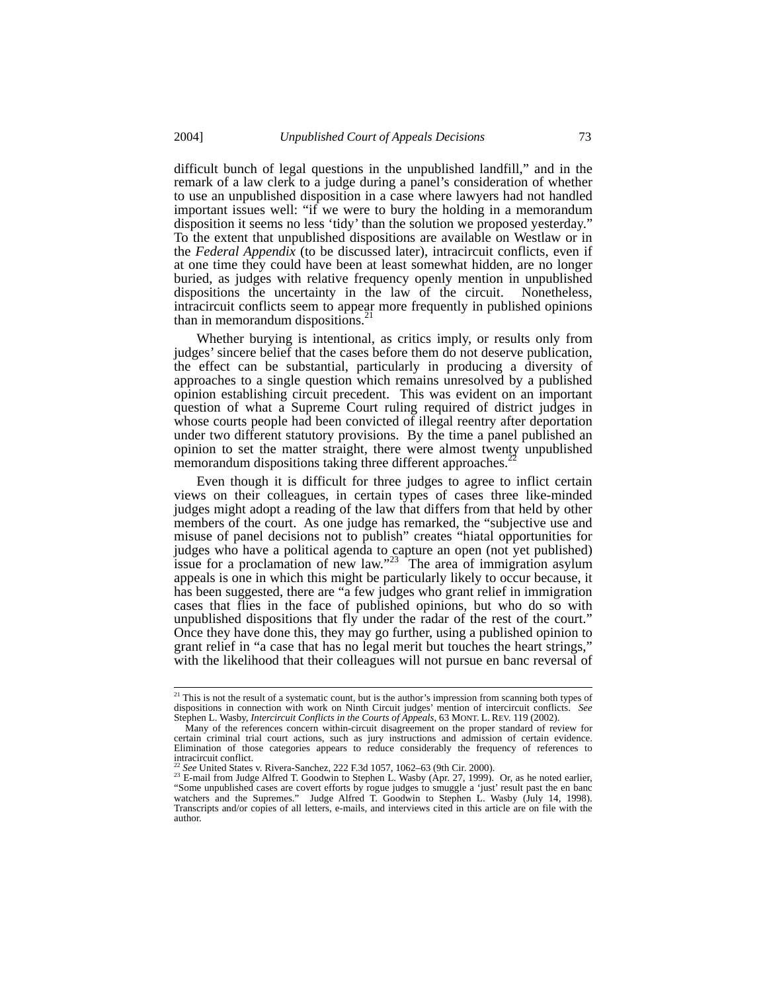difficult bunch of legal questions in the unpublished landfill," and in the remark of a law clerk to a judge during a panel's consideration of whether to use an unpublished disposition in a case where lawyers had not handled important issues well: "if we were to bury the holding in a memorandum disposition it seems no less 'tidy' than the solution we proposed yesterday." To the extent that unpublished dispositions are available on Westlaw or in the *Federal Appendix* (to be discussed later), intracircuit conflicts, even if at one time they could have been at least somewhat hidden, are no longer buried, as judges with relative frequency openly mention in unpublished dispositions the uncertainty in the law of the circuit. Nonetheless, intracircuit conflicts seem to appear more frequently in published opinions than in memorandum dispositions.<sup>21</sup>

Whether burying is intentional, as critics imply, or results only from judges' sincere belief that the cases before them do not deserve publication, the effect can be substantial, particularly in producing a diversity of approaches to a single question which remains unresolved by a published opinion establishing circuit precedent. This was evident on an important question of what a Supreme Court ruling required of district judges in whose courts people had been convicted of illegal reentry after deportation under two different statutory provisions. By the time a panel published an opinion to set the matter straight, there were almost twenty unpublished memorandum dispositions taking three different approaches.<sup>2</sup>

Even though it is difficult for three judges to agree to inflict certain views on their colleagues, in certain types of cases three like-minded judges might adopt a reading of the law that differs from that held by other members of the court. As one judge has remarked, the "subjective use and misuse of panel decisions not to publish" creates "hiatal opportunities for judges who have a political agenda to capture an open (not yet published) issue for a proclamation of new law."<sup>23</sup> The area of immigration asylum appeals is one in which this might be particularly likely to occur because, it has been suggested, there are "a few judges who grant relief in immigration cases that flies in the face of published opinions, but who do so with unpublished dispositions that fly under the radar of the rest of the court." Once they have done this, they may go further, using a published opinion to grant relief in "a case that has no legal merit but touches the heart strings," with the likelihood that their colleagues will not pursue en banc reversal of

 $21$  This is not the result of a systematic count, but is the author's impression from scanning both types of dispositions in connection with work on Ninth Circuit judges' mention of intercircuit conflicts. *See* Stephen L. Wasby, *Intercircuit Conflicts in the Courts of Appeals*, 63 MONT. L. REV. 119 (2002).

Many of the references concern within-circuit disagreement on the proper standard of review for certain criminal trial court actions, such as jury instructions and admission of certain evidence. Elimination of those categories appears to reduce considerably the frequency of references to intracircuit conflict.<br><sup>22</sup> See United States v. Rivera-Sanchez, 222 F.3d 1057, 1062–63 (9th Cir. 2000).

<sup>&</sup>lt;sup>23</sup> E-mail from Judge Alfred T. Goodwin to Stephen L. Wasby (Apr. 27, 1999). Or, as he noted earlier, "Some unpublished cases are covert efforts by rogue judges to smuggle a 'just' result past the en banc watchers and the Supremes." Judge Alfred T. Goodwin to Stephen L. Wasby (July 14, 1998). Transcripts and/or copies of all letters, e-mails, and interviews cited in this article are on file with the author.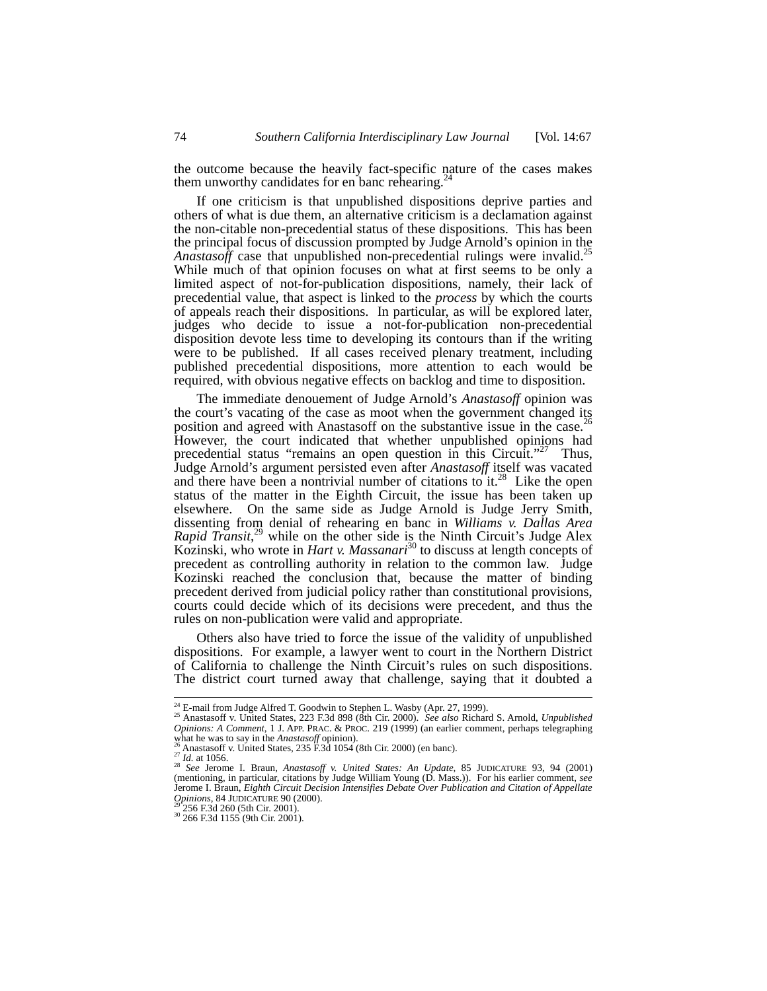the outcome because the heavily fact-specific nature of the cases makes them unworthy candidates for en banc rehearing.<sup>2</sup>

If one criticism is that unpublished dispositions deprive parties and others of what is due them, an alternative criticism is a declamation against the non-citable non-precedential status of these dispositions. This has been the principal focus of discussion prompted by Judge Arnold's opinion in the *Anastasoff* case that unpublished non-precedential rulings were invalid.<sup>25</sup> While much of that opinion focuses on what at first seems to be only a limited aspect of not-for-publication dispositions, namely, their lack of precedential value, that aspect is linked to the *process* by which the courts of appeals reach their dispositions. In particular, as will be explored later, judges who decide to issue a not-for-publication non-precedential disposition devote less time to developing its contours than if the writing were to be published. If all cases received plenary treatment, including published precedential dispositions, more attention to each would be required, with obvious negative effects on backlog and time to disposition.

The immediate denouement of Judge Arnold's *Anastasoff* opinion was the court's vacating of the case as moot when the government changed its position and agreed with Anastasoff on the substantive issue in the case.<sup>26</sup> However, the court indicated that whether unpublished opinions had precedential status "remains an open question in this Circuit."<sup>27</sup> Thus, Judge Arnold's argument persisted even after *Anastasoff* itself was vacated and there have been a nontrivial number of citations to it.<sup>28</sup> Like the open status of the matter in the Eighth Circuit, the issue has been taken up elsewhere. On the same side as Judge Arnold is Judge Jerry Smith, dissenting from denial of rehearing en banc in *Williams v. Dallas Area Rapid Transit*, 29 while on the other side is the Ninth Circuit's Judge Alex Kozinski, who wrote in *Hart v. Massanari*30 to discuss at length concepts of precedent as controlling authority in relation to the common law. Judge Kozinski reached the conclusion that, because the matter of binding precedent derived from judicial policy rather than constitutional provisions, courts could decide which of its decisions were precedent, and thus the rules on non-publication were valid and appropriate.

Others also have tried to force the issue of the validity of unpublished dispositions. For example, a lawyer went to court in the Northern District of California to challenge the Ninth Circuit's rules on such dispositions. The district court turned away that challenge, saying that it doubted a

<sup>&</sup>lt;sup>24</sup> E-mail from Judge Alfred T. Goodwin to Stephen L. Wasby (Apr. 27, 1999).<br><sup>25</sup> Anastasoff v. United States, 223 F.3d 898 (8th Cir. 2000). *See also* Richard S. Arnold, *Unpublished*<br>25 Anastasoff v. United States, 223 *Opinions: A Comment*, 1 J. APP. PRAC. & PROC. 219 (1999) (an earlier comment, perhaps telegraphing what he was to say in the *Anastasoff* Opinions: A Comment, 1 J. APP. PRAC. & PROC. 219 (1999) (an earlier comment, perhap

<sup>&</sup>lt;sup>26</sup> Anastasoff v. United States, 235 F.3d 1054 (8th Cir. 2000) (en banc).<br><sup>27</sup> *Id.* at 1056.<br><sup>28</sup> *See* Jerome I. Braun, *Anastasoff v. United States: An Update*, 85 JUDICATURE 93, 94 (2001) (mentioning, in particular, citations by Judge William Young (D. Mass.)). For his earlier comment, *see* Jerome I. Braun, *Eighth Circuit Decision Intensifies Debate Over Publication and Citation of Appellate Opinions*, 84 JUDICATURE 90 (2000).<br><sup>29</sup> 256 F.3d 260 (5th Cir. 2001).<br><sup>30</sup> 266 F.3d 1155 (9th Cir. 2001).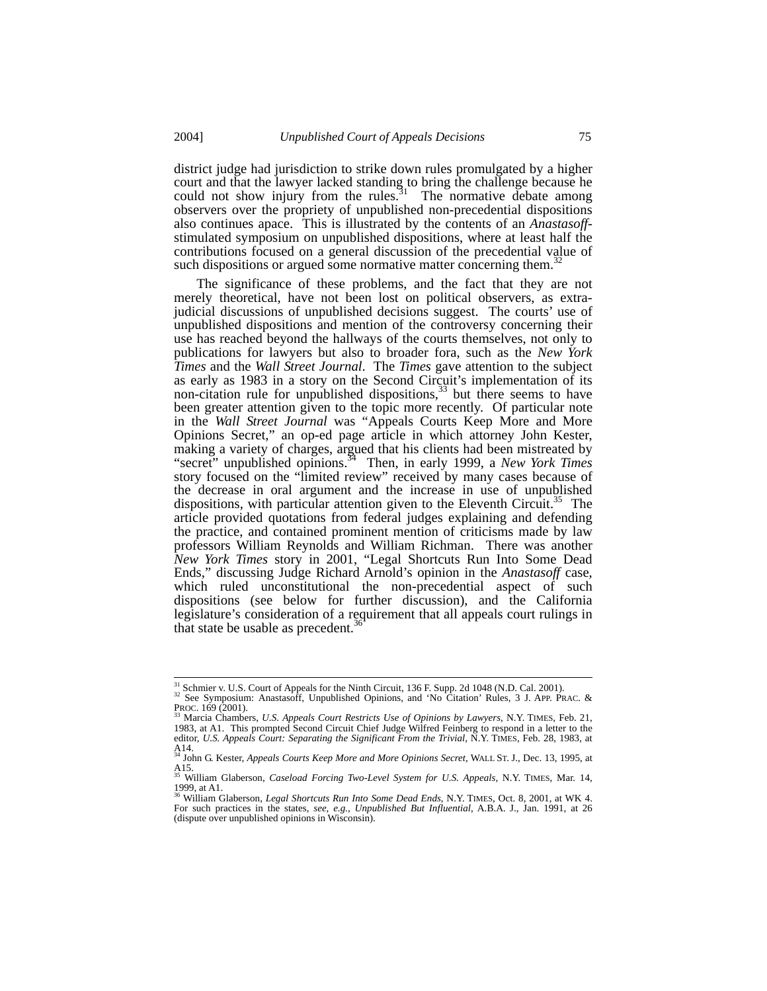district judge had jurisdiction to strike down rules promulgated by a higher court and that the lawyer lacked standing to bring the challenge because he could not show injury from the rules.<sup>31</sup> The normative debate among observers over the propriety of unpublished non-precedential dispositions also continues apace. This is illustrated by the contents of an *Anastasoff*stimulated symposium on unpublished dispositions, where at least half the contributions focused on a general discussion of the precedential value of such dispositions or argued some normative matter concerning them.<sup>3</sup>

The significance of these problems, and the fact that they are not merely theoretical, have not been lost on political observers, as extrajudicial discussions of unpublished decisions suggest. The courts' use of unpublished dispositions and mention of the controversy concerning their use has reached beyond the hallways of the courts themselves, not only to publications for lawyers but also to broader fora, such as the *New York Times* and the *Wall Street Journal*. The *Times* gave attention to the subject as early as 1983 in a story on the Second Circuit's implementation of its non-citation rule for unpublished dispositions, $33$  but there seems to have been greater attention given to the topic more recently. Of particular note in the *Wall Street Journal* was "Appeals Courts Keep More and More Opinions Secret," an op-ed page article in which attorney John Kester, making a variety of charges, argued that his clients had been mistreated by "secret" unpublished opinions.<sup>34</sup> Then, in early 1999, a *New York Times* story focused on the "limited review" received by many cases because of the decrease in oral argument and the increase in use of unpublished dispositions, with particular attention given to the Eleventh Circuit.<sup>35</sup> The article provided quotations from federal judges explaining and defending the practice, and contained prominent mention of criticisms made by law professors William Reynolds and William Richman. There was another *New York Times* story in 2001, "Legal Shortcuts Run Into Some Dead Ends," discussing Judge Richard Arnold's opinion in the *Anastasoff* case, which ruled unconstitutional the non-precedential aspect of such dispositions (see below for further discussion), and the California legislature's consideration of a requirement that all appeals court rulings in that state be usable as precedent. $3$ 

<sup>&</sup>lt;sup>31</sup> Schmier v. U.S. Court of Appeals for the Ninth Circuit, 136 F. Supp. 2d 1048 (N.D. Cal. 2001).<br><sup>32</sup> See Symposium: Anastasoff, Unpublished Opinions, and 'No Citation' Rules, 3 J. APP. PRAC. &<br><sup>33</sup> NOC. 169 (2001).

PROC. 169 (2001).<br><sup>33</sup> Marcia Chambers, *U.S. Appeals Court Restricts Use of Opinions by Lawyers*, N.Y. TIMES, Feb. 21,<br>1983, at A1. This prompted Second Circuit Chief Judge Wilfred Feinberg to respond in a letter to the<br>e A14. 34 John G. Kester, *Appeals Courts Keep More and More Opinions Secret*, WALL ST. J., Dec. 13, 1995, at

A15.<br><sup>35</sup> William Glaberson, *Caseload Forcing Two-Level System for U.S. Appeals*, N.Y. TIMES, Mar. 14, 1999, at A1. 36 William Glaberson, *Legal Shortcuts Run Into Some Dead Ends*, N.Y. TIMES, Oct. 8, 2001, at WK 4.

For such practices in the states, *see, e.g., Unpublished But Influential*, A.B.A. J., Jan. 1991, at 26 (dispute over unpublished opinions in Wisconsin).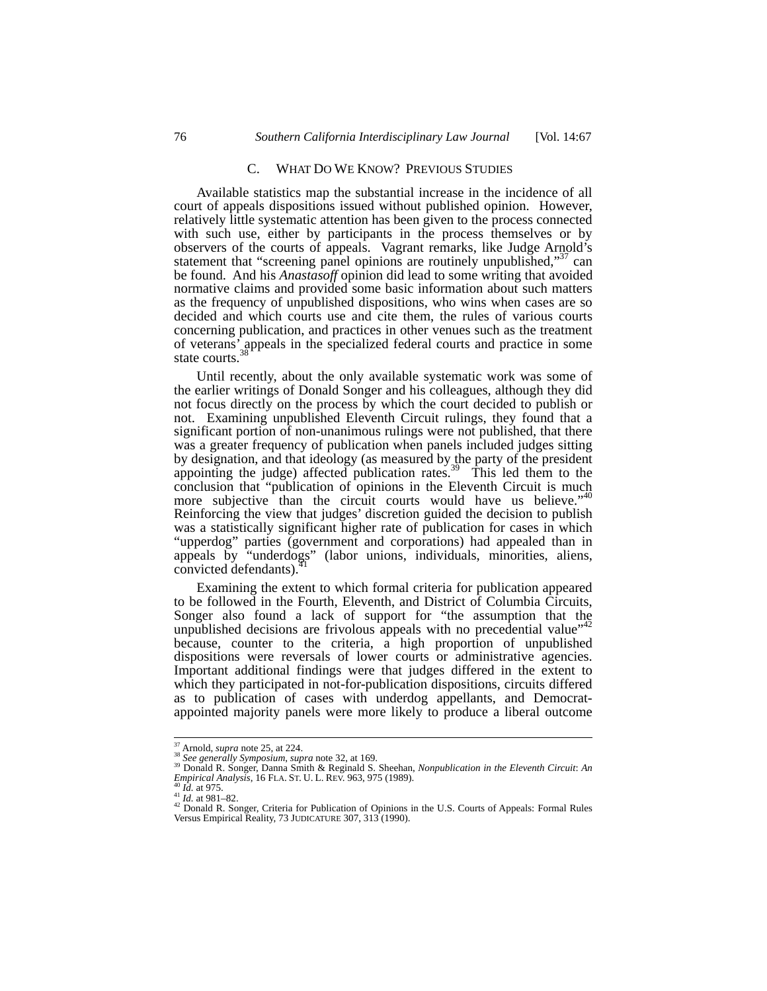## C. WHAT DO WE KNOW? PREVIOUS STUDIES

Available statistics map the substantial increase in the incidence of all court of appeals dispositions issued without published opinion. However, relatively little systematic attention has been given to the process connected with such use, either by participants in the process themselves or by observers of the courts of appeals. Vagrant remarks, like Judge Arnold's statement that "screening panel opinions are routinely unpublished," $37$  can be found. And his *Anastasoff* opinion did lead to some writing that avoided normative claims and provided some basic information about such matters as the frequency of unpublished dispositions, who wins when cases are so decided and which courts use and cite them, the rules of various courts concerning publication, and practices in other venues such as the treatment of veterans' appeals in the specialized federal courts and practice in some state courts.<sup>38</sup>

Until recently, about the only available systematic work was some of the earlier writings of Donald Songer and his colleagues, although they did not focus directly on the process by which the court decided to publish or not. Examining unpublished Eleventh Circuit rulings, they found that a significant portion of non-unanimous rulings were not published, that there was a greater frequency of publication when panels included judges sitting by designation, and that ideology (as measured by the party of the president appointing the judge) affected publication rates.<sup>39</sup> This led them to the conclusion that "publication of opinions in the Eleventh Circuit is much more subjective than the circuit courts would have us believe."<sup>40</sup> Reinforcing the view that judges' discretion guided the decision to publish was a statistically significant higher rate of publication for cases in which "upperdog" parties (government and corporations) had appealed than in appeals by "underdogs" (labor unions, individuals, minorities, aliens, convicted defendants).

Examining the extent to which formal criteria for publication appeared to be followed in the Fourth, Eleventh, and District of Columbia Circuits, Songer also found a lack of support for "the assumption that the unpublished decisions are frivolous appeals with no precedential value"<sup>42</sup> because, counter to the criteria, a high proportion of unpublished dispositions were reversals of lower courts or administrative agencies. Important additional findings were that judges differed in the extent to which they participated in not-for-publication dispositions, circuits differed as to publication of cases with underdog appellants, and Democratappointed majority panels were more likely to produce a liberal outcome

<sup>&</sup>lt;sup>37</sup> Arnold, *supra* note 25, at 224.<br><sup>38</sup> See generally Symposium, supra note 32, at 169.<br><sup>39</sup> Donald R. Songer, Danna Smith & Reginald S. Sheehan, *Nonpublication in the Eleventh Circuit: An*<br>*Empirical Analysis*, 16 FL

<sup>&</sup>lt;sup>40</sup> *Id.* at 975.<br><sup>41</sup> *Id.* at 981–82.<br><sup>42</sup> Donald R. Songer, Criteria for Publication of Opinions in the U.S. Courts of Appeals: Formal Rules Versus Empirical Reality, 73 JUDICATURE 307, 313 (1990).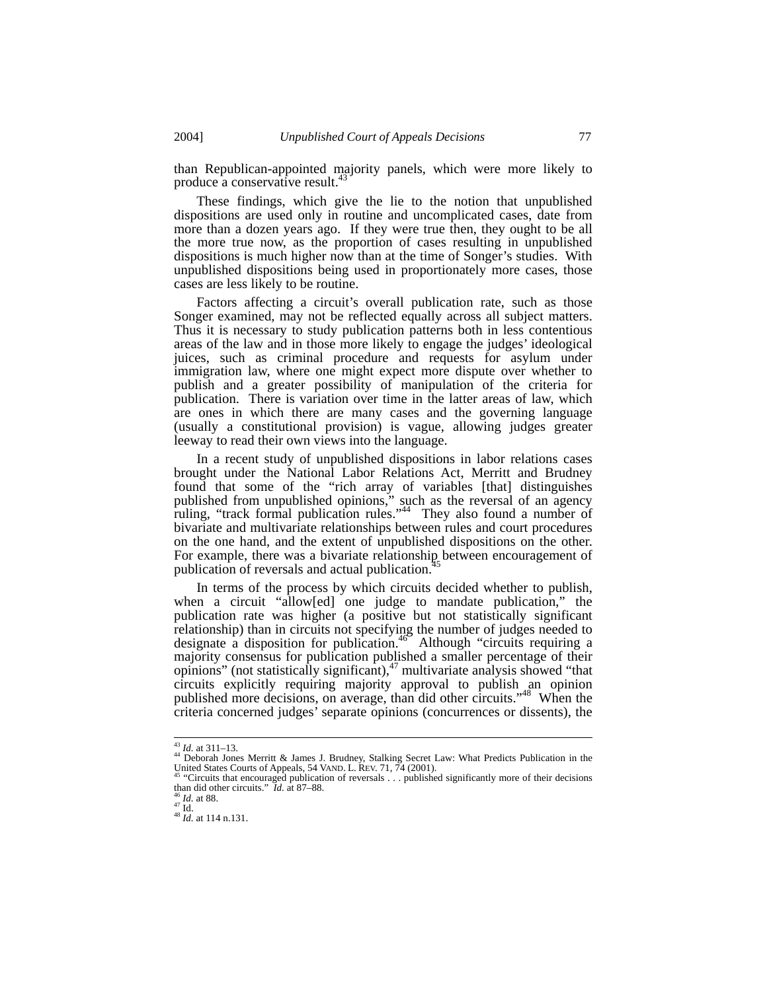than Republican-appointed majority panels, which were more likely to produce a conservative result.<sup>43</sup>

These findings, which give the lie to the notion that unpublished dispositions are used only in routine and uncomplicated cases, date from more than a dozen years ago. If they were true then, they ought to be all the more true now, as the proportion of cases resulting in unpublished dispositions is much higher now than at the time of Songer's studies. With unpublished dispositions being used in proportionately more cases, those cases are less likely to be routine.

Factors affecting a circuit's overall publication rate, such as those Songer examined, may not be reflected equally across all subject matters. Thus it is necessary to study publication patterns both in less contentious areas of the law and in those more likely to engage the judges' ideological juices, such as criminal procedure and requests for asylum under immigration law, where one might expect more dispute over whether to publish and a greater possibility of manipulation of the criteria for publication. There is variation over time in the latter areas of law, which are ones in which there are many cases and the governing language (usually a constitutional provision) is vague, allowing judges greater leeway to read their own views into the language.

In a recent study of unpublished dispositions in labor relations cases brought under the National Labor Relations Act, Merritt and Brudney found that some of the "rich array of variables [that] distinguishes published from unpublished opinions," such as the reversal of an agency ruling, "track formal publication rules."<sup>44</sup> They also found a number of bivariate and multivariate relationships between rules and court procedures on the one hand, and the extent of unpublished dispositions on the other. For example, there was a bivariate relationship between encouragement of publication of reversals and actual publication.<sup>4</sup>

In terms of the process by which circuits decided whether to publish, when a circuit "allow[ed] one judge to mandate publication," the publication rate was higher (a positive but not statistically significant relationship) than in circuits not specifying the number of judges needed to designate a disposition for publication.<sup>46</sup> Although "circuits requiring a majority consensus for publication published a smaller percentage of their opinions" (not statistically significant), $47$  multivariate analysis showed "that circuits explicitly requiring majority approval to publish an opinion published more decisions, on average, than did other circuits."<sup>48</sup> When the criteria concerned judges' separate opinions (concurrences or dissents), the

<sup>&</sup>lt;sup>43</sup> *Id.* at 311–13.<br><sup>44</sup> Deborah Jones Merritt & James J. Brudney, Stalking Secret Law: What Predicts Publication in the United States Courts of Appeals, 54 VAND. L. REV. 71, 74 (2001).<br><sup>45</sup> "Circuits that encouraged publication of reversals . . . published significantly more of their decisions

<sup>&</sup>lt;sup>45</sup> "Circuits that encouraged publication of reversals . . . published significantly more of their decisions than did other circuits." *Id.* at 87–88.<br>
<sup>46</sup> *Id.* at 88.<br>
<sup>47</sup> *Id.* at 88.<br>
<sup>48</sup> *Id.* at 114 n.131.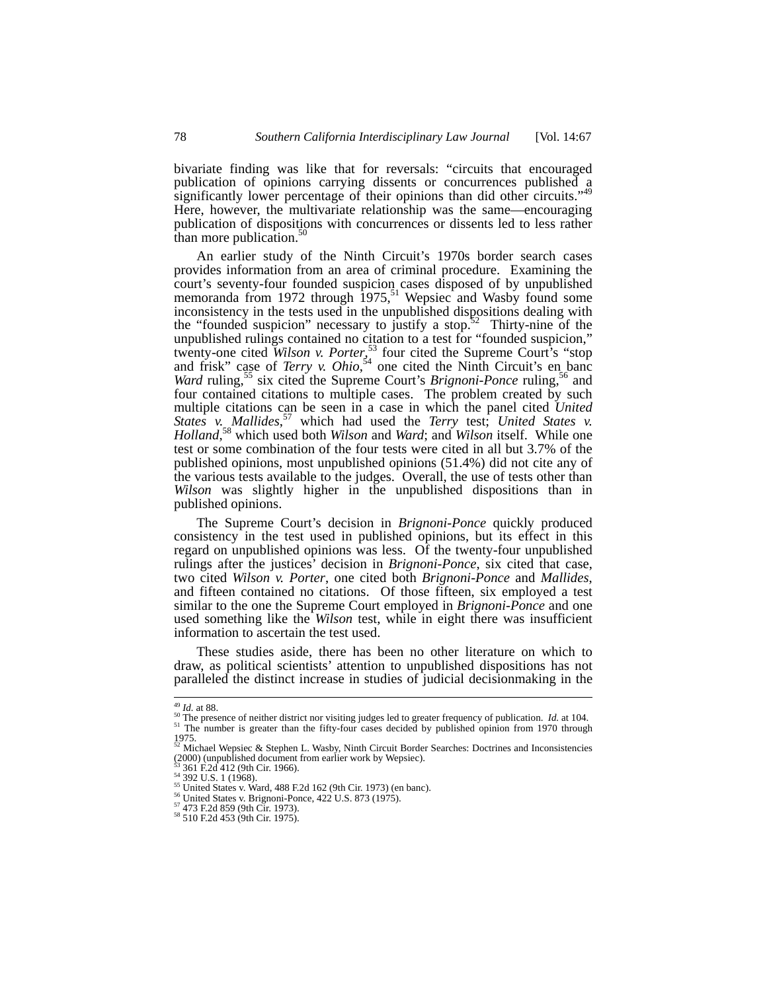bivariate finding was like that for reversals: "circuits that encouraged publication of opinions carrying dissents or concurrences published a significantly lower percentage of their opinions than did other circuits."<sup>49</sup><br>Here, however, the multivariate relationship was the same—encouraging publication of dispositions with concurrences or dissents led to less rather than more publication.<sup>50</sup>

An earlier study of the Ninth Circuit's 1970s border search cases provides information from an area of criminal procedure. Examining the court's seventy-four founded suspicion cases disposed of by unpublished memoranda from 1972 through  $1975$ ,<sup>51</sup> Wepsiec and Wasby found some inconsistency in the tests used in the unpublished dispositions dealing with the "founded suspicion" necessary to justify a stop.<sup>52</sup> Thirty-nine of the unpublished rulings contained no citation to a test for "founded suspicion," twenty-one cited *Wilson v. Porter*, 53 four cited the Supreme Court's "stop and frisk" case of *Terry v. Ohio*, 54 one cited the Ninth Circuit's en banc *Ward ruling*,<sup>55</sup> six cited the Supreme Court's *Brignoni-Ponce* ruling,<sup>56</sup> and four contained citations to multiple cases. The problem created by such multiple citations can be seen in a case in which the panel cited *United States v. Mallides*, 57 which had used the *Terry* test; *United States v. Holland*, 58 which used both *Wilson* and *Ward*; and *Wilson* itself. While one test or some combination of the four tests were cited in all but 3.7% of the published opinions, most unpublished opinions (51.4%) did not cite any of the various tests available to the judges. Overall, the use of tests other than *Wilson* was slightly higher in the unpublished dispositions than in published opinions.

The Supreme Court's decision in *Brignoni-Ponce* quickly produced consistency in the test used in published opinions, but its effect in this regard on unpublished opinions was less. Of the twenty-four unpublished rulings after the justices' decision in *Brignoni-Ponce*, six cited that case, two cited *Wilson v. Porter*, one cited both *Brignoni-Ponce* and *Mallides*, and fifteen contained no citations. Of those fifteen, six employed a test similar to the one the Supreme Court employed in *Brignoni-Ponce* and one used something like the *Wilson* test, while in eight there was insufficient information to ascertain the test used.

These studies aside, there has been no other literature on which to draw, as political scientists' attention to unpublished dispositions has not paralleled the distinct increase in studies of judicial decisionmaking in the

 $^{49}$  *Id.* at 88.<br><sup>50</sup> The presence of neither district nor visiting judges led to greater frequency of publication. *Id.* at 104.<br><sup>51</sup> The number is greater than the fifty-four cases decided by published opinion from 1  $1975.$ <sup>106</sup>

<sup>52</sup> Michael Wepsiec & Stephen L. Wasby, Ninth Circuit Border Searches: Doctrines and Inconsistencies  $(2000)$  (unpublished document from earlier work by Wepsiec).<br> $53\,361\,$  F.2d 412 (9th Cir. 1966).

<sup>&</sup>lt;sup>54</sup> 302 U.S. 1 (1968).<br>
<sup>54</sup> 392 U.S. 1 (1968).<br>
<sup>55</sup> United States v. Ward, 488 F.2d 162 (9th Cir. 1973) (en banc).<br>
<sup>56</sup> United States v. Brignoni-Ponce, 422 U.S. 873 (1975).<br>
<sup>57</sup> 473 F.2d 859 (9th Cir. 1973).<br>
<sup>58</sup> 5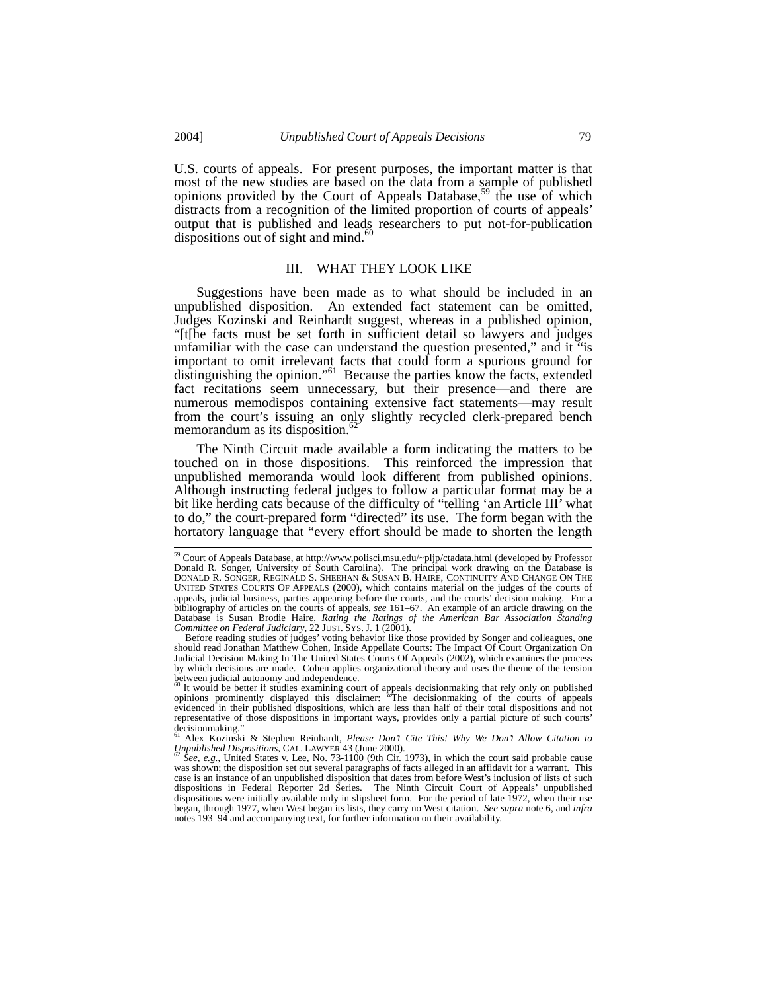U.S. courts of appeals. For present purposes, the important matter is that most of the new studies are based on the data from a sample of published opinions provided by the Court of Appeals Database,<sup>59</sup> the use of which distracts from a recognition of the limited proportion of courts of appeals' output that is published and leads researchers to put not-for-publication dispositions out of sight and mind. $60$ 

## III. WHAT THEY LOOK LIKE

Suggestions have been made as to what should be included in an unpublished disposition. An extended fact statement can be omitted, Judges Kozinski and Reinhardt suggest, whereas in a published opinion, "[t[he facts must be set forth in sufficient detail so lawyers and judges unfamiliar with the case can understand the question presented," and it "is important to omit irrelevant facts that could form a spurious ground for distinguishing the opinion."<sup>61</sup> Because the parties know the facts, extended fact recitations seem unnecessary, but their presence—and there are numerous memodispos containing extensive fact statements—may result from the court's issuing an only slightly recycled clerk-prepared bench memorandum as its disposition.<sup>6</sup>

The Ninth Circuit made available a form indicating the matters to be touched on in those dispositions. This reinforced the impression that unpublished memoranda would look different from published opinions. Although instructing federal judges to follow a particular format may be a bit like herding cats because of the difficulty of "telling 'an Article III' what to do," the court-prepared form "directed" its use. The form began with the hortatory language that "every effort should be made to shorten the length

 <sup>59</sup> Court of Appeals Database, at http://www.polisci.msu.edu/~pljp/ctadata.html (developed by Professor Donald R. Songer, University of South Carolina). The principal work drawing on the Database is DONALD R. SONGER, REGINALD S. SHEEHAN & SUSAN B. HAIRE, CONTINUITY AND CHANGE ON THE UNITED STATES COURTS OF APPEALS (2000), which contains material on the judges of the courts of appeals, judicial business, parties appearing before the courts, and the courts' decision making. For a bibliography of articles on the courts of appeals, *see* 161–67. An example of an article drawing on the Database is Susan Brodie Haire, *Rating the Ratings of the American Bar Association Standing Committee on Federal Judiciary*, 22 JUST. SYS. J. 1 (2001).

Before reading studies of judges' voting behavior like those provided by Songer and colleagues, one should read Jonathan Matthew Cohen, Inside Appellate Courts: The Impact Of Court Organization On Judicial Decision Making In The United States Courts Of Appeals (2002), which examines the process by which decisions are made. Cohen applies organizational theory and uses the theme of the tension

between judicial autonomy and independence.<br>
<sup>60</sup> It would be better if studies examining court of appeals decisionmaking that rely only on published<br>
opinions prominently displayed this disclaimer: "The decisionmaking of evidenced in their published dispositions, which are less than half of their total dispositions and not representative of those dispositions in important ways, provides only a partial picture of such courts' decisionmaking." 61 Alex Kozinski & Stephen Reinhardt, *Please Don't Cite This! Why We Don't Allow Citation to* 

*Unpublished Dispositions*, CAL. LAWYER 43 (June 2000). <sup>62</sup> *See, e.g.*, United States v. Lee, No. 73-1100 (9th Cir. 1973), in which the court said probable cause

was shown; the disposition set out several paragraphs of facts alleged in an affidavit for a warrant. This case is an instance of an unpublished disposition that dates from before West's inclusion of lists of such dispositions in Federal Reporter 2d Series. The Ninth Circuit Court of Appeals' unpublished dispositions were initially available only in slipsheet form. For the period of late 1972, when their use began, through 1977, when West began its lists, they carry no West citation. *See supra* note 6, and *infra* notes 193–94 and accompanying text, for further information on their availability.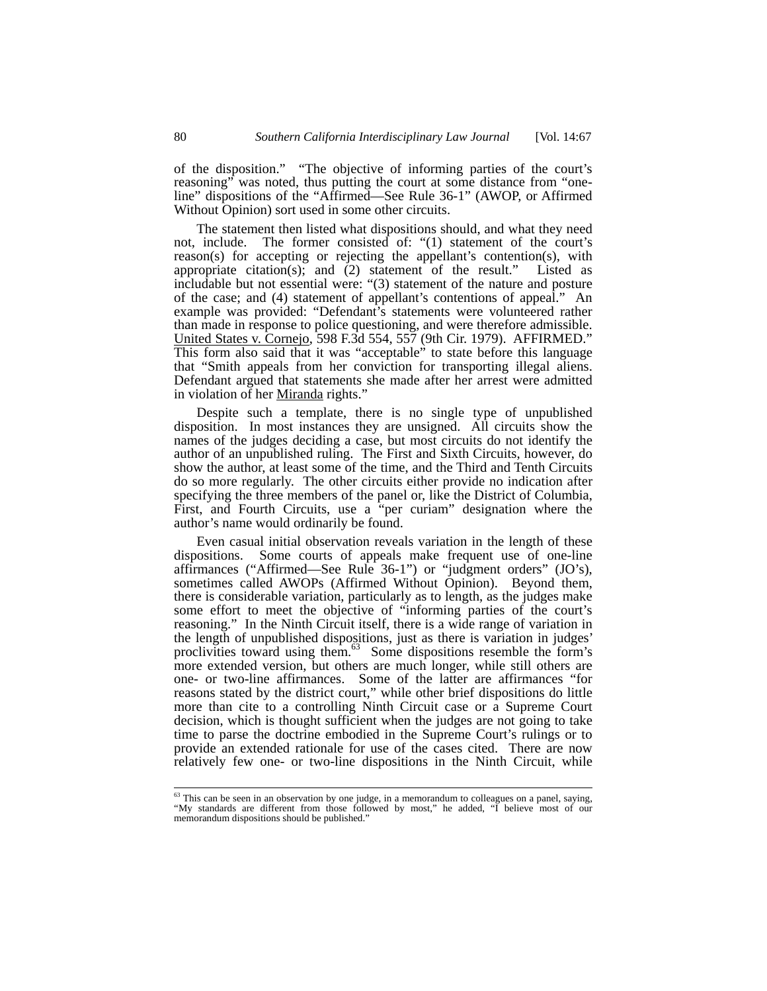of the disposition." "The objective of informing parties of the court's reasoning" was noted, thus putting the court at some distance from "oneline" dispositions of the "Affirmed—See Rule 36-1" (AWOP, or Affirmed Without Opinion) sort used in some other circuits.

The statement then listed what dispositions should, and what they need not, include. The former consisted of: "(1) statement of the court's reason(s) for accepting or rejecting the appellant's contention(s), with appropriate citation(s); and  $(2)$  statement of the result." Listed as includable but not essential were: "(3) statement of the nature and posture of the case; and (4) statement of appellant's contentions of appeal." An example was provided: "Defendant's statements were volunteered rather than made in response to police questioning, and were therefore admissible. United States v. Cornejo, 598 F.3d 554, 557 (9th Cir. 1979). AFFIRMED." This form also said that it was "acceptable" to state before this language that "Smith appeals from her conviction for transporting illegal aliens. Defendant argued that statements she made after her arrest were admitted in violation of her Miranda rights."

Despite such a template, there is no single type of unpublished disposition. In most instances they are unsigned. All circuits show the names of the judges deciding a case, but most circuits do not identify the author of an unpublished ruling. The First and Sixth Circuits, however, do show the author, at least some of the time, and the Third and Tenth Circuits do so more regularly. The other circuits either provide no indication after specifying the three members of the panel or, like the District of Columbia, First, and Fourth Circuits, use a "per curiam" designation where the author's name would ordinarily be found.

Even casual initial observation reveals variation in the length of these dispositions. Some courts of appeals make frequent use of one-line affirmances ("Affirmed—See Rule 36-1") or "judgment orders" (JO's), sometimes called AWOPs (Affirmed Without Opinion). Beyond them, there is considerable variation, particularly as to length, as the judges make some effort to meet the objective of "informing parties of the court's reasoning." In the Ninth Circuit itself, there is a wide range of variation in the length of unpublished dispositions, just as there is variation in judges' proclivities toward using them.<sup>63</sup> Some dispositions resemble the form's more extended version, but others are much longer, while still others are one- or two-line affirmances. Some of the latter are affirmances "for reasons stated by the district court," while other brief dispositions do little more than cite to a controlling Ninth Circuit case or a Supreme Court decision, which is thought sufficient when the judges are not going to take time to parse the doctrine embodied in the Supreme Court's rulings or to provide an extended rationale for use of the cases cited. There are now relatively few one- or two-line dispositions in the Ninth Circuit, while

<sup>&</sup>lt;sup>63</sup> This can be seen in an observation by one judge, in a memorandum to colleagues on a panel, saying, "My standards are different from those followed by most," he added, "I believe most of our memorandum dispositions should be published."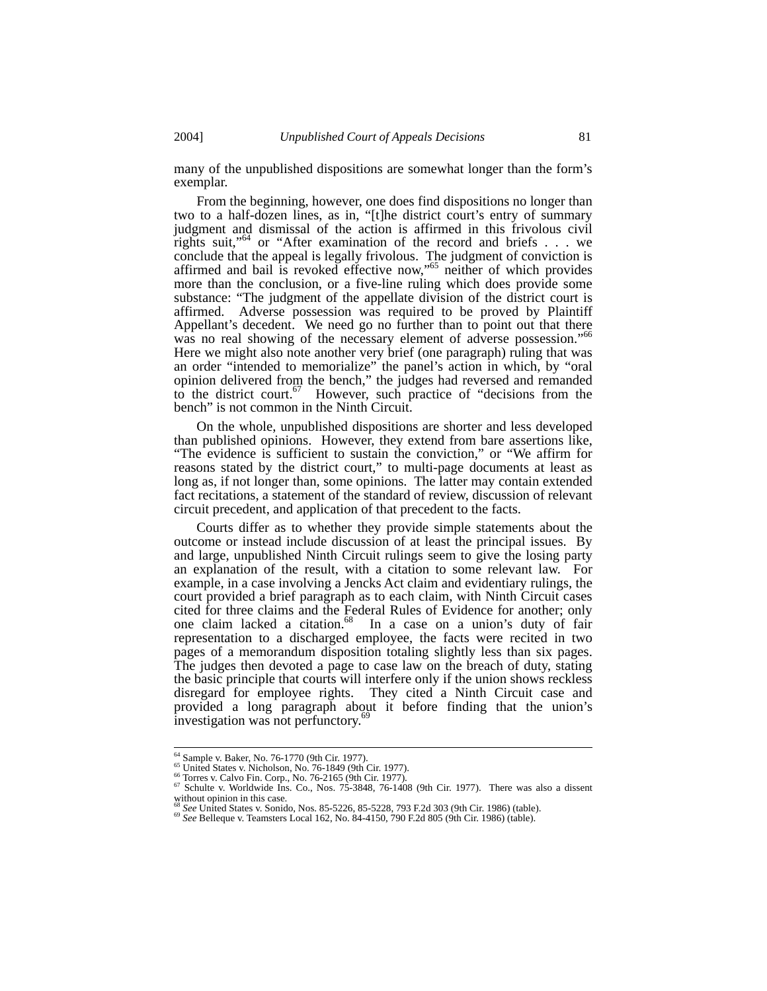many of the unpublished dispositions are somewhat longer than the form's exemplar.

From the beginning, however, one does find dispositions no longer than two to a half-dozen lines, as in, "[t]he district court's entry of summary judgment and dismissal of the action is affirmed in this frivolous civil rights suit,"64 or "After examination of the record and briefs . . . we conclude that the appeal is legally frivolous. The judgment of conviction is affirmed and bail is revoked effective now,"65 neither of which provides more than the conclusion, or a five-line ruling which does provide some substance: "The judgment of the appellate division of the district court is affirmed. Adverse possession was required to be proved by Plaintiff Appellant's decedent. We need go no further than to point out that there was no real showing of the necessary element of adverse possession."66 Here we might also note another very brief (one paragraph) ruling that was an order "intended to memorialize" the panel's action in which, by "oral opinion delivered from the bench," the judges had reversed and remanded to the district court.<sup>67</sup> However, such practice of "decisions from the However, such practice of "decisions from the bench" is not common in the Ninth Circuit.

On the whole, unpublished dispositions are shorter and less developed than published opinions. However, they extend from bare assertions like, "The evidence is sufficient to sustain the conviction," or "We affirm for reasons stated by the district court," to multi-page documents at least as long as, if not longer than, some opinions. The latter may contain extended fact recitations, a statement of the standard of review, discussion of relevant circuit precedent, and application of that precedent to the facts.

Courts differ as to whether they provide simple statements about the outcome or instead include discussion of at least the principal issues. By and large, unpublished Ninth Circuit rulings seem to give the losing party an explanation of the result, with a citation to some relevant law. For example, in a case involving a Jencks Act claim and evidentiary rulings, the court provided a brief paragraph as to each claim, with Ninth Circuit cases cited for three claims and the Federal Rules of Evidence for another; only one claim lacked a citation.<sup>68</sup> In a case on a union's duty of fair representation to a discharged employee, the facts were recited in two pages of a memorandum disposition totaling slightly less than six pages. The judges then devoted a page to case law on the breach of duty, stating the basic principle that courts will interfere only if the union shows reckless disregard for employee rights. They cited a Ninth Circuit case and provided a long paragraph about it before finding that the union's investigation was not perfunctory.<sup>6</sup>

<sup>&</sup>lt;sup>64</sup> Sample v. Baker, No. 76-1770 (9th Cir. 1977).<br>
<sup>65</sup> United States v. Nicholson, No. 76-1849 (9th Cir. 1977).<br>
<sup>66</sup> Torres v. Calvo Fin. Corp., No. 76-2165 (9th Cir. 1977).<br>
<sup>67</sup> Schulte v. Worldwide Ins. Co., Nos. 75 without opinion in this case.<br>  ${}^{68}$  See United States v. Sonido, Nos. 85-5226, 85-5228, 793 F.2d 303 (9th Cir. 1986) (table).

<sup>&</sup>lt;sup>69</sup> See Belleque v. Teamsters Local 162, No. 84-4150, 790 F.2d 805 (9th Cir. 1986) (table).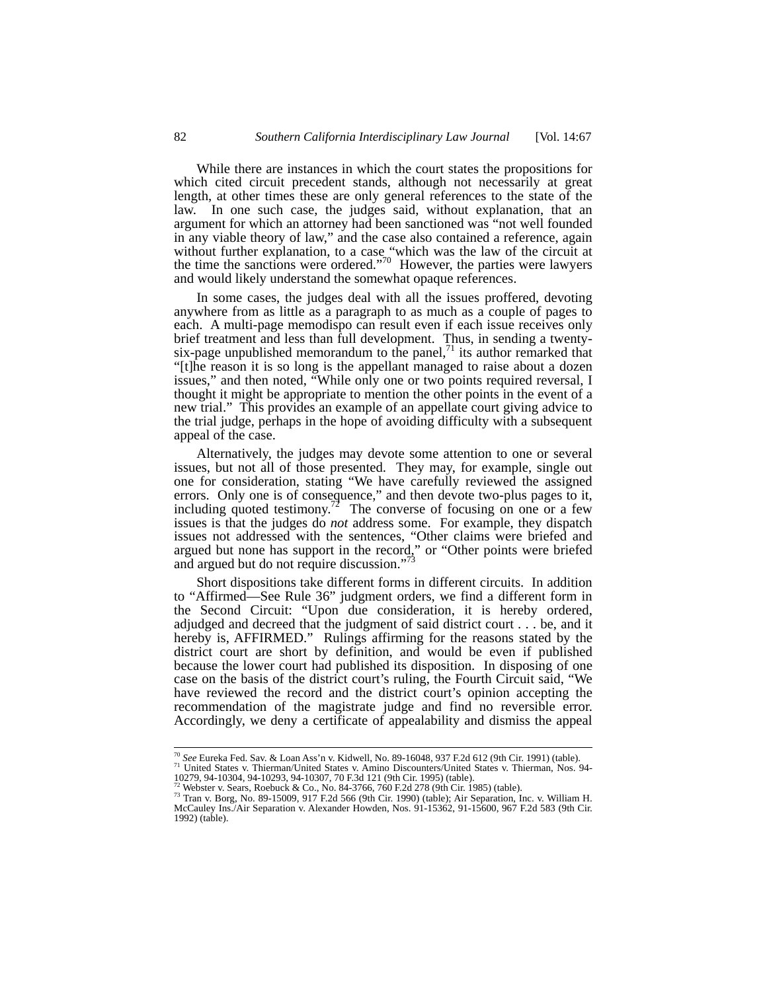While there are instances in which the court states the propositions for which cited circuit precedent stands, although not necessarily at great length, at other times these are only general references to the state of the law. In one such case, the judges said, without explanation, that an argument for which an attorney had been sanctioned was "not well founded in any viable theory of law," and the case also contained a reference, again without further explanation, to a case "which was the law of the circuit at the time the sanctions were ordered."<sup>70</sup> However, the parties were lawyers and would likely understand the somewhat opaque references.

In some cases, the judges deal with all the issues proffered, devoting anywhere from as little as a paragraph to as much as a couple of pages to each. A multi-page memodispo can result even if each issue receives only brief treatment and less than full development. Thus, in sending a twentysix-page unpublished memorandum to the panel, $<sup>71</sup>$  its author remarked that</sup> "[t]he reason it is so long is the appellant managed to raise about a dozen issues," and then noted, "While only one or two points required reversal, I thought it might be appropriate to mention the other points in the event of a new trial." This provides an example of an appellate court giving advice to the trial judge, perhaps in the hope of avoiding difficulty with a subsequent appeal of the case.

Alternatively, the judges may devote some attention to one or several issues, but not all of those presented. They may, for example, single out one for consideration, stating "We have carefully reviewed the assigned errors. Only one is of consequence," and then devote two-plus pages to it, including quoted testimony.<sup>72</sup> The converse of focusing on one or a few issues is that the judges do *not* address some. For example, they dispatch issues not addressed with the sentences, "Other claims were briefed and argued but none has support in the record," or "Other points were briefed and argued but do not require discussion."<sup>73</sup>

Short dispositions take different forms in different circuits. In addition to "Affirmed—See Rule 36" judgment orders, we find a different form in the Second Circuit: "Upon due consideration, it is hereby ordered, adjudged and decreed that the judgment of said district court . . . be, and it hereby is, AFFIRMED." Rulings affirming for the reasons stated by the district court are short by definition, and would be even if published because the lower court had published its disposition. In disposing of one case on the basis of the district court's ruling, the Fourth Circuit said, "We have reviewed the record and the district court's opinion accepting the recommendation of the magistrate judge and find no reversible error. Accordingly, we deny a certificate of appealability and dismiss the appeal

<sup>70</sup> *See* Eureka Fed. Sav. & Loan Ass'n v. Kidwell, No. 89-16048, 937 F.2d 612 (9th Cir. 1991) (table). 71 United States v. Thierman/United States v. Amino Discounters/United States v. Thierman, Nos. 94- 10279, 94-10304, 94-10293, 94-10307, 70 F.3d 121 (9th Cir. 1995) (table)

<sup>72</sup> Webster v. Sears, Roebuck & Co., No. 84-3766, 760 F.2d 278 (9th Cir. 1985) (table). 73 Tran v. Borg, No. 89-15009, 917 F.2d 566 (9th Cir. 1990) (table); Air Separation, Inc. v. William H. McCauley Ins./Air Separation v. Alexander Howden, Nos. 91-15362, 91-15600, 967 F.2d 583 (9th Cir. 1992) (table).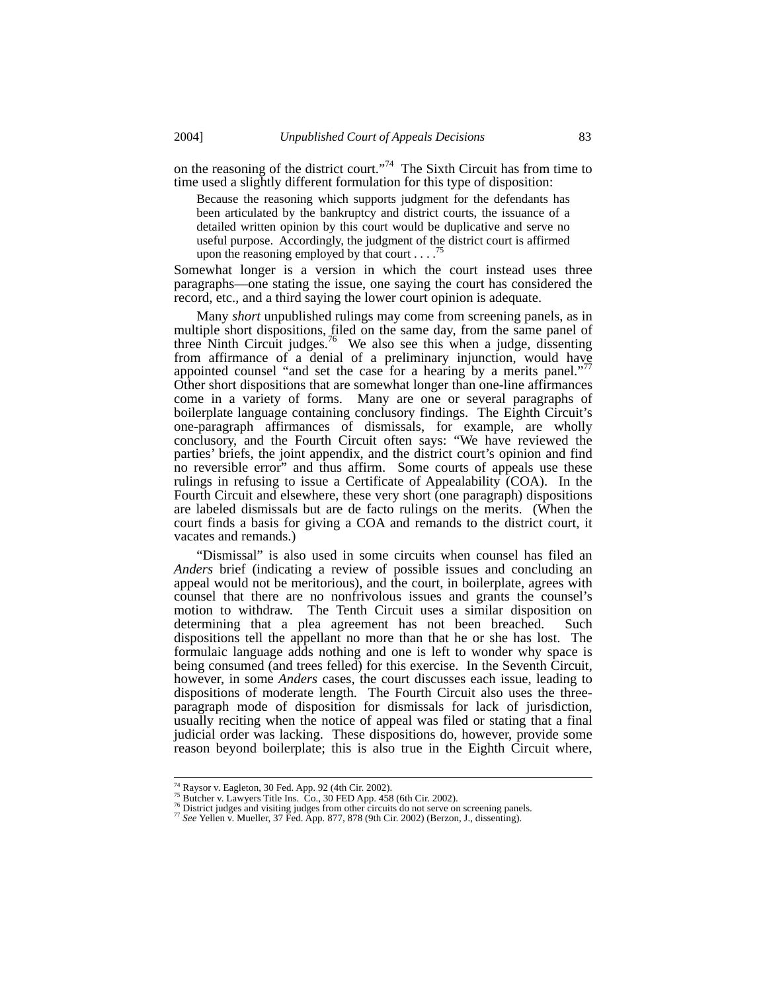on the reasoning of the district court."74 The Sixth Circuit has from time to time used a slightly different formulation for this type of disposition:

Because the reasoning which supports judgment for the defendants has been articulated by the bankruptcy and district courts, the issuance of a detailed written opinion by this court would be duplicative and serve no useful purpose. Accordingly, the judgment of the district court is affirmed upon the reasoning employed by that court . . . .<sup>7</sup>

Somewhat longer is a version in which the court instead uses three paragraphs—one stating the issue, one saying the court has considered the record, etc., and a third saying the lower court opinion is adequate.

Many *short* unpublished rulings may come from screening panels, as in multiple short dispositions, filed on the same day, from the same panel of three Ninth Circuit judges.<sup>76</sup> We also see this when a judge, dissenting from affirmance of a denial of a preliminary injunction, would have appointed counsel "and set the case for a hearing by a merits panel." Other short dispositions that are somewhat longer than one-line affirmances come in a variety of forms. Many are one or several paragraphs of boilerplate language containing conclusory findings. The Eighth Circuit's one-paragraph affirmances of dismissals, for example, are wholly conclusory, and the Fourth Circuit often says: "We have reviewed the parties' briefs, the joint appendix, and the district court's opinion and find no reversible error" and thus affirm. Some courts of appeals use these rulings in refusing to issue a Certificate of Appealability (COA). In the Fourth Circuit and elsewhere, these very short (one paragraph) dispositions are labeled dismissals but are de facto rulings on the merits. (When the court finds a basis for giving a COA and remands to the district court, it vacates and remands.)

"Dismissal" is also used in some circuits when counsel has filed an *Anders* brief (indicating a review of possible issues and concluding an appeal would not be meritorious), and the court, in boilerplate, agrees with counsel that there are no nonfrivolous issues and grants the counsel's motion to withdraw. The Tenth Circuit uses a similar disposition on determining that a plea agreement has not been breached. Such dispositions tell the appellant no more than that he or she has lost. The formulaic language adds nothing and one is left to wonder why space is being consumed (and trees felled) for this exercise. In the Seventh Circuit, however, in some *Anders* cases, the court discusses each issue, leading to dispositions of moderate length. The Fourth Circuit also uses the threeparagraph mode of disposition for dismissals for lack of jurisdiction, usually reciting when the notice of appeal was filed or stating that a final judicial order was lacking. These dispositions do, however, provide some reason beyond boilerplate; this is also true in the Eighth Circuit where,

<sup>&</sup>lt;sup>74</sup> Raysor v. Eagleton, 30 Fed. App. 92 (4th Cir. 2002).<br><sup>75</sup> Butcher v. Lawyers Title Ins. Co., 30 FED App. 458 (6th Cir. 2002).<br><sup>76</sup> District judges and visiting judges from other circuits do not serve on screening pan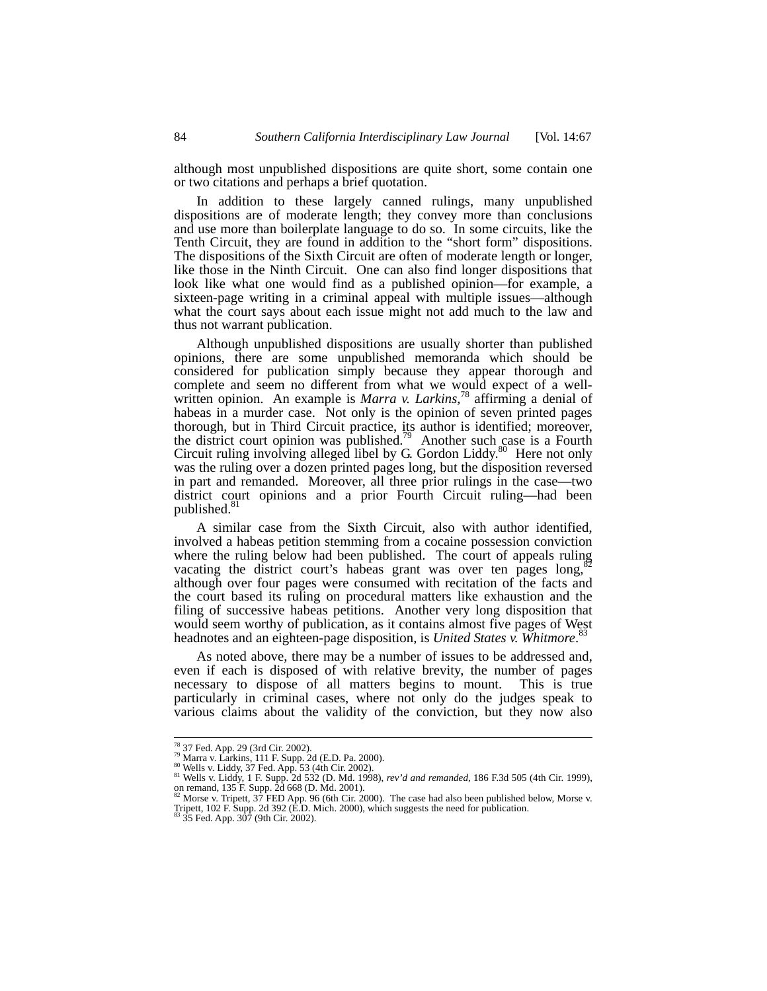although most unpublished dispositions are quite short, some contain one or two citations and perhaps a brief quotation.

In addition to these largely canned rulings, many unpublished dispositions are of moderate length; they convey more than conclusions and use more than boilerplate language to do so. In some circuits, like the Tenth Circuit, they are found in addition to the "short form" dispositions. The dispositions of the Sixth Circuit are often of moderate length or longer, like those in the Ninth Circuit. One can also find longer dispositions that look like what one would find as a published opinion—for example, a sixteen-page writing in a criminal appeal with multiple issues—although what the court says about each issue might not add much to the law and thus not warrant publication.

Although unpublished dispositions are usually shorter than published opinions, there are some unpublished memoranda which should be considered for publication simply because they appear thorough and complete and seem no different from what we would expect of a wellwritten opinion. An example is *Marra v. Larkins*,<sup>78</sup> affirming a denial of habeas in a murder case. Not only is the opinion of seven printed pages thorough, but in Third Circuit practice, its author is identified; moreover, the district court opinion was published.<sup>79</sup> Another such case is a Fourth Circuit ruling involving alleged libel by G. Gordon Liddy. $80$  Here not only was the ruling over a dozen printed pages long, but the disposition reversed in part and remanded. Moreover, all three prior rulings in the case—two district court opinions and a prior Fourth Circuit ruling—had been published.<sup>81</sup>

A similar case from the Sixth Circuit, also with author identified, involved a habeas petition stemming from a cocaine possession conviction where the ruling below had been published. The court of appeals ruling vacating the district court's habeas grant was over ten pages long,<sup>8</sup> although over four pages were consumed with recitation of the facts and the court based its ruling on procedural matters like exhaustion and the filing of successive habeas petitions. Another very long disposition that would seem worthy of publication, as it contains almost five pages of West headnotes and an eighteen-page disposition, is *United States v. Whitmore*. 83

As noted above, there may be a number of issues to be addressed and, even if each is disposed of with relative brevity, the number of pages necessary to dispose of all matters begins to mount. This is true particularly in criminal cases, where not only do the judges speak to various claims about the validity of the conviction, but they now also

<sup>&</sup>lt;sup>78</sup> 37 Fed. App. 29 (3rd Cir. 2002).<br><sup>79</sup> Marra v. Larkins, 111 F. Supp. 2d (E.D. Pa. 2000).<br><sup>80</sup> Wells v. Liddy, 37 Fed. App. 53 (4th Cir. 2002).<br><sup>81</sup> Wells v. Liddy, 1 F. Supp. 2d 532 (D. Md. 1998), *rev'd and remanded* 

Tripett, 102 F. Supp. 2d 392 (E.D. Mich. 2000), which suggests the need for publication. Tripett,  $102$  F. Supp. 2d  $392$  (E.D. Mich. 2000), which suggests the need for publication.<br> $83$  35 Fed. App. 307 (9th Cir. 2002).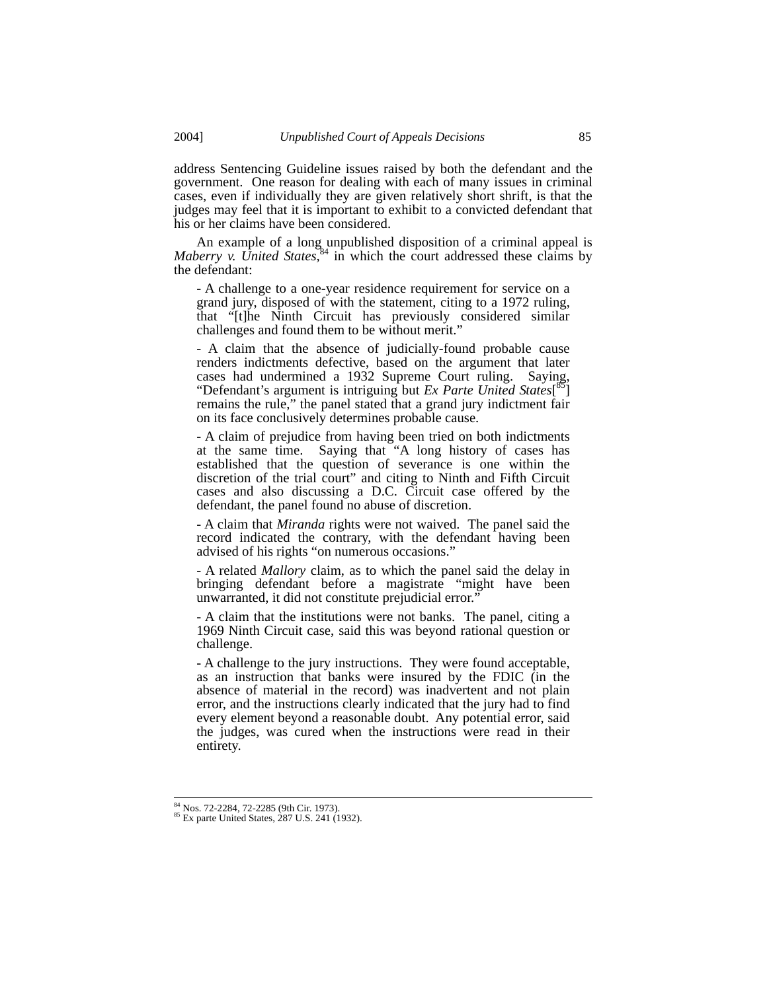address Sentencing Guideline issues raised by both the defendant and the government. One reason for dealing with each of many issues in criminal cases, even if individually they are given relatively short shrift, is that the judges may feel that it is important to exhibit to a convicted defendant that his or her claims have been considered.

An example of a long unpublished disposition of a criminal appeal is *Maberry v. United States*<sup>84</sup> in which the court addressed these claims by the defendant:

- A challenge to a one-year residence requirement for service on a grand jury, disposed of with the statement, citing to a 1972 ruling, that "[t]he Ninth Circuit has previously considered similar challenges and found them to be without merit."

- A claim that the absence of judicially-found probable cause renders indictments defective, based on the argument that later cases had undermined a 1932 Supreme Court ruling. Saying, "Defendant's argument is intriguing but *Ex Parte United States*[ 85] remains the rule," the panel stated that a grand jury indictment fair on its face conclusively determines probable cause.

- A claim of prejudice from having been tried on both indictments at the same time. Saying that "A long history of cases has established that the question of severance is one within the discretion of the trial court" and citing to Ninth and Fifth Circuit cases and also discussing a D.C. Circuit case offered by the defendant, the panel found no abuse of discretion.

- A claim that *Miranda* rights were not waived. The panel said the record indicated the contrary, with the defendant having been advised of his rights "on numerous occasions."

- A related *Mallory* claim, as to which the panel said the delay in bringing defendant before a magistrate "might have been unwarranted, it did not constitute prejudicial error."

- A claim that the institutions were not banks. The panel, citing a 1969 Ninth Circuit case, said this was beyond rational question or challenge.

- A challenge to the jury instructions. They were found acceptable, as an instruction that banks were insured by the FDIC (in the absence of material in the record) was inadvertent and not plain error, and the instructions clearly indicated that the jury had to find every element beyond a reasonable doubt. Any potential error, said the judges, was cured when the instructions were read in their entirety.

<sup>&</sup>lt;sup>84</sup> Nos. 72-2284, 72-2285 (9th Cir. 1973).<br><sup>85</sup> Ex parte United States, 287 U.S. 241 (1932).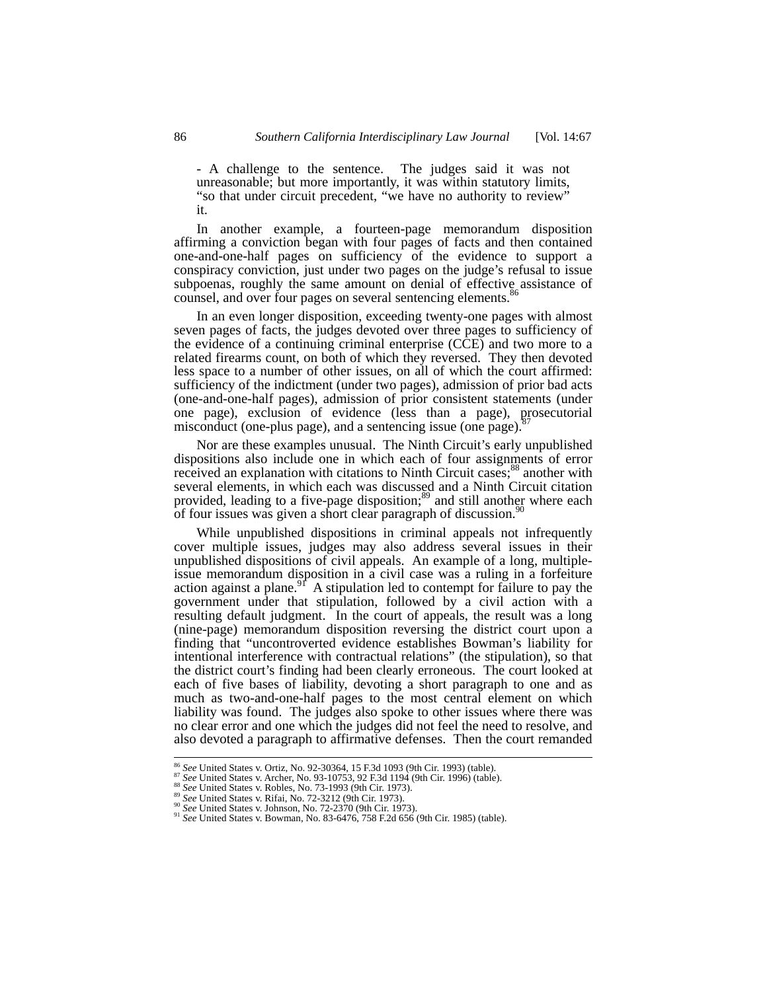- A challenge to the sentence. The judges said it was not unreasonable; but more importantly, it was within statutory limits, "so that under circuit precedent, "we have no authority to review" it.

In another example, a fourteen-page memorandum disposition affirming a conviction began with four pages of facts and then contained one-and-one-half pages on sufficiency of the evidence to support a conspiracy conviction, just under two pages on the judge's refusal to issue subpoenas, roughly the same amount on denial of effective assistance of counsel, and over four pages on several sentencing elements.<sup>8</sup>

In an even longer disposition, exceeding twenty-one pages with almost seven pages of facts, the judges devoted over three pages to sufficiency of the evidence of a continuing criminal enterprise (CCE) and two more to a related firearms count, on both of which they reversed. They then devoted less space to a number of other issues, on all of which the court affirmed: sufficiency of the indictment (under two pages), admission of prior bad acts (one-and-one-half pages), admission of prior consistent statements (under one page), exclusion of evidence (less than a page), prosecutorial misconduct (one-plus page), and a sentencing issue (one page). $\delta$ 

Nor are these examples unusual. The Ninth Circuit's early unpublished dispositions also include one in which each of four assignments of error received an explanation with citations to Ninth Circuit cases;<sup>88</sup> another with several elements, in which each was discussed and a Ninth Circuit citation provided, leading to a five-page disposition; $89$  and still another where each of four issues was given a short clear paragraph of discussion.<sup>90</sup>

While unpublished dispositions in criminal appeals not infrequently cover multiple issues, judges may also address several issues in their unpublished dispositions of civil appeals. An example of a long, multipleissue memorandum disposition in a civil case was a ruling in a forfeiture action against a plane.<sup>91</sup> A stipulation led to contempt for failure to pay the government under that stipulation, followed by a civil action with a resulting default judgment. In the court of appeals, the result was a long (nine-page) memorandum disposition reversing the district court upon a finding that "uncontroverted evidence establishes Bowman's liability for intentional interference with contractual relations" (the stipulation), so that the district court's finding had been clearly erroneous. The court looked at each of five bases of liability, devoting a short paragraph to one and as much as two-and-one-half pages to the most central element on which liability was found. The judges also spoke to other issues where there was no clear error and one which the judges did not feel the need to resolve, and also devoted a paragraph to affirmative defenses. Then the court remanded

<sup>&</sup>lt;sup>86</sup> See United States v. Ortiz, No. 92-30364, 15 F.3d 1093 (9th Cir. 1993) (table).<br><sup>87</sup> See United States v. Archer, No. 93-10753, 92 F.3d 1194 (9th Cir. 1996) (table).<br><sup>88</sup> See United States v. Robles, No. 73-1993 (9th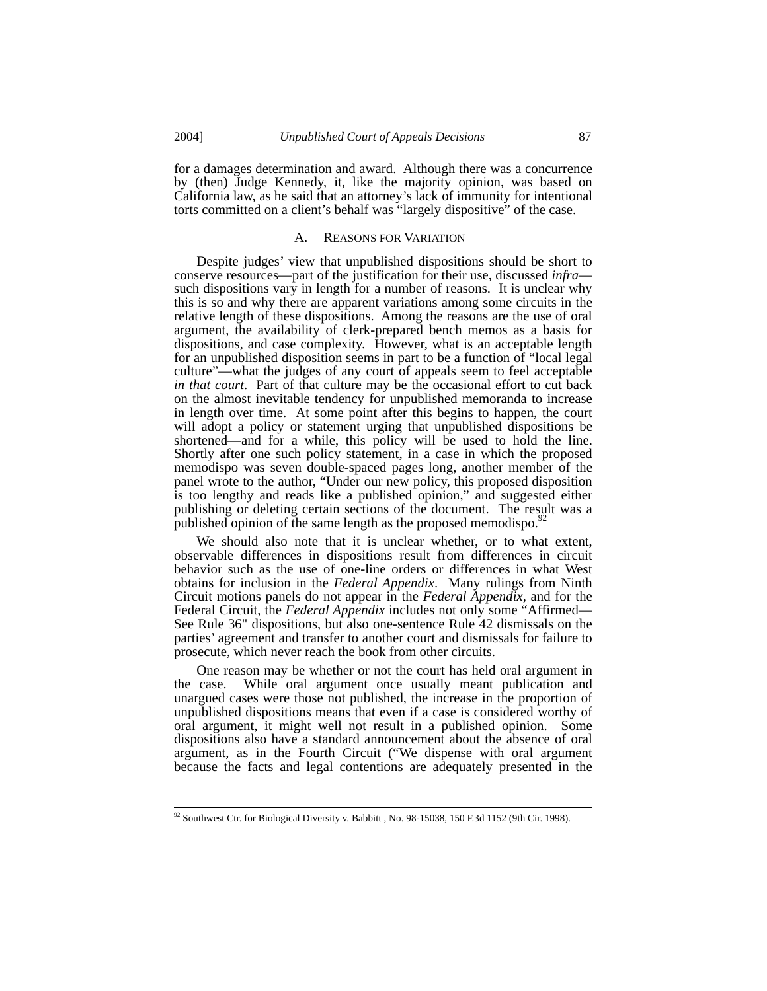for a damages determination and award. Although there was a concurrence by (then) Judge Kennedy, it, like the majority opinion, was based on California law, as he said that an attorney's lack of immunity for intentional torts committed on a client's behalf was "largely dispositive" of the case.

#### A. REASONS FOR VARIATION

Despite judges' view that unpublished dispositions should be short to conserve resources—part of the justification for their use, discussed *infra* such dispositions vary in length for a number of reasons. It is unclear why this is so and why there are apparent variations among some circuits in the relative length of these dispositions. Among the reasons are the use of oral argument, the availability of clerk-prepared bench memos as a basis for dispositions, and case complexity. However, what is an acceptable length for an unpublished disposition seems in part to be a function of "local legal culture"—what the judges of any court of appeals seem to feel acceptable *in that court*. Part of that culture may be the occasional effort to cut back on the almost inevitable tendency for unpublished memoranda to increase in length over time. At some point after this begins to happen, the court will adopt a policy or statement urging that unpublished dispositions be shortened—and for a while, this policy will be used to hold the line. Shortly after one such policy statement, in a case in which the proposed memodispo was seven double-spaced pages long, another member of the panel wrote to the author, "Under our new policy, this proposed disposition is too lengthy and reads like a published opinion," and suggested either publishing or deleting certain sections of the document. The result was a published opinion of the same length as the proposed memodispo.<sup>9</sup>

We should also note that it is unclear whether, or to what extent, observable differences in dispositions result from differences in circuit behavior such as the use of one-line orders or differences in what West obtains for inclusion in the *Federal Appendix*. Many rulings from Ninth Circuit motions panels do not appear in the *Federal Appendix*, and for the Federal Circuit, the *Federal Appendix* includes not only some "Affirmed— See Rule 36" dispositions, but also one-sentence Rule 42 dismissals on the parties' agreement and transfer to another court and dismissals for failure to prosecute, which never reach the book from other circuits.

One reason may be whether or not the court has held oral argument in the case. While oral argument once usually meant publication and unargued cases were those not published, the increase in the proportion of unpublished dispositions means that even if a case is considered worthy of oral argument, it might well not result in a published opinion. Some dispositions also have a standard announcement about the absence of oral argument, as in the Fourth Circuit ("We dispense with oral argument because the facts and legal contentions are adequately presented in the

 $92$  Southwest Ctr. for Biological Diversity v. Babbitt , No. 98-15038, 150 F.3d 1152 (9th Cir. 1998).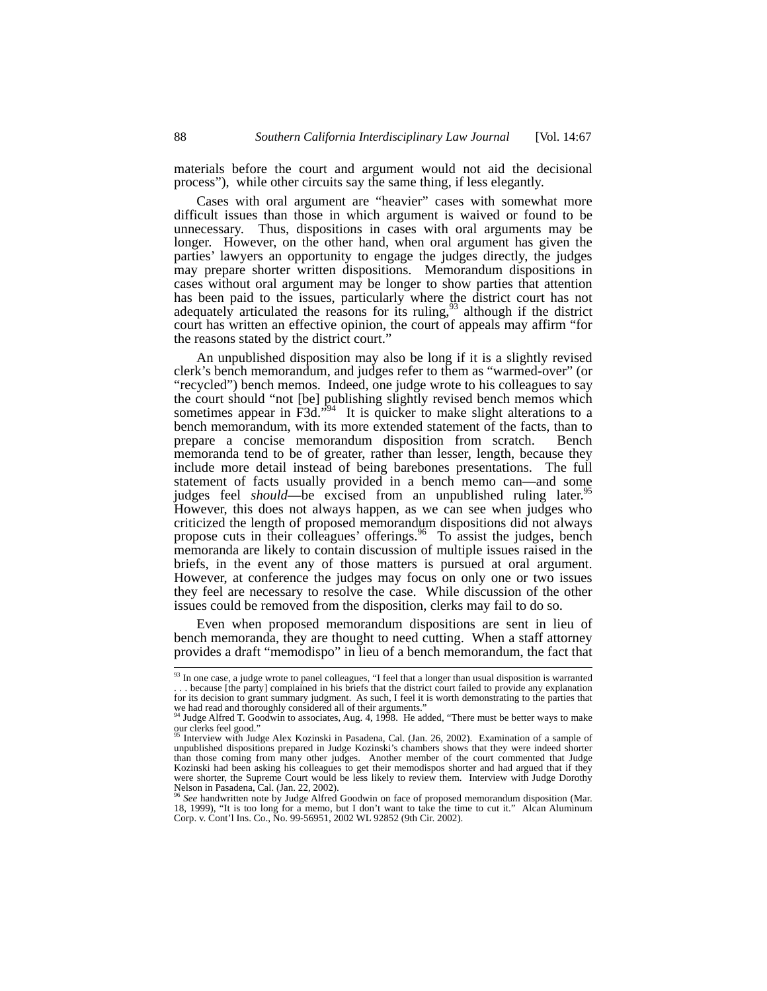materials before the court and argument would not aid the decisional process"), while other circuits say the same thing, if less elegantly.

Cases with oral argument are "heavier" cases with somewhat more difficult issues than those in which argument is waived or found to be unnecessary. Thus, dispositions in cases with oral arguments may be longer. However, on the other hand, when oral argument has given the parties' lawyers an opportunity to engage the judges directly, the judges may prepare shorter written dispositions. Memorandum dispositions in cases without oral argument may be longer to show parties that attention has been paid to the issues, particularly where the district court has not adequately articulated the reasons for its ruling,  $93$  although if the district court has written an effective opinion, the court of appeals may affirm "for the reasons stated by the district court."

An unpublished disposition may also be long if it is a slightly revised clerk's bench memorandum, and judges refer to them as "warmed-over" (or "recycled") bench memos. Indeed, one judge wrote to his colleagues to say the court should "not [be] publishing slightly revised bench memos which sometimes appear in F3d."<sup>94</sup> It is quicker to make slight alterations to a bench memorandum, with its more extended statement of the facts, than to prepare a concise memorandum disposition from scratch. Bench memoranda tend to be of greater, rather than lesser, length, because they include more detail instead of being barebones presentations. The full statement of facts usually provided in a bench memo can—and some judges feel *should*—be excised from an unpublished ruling later.<sup>95</sup> However, this does not always happen, as we can see when judges who criticized the length of proposed memorandum dispositions did not always propose cuts in their colleagues' offerings.<sup>96</sup> To assist the judges, bench memoranda are likely to contain discussion of multiple issues raised in the briefs, in the event any of those matters is pursued at oral argument. However, at conference the judges may focus on only one or two issues they feel are necessary to resolve the case. While discussion of the other issues could be removed from the disposition, clerks may fail to do so.

Even when proposed memorandum dispositions are sent in lieu of bench memoranda, they are thought to need cutting. When a staff attorney provides a draft "memodispo" in lieu of a bench memorandum, the fact that

<sup>&</sup>lt;sup>93</sup> In one case, a judge wrote to panel colleagues, "I feel that a longer than usual disposition is warranted . . . because [the party] complained in his briefs that the district court failed to provide any explanation for its decision to grant summary judgment. As such, I feel it is worth demonstrating to the parties that

we had read and thoroughly considered all of their arguments."<br><sup>94</sup> Judge Alfred T. Goodwin to associates, Aug. 4, 1998. He added, "There must be better ways to make our clerks feel good."

<sup>95</sup> Interview with Judge Alex Kozinski in Pasadena, Cal. (Jan. 26, 2002). Examination of a sample of unpublished dispositions prepared in Judge Kozinski's chambers shows that they were indeed shorter than those coming from many other judges. Another member of the court commented that Judge Kozinski had been asking his colleagues to get their memodispos shorter and had argued that if they were shorter, the Supreme Court would be less likely to review them. Interview with Judge Dorothy Nelson in Pasadena, Cal. (Jan. 22, 2002). <sup>96</sup> *See* handwritten note by Judge Alfred Goodwin on face of proposed memorandum disposition (Mar.

<sup>18, 1999), &</sup>quot;It is too long for a memo, but I don't want to take the time to cut it." Alcan Aluminum Corp. v. Cont'l Ins. Co., No. 99-56951, 2002 WL 92852 (9th Cir. 2002).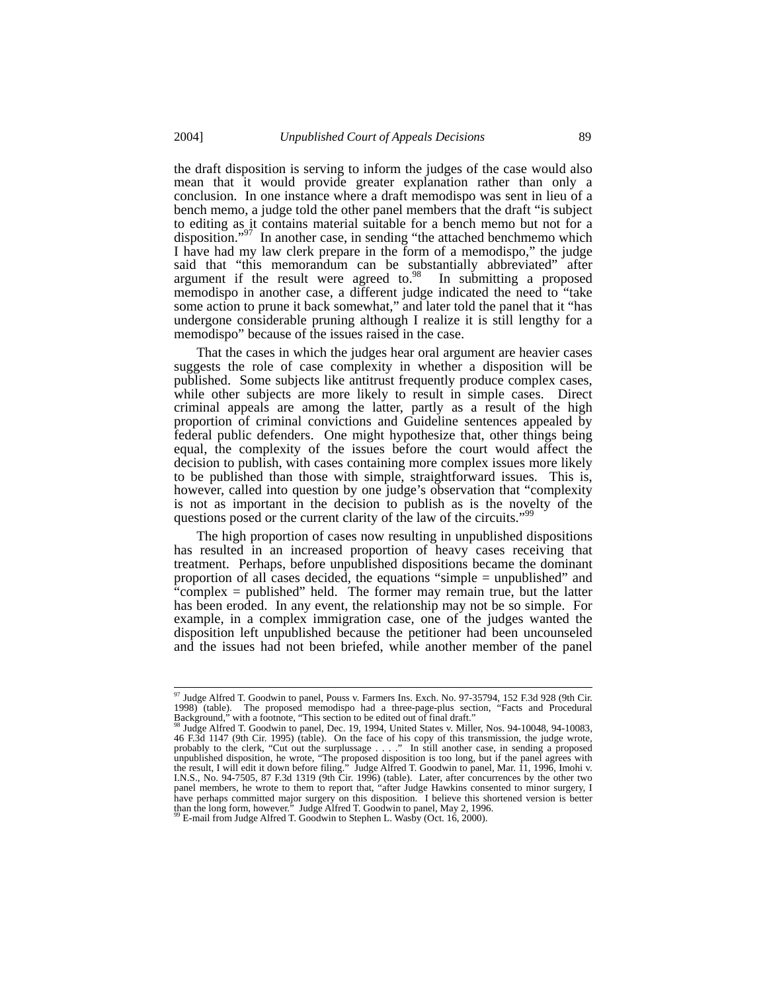the draft disposition is serving to inform the judges of the case would also mean that it would provide greater explanation rather than only a conclusion. In one instance where a draft memodispo was sent in lieu of a bench memo, a judge told the other panel members that the draft "is subject to editing as it contains material suitable for a bench memo but not for a disposition."<sup>97</sup> In another case, in sending "the attached benchmemo which I have had my law clerk prepare in the form of a memodispo," the judge said that "this memorandum can be substantially abbreviated" after argument if the result were agreed to. $\frac{98}{10}$  In submitting a proposed memodispo in another case, a different judge indicated the need to "take some action to prune it back somewhat," and later told the panel that it "has undergone considerable pruning although I realize it is still lengthy for a memodispo" because of the issues raised in the case.

That the cases in which the judges hear oral argument are heavier cases suggests the role of case complexity in whether a disposition will be published. Some subjects like antitrust frequently produce complex cases, while other subjects are more likely to result in simple cases. Direct criminal appeals are among the latter, partly as a result of the high proportion of criminal convictions and Guideline sentences appealed by federal public defenders. One might hypothesize that, other things being equal, the complexity of the issues before the court would affect the decision to publish, with cases containing more complex issues more likely to be published than those with simple, straightforward issues. This is, however, called into question by one judge's observation that "complexity is not as important in the decision to publish as is the novelty of the questions posed or the current clarity of the law of the circuits."<sup>9</sup>

The high proportion of cases now resulting in unpublished dispositions has resulted in an increased proportion of heavy cases receiving that treatment. Perhaps, before unpublished dispositions became the dominant proportion of all cases decided, the equations "simple = unpublished" and "complex = published" held. The former may remain true, but the latter has been eroded. In any event, the relationship may not be so simple. For example, in a complex immigration case, one of the judges wanted the disposition left unpublished because the petitioner had been uncounseled and the issues had not been briefed, while another member of the panel

<sup>&</sup>lt;sup>97</sup> Judge Alfred T. Goodwin to panel, Pouss v. Farmers Ins. Exch. No. 97-35794, 152 F.3d 928 (9th Cir. 1998) (table). The proposed memodispo had a three-page-plus section, "Facts and Procedural

Background," with a footnote, "This section to be edited out of final draft."<br><sup>98</sup> Judge Alfred T. Goodwin to panel, Dec. 19, 1994, United States v. Miller, Nos. 94-10048, 94-10083, <sup>98</sup> Judge Alfred T. Goodwin to panel, Dec. 19, 1994, United States v. Miller, Nos. 94-10048, 94-10083, 46 F.3d 1147 (9th Cir. 1995) (table). On the face of his copy of this transmission, the judge wrote, probably to the clerk, "Cut out the surplussage . . . ." In still another case, in sending a proposed unpublished disposition, he wrote, "The proposed disposition is too long, but if the panel agrees with the result, I wil I.N.S., No. 94-7505, 87 F.3d 1319 (9th Cir. 1996) (table). Later, after concurrences by the other two panel members, he wrote to them to report that, "after Judge Hawkins consented to minor surgery, I have perhaps committe than the long form, however." Judge Alfred T. Goodwin to panel, May 2, 1996. <sup>99</sup> E-mail from Judge Alfred T. Goodwin to Stephen L. Wasby (Oct. 16, 2000).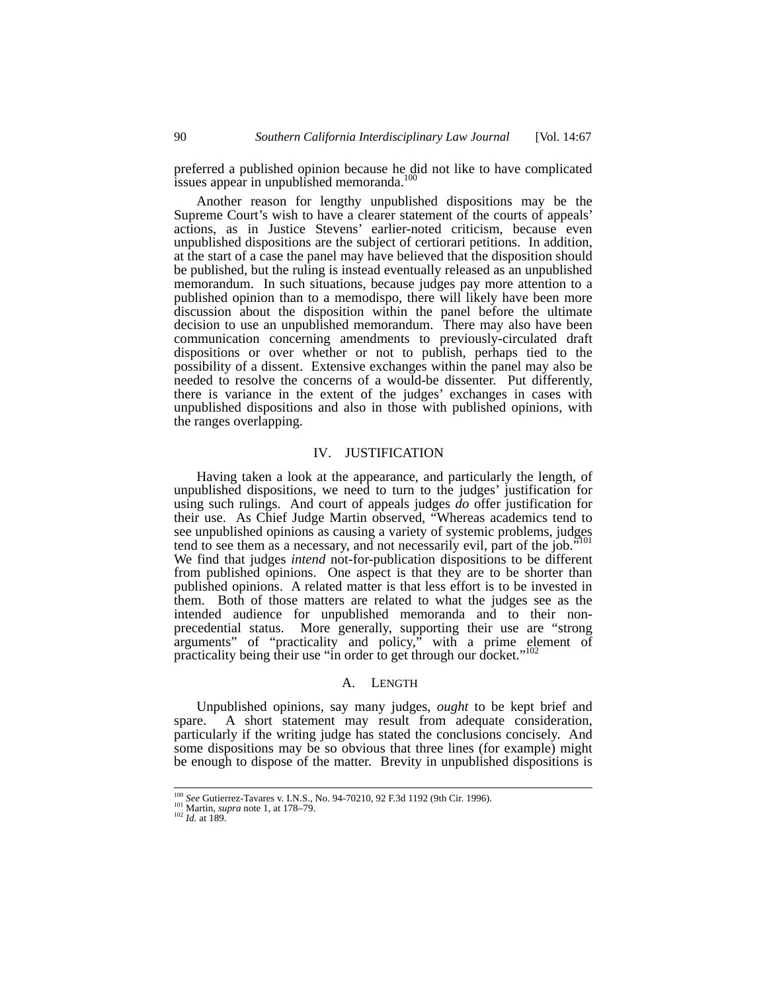preferred a published opinion because he did not like to have complicated issues appear in unpublished memoranda.<sup>100</sup>

Another reason for lengthy unpublished dispositions may be the Supreme Court's wish to have a clearer statement of the courts of appeals' actions, as in Justice Stevens' earlier-noted criticism, because even unpublished dispositions are the subject of certiorari petitions. In addition, at the start of a case the panel may have believed that the disposition should be published, but the ruling is instead eventually released as an unpublished memorandum. In such situations, because judges pay more attention to a published opinion than to a memodispo, there will likely have been more discussion about the disposition within the panel before the ultimate decision to use an unpublished memorandum. There may also have been communication concerning amendments to previously-circulated draft dispositions or over whether or not to publish, perhaps tied to the possibility of a dissent. Extensive exchanges within the panel may also be needed to resolve the concerns of a would-be dissenter. Put differently, there is variance in the extent of the judges' exchanges in cases with unpublished dispositions and also in those with published opinions, with the ranges overlapping.

## IV. JUSTIFICATION

Having taken a look at the appearance, and particularly the length, of unpublished dispositions, we need to turn to the judges' justification for using such rulings. And court of appeals judges *do* offer justification for their use. As Chief Judge Martin observed, "Whereas academics tend to see unpublished opinions as causing a variety of systemic problems, judges tend to see them as a necessary, and not necessarily evil, part of the job.<sup> $51$ 1</sup> We find that judges *intend* not-for-publication dispositions to be different from published opinions. One aspect is that they are to be shorter than published opinions. A related matter is that less effort is to be invested in them. Both of those matters are related to what the judges see as the intended audience for unpublished memoranda and to their nonprecedential status. More generally, supporting their use are "strong arguments" of "practicality and policy," with a prime element of practicality being their use "in order to get through our docket."<sup>102</sup>

#### A. LENGTH

Unpublished opinions, say many judges, *ought* to be kept brief and spare. A short statement may result from adequate consideration, particularly if the writing judge has stated the conclusions concisely. And some dispositions may be so obvious that three lines (for example) might be enough to dispose of the matter. Brevity in unpublished dispositions is

<sup>&</sup>lt;sup>100</sup> *See* Gutierrez-Tavares v. I.N.S., No. 94-70210, 92 F.3d 1192 (9th Cir. 1996).<br><sup>101</sup> Martin, *supra* note 1, at 178–79.<br><sup>102</sup> *Id.* at 189.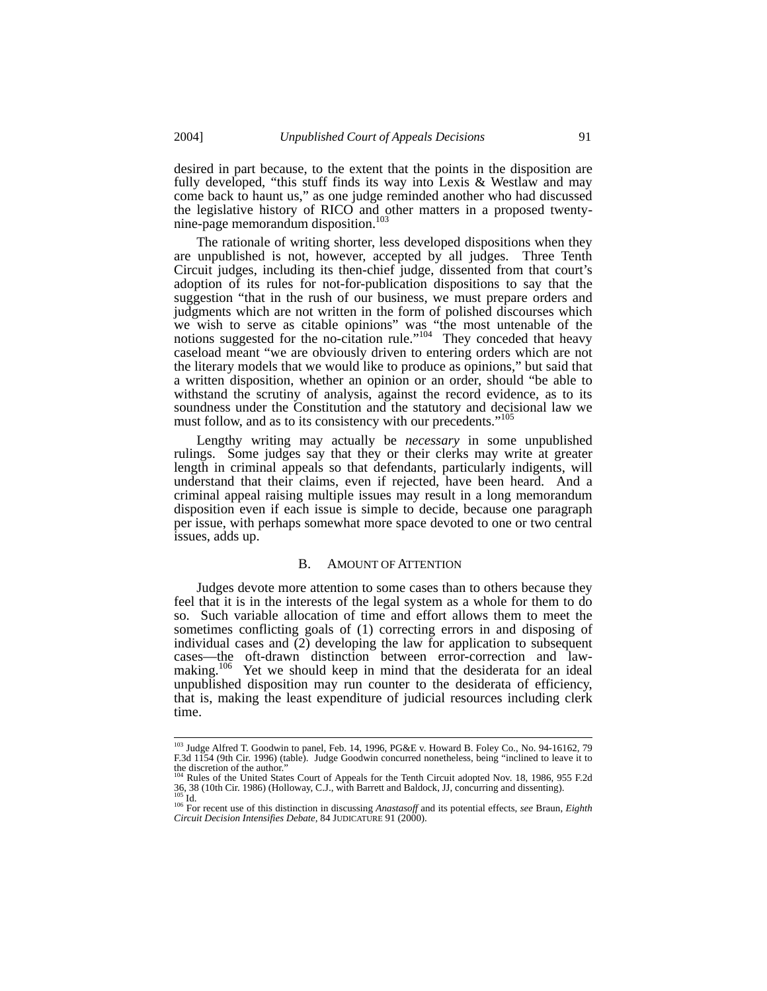desired in part because, to the extent that the points in the disposition are fully developed, "this stuff finds its way into Lexis & Westlaw and may come back to haunt us," as one judge reminded another who had discussed the legislative history of RICO and other matters in a proposed twentynine-page memorandum disposition.<sup>103</sup>

The rationale of writing shorter, less developed dispositions when they are unpublished is not, however, accepted by all judges. Three Tenth Circuit judges, including its then-chief judge, dissented from that court's adoption of its rules for not-for-publication dispositions to say that the suggestion "that in the rush of our business, we must prepare orders and judgments which are not written in the form of polished discourses which we wish to serve as citable opinions" was "the most untenable of the notions suggested for the no-citation rule."<sup>104</sup> They conceded that heavy caseload meant "we are obviously driven to entering orders which are not the literary models that we would like to produce as opinions," but said that a written disposition, whether an opinion or an order, should "be able to withstand the scrutiny of analysis, against the record evidence, as to its soundness under the Constitution and the statutory and decisional law we must follow, and as to its consistency with our precedents."<sup>105</sup>

Lengthy writing may actually be *necessary* in some unpublished rulings. Some judges say that they or their clerks may write at greater length in criminal appeals so that defendants, particularly indigents, will understand that their claims, even if rejected, have been heard. And a criminal appeal raising multiple issues may result in a long memorandum disposition even if each issue is simple to decide, because one paragraph per issue, with perhaps somewhat more space devoted to one or two central issues, adds up.

## B. AMOUNT OF ATTENTION

Judges devote more attention to some cases than to others because they feel that it is in the interests of the legal system as a whole for them to do so. Such variable allocation of time and effort allows them to meet the sometimes conflicting goals of (1) correcting errors in and disposing of individual cases and (2) developing the law for application to subsequent cases—the oft-drawn distinction between error-correction and lawmaking.<sup>106</sup> Yet we should keep in mind that the desiderata for an ideal unpublished disposition may run counter to the desiderata of efficiency, that is, making the least expenditure of judicial resources including clerk time.

<sup>&</sup>lt;sup>103</sup> Judge Alfred T. Goodwin to panel, Feb. 14, 1996, PG&E v. Howard B. Foley Co., No. 94-16162, 79<br>F.3d 1154 (9th Cir. 1996) (table). Judge Goodwin concurred nonetheless, being "inclined to leave it to the discretion of the author."

Rules of the United States Court of Appeals for the Tenth Circuit adopted Nov. 18, 1986, 955 F.2d 36, 38 (10th Cir. 1986) (Holloway, C.J., with Barrett and Baldock, JJ, concurring and dissenting).<br><sup>105</sup> Id. <sup>106</sup> For recent use of this distinction in discussing *Anastasoff* and its potential effects, *see* Braun, *Eig* 

*Circuit Decision Intensifies Debate,* 84 JUDICATURE 91 (2000).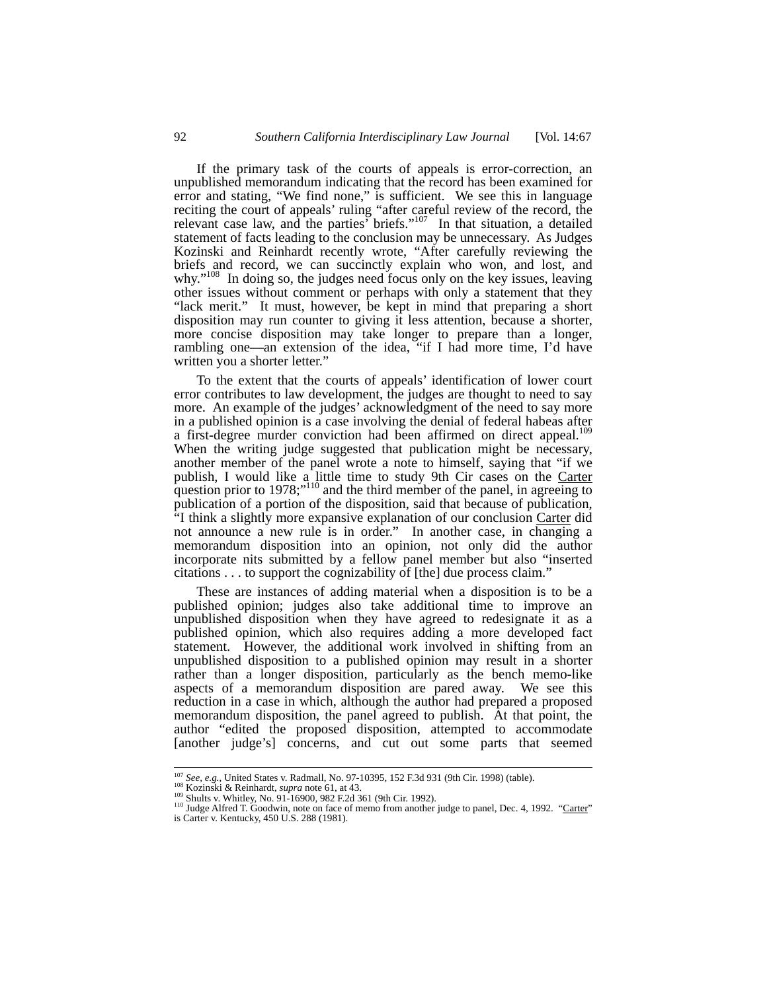If the primary task of the courts of appeals is error-correction, an unpublished memorandum indicating that the record has been examined for error and stating, "We find none," is sufficient. We see this in language reciting the court of appeals' ruling "after careful review of the record, the relevant case law, and the parties<sup> $5$ </sup> briefs."<sup>107</sup> In that situation, a detailed statement of facts leading to the conclusion may be unnecessary. As Judges Kozinski and Reinhardt recently wrote, "After carefully reviewing the briefs and record, we can succinctly explain who won, and lost, and why."<sup>108</sup> In doing so, the judges need focus only on the key issues, leaving other issues without comment or perhaps with only a statement that they "lack merit." It must, however, be kept in mind that preparing a short disposition may run counter to giving it less attention, because a shorter, more concise disposition may take longer to prepare than a longer, rambling one—an extension of the idea, "if I had more time, I'd have written you a shorter letter."

To the extent that the courts of appeals' identification of lower court error contributes to law development, the judges are thought to need to say more. An example of the judges' acknowledgment of the need to say more in a published opinion is a case involving the denial of federal habeas after a first-degree murder conviction had been affirmed on direct appeal.<sup>109</sup> When the writing judge suggested that publication might be necessary, another member of the panel wrote a note to himself, saying that "if we publish, I would like a little time to study 9th Cir cases on the Carter question prior to 1978;"<sup>110</sup> and the third member of the panel, in agreeing to publication of a portion of the disposition, said that because of publication, "I think a slightly more expansive explanation of our conclusion Carter did not announce a new rule is in order." In another case, in changing a memorandum disposition into an opinion, not only did the author incorporate nits submitted by a fellow panel member but also "inserted citations . . . to support the cognizability of [the] due process claim."

These are instances of adding material when a disposition is to be a published opinion; judges also take additional time to improve an unpublished disposition when they have agreed to redesignate it as a published opinion, which also requires adding a more developed fact statement. However, the additional work involved in shifting from an unpublished disposition to a published opinion may result in a shorter rather than a longer disposition, particularly as the bench memo-like aspects of a memorandum disposition are pared away. We see this reduction in a case in which, although the author had prepared a proposed memorandum disposition, the panel agreed to publish. At that point, the author "edited the proposed disposition, attempted to accommodate [another judge's] concerns, and cut out some parts that seemed

<sup>&</sup>lt;sup>107</sup> *See, e.g.*, United States v. Radmall, No. 97-10395, 152 F.3d 931 (9th Cir. 1998) (table).<br><sup>108</sup> Kozinski & Reinhardt, *supra* note 61, at 43.<br><sup>109</sup> Shults v. Whitley, No. 91-16900, 982 F.2d 361 (9th Cir. 1992).<br><sup>11</sup> is Carter v. Kentucky, 450 U.S. 288 (1981).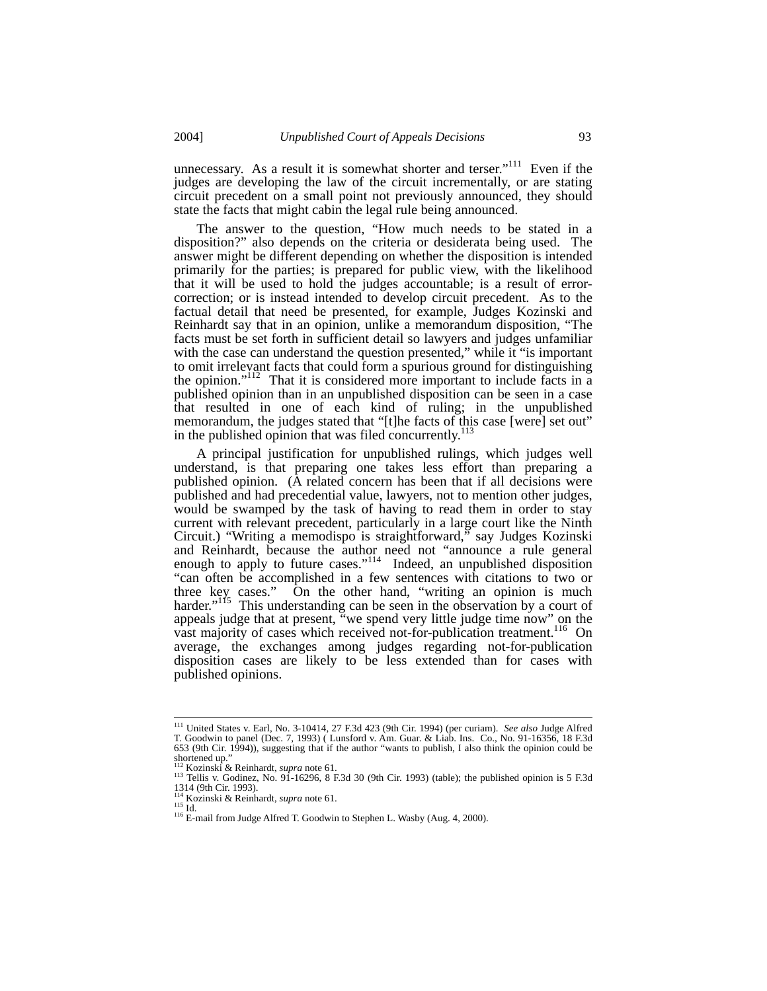unnecessary. As a result it is somewhat shorter and terser."<sup>111</sup> Even if the judges are developing the law of the circuit incrementally, or are stating circuit precedent on a small point not previously announced, they should state the facts that might cabin the legal rule being announced.

The answer to the question, "How much needs to be stated in a disposition?" also depends on the criteria or desiderata being used. The answer might be different depending on whether the disposition is intended primarily for the parties; is prepared for public view, with the likelihood that it will be used to hold the judges accountable; is a result of errorcorrection; or is instead intended to develop circuit precedent. As to the factual detail that need be presented, for example, Judges Kozinski and Reinhardt say that in an opinion, unlike a memorandum disposition, "The facts must be set forth in sufficient detail so lawyers and judges unfamiliar with the case can understand the question presented," while it "is important" to omit irrelevant facts that could form a spurious ground for distinguishing the opinion."<sup>112</sup> That it is considered more important to include facts in a published opinion than in an unpublished disposition can be seen in a case that resulted in one of each kind of ruling; in the unpublished memorandum, the judges stated that "[t]he facts of this case [were] set out" in the published opinion that was filed concurrently. $^{113}$ 

A principal justification for unpublished rulings, which judges well understand, is that preparing one takes less effort than preparing a published opinion. (A related concern has been that if all decisions were published and had precedential value, lawyers, not to mention other judges, would be swamped by the task of having to read them in order to stay current with relevant precedent, particularly in a large court like the Ninth Circuit.) "Writing a memodispo is straightforward," say Judges Kozinski and Reinhardt, because the author need not "announce a rule general enough to apply to future cases."<sup>114</sup> Indeed, an unpublished disposition "can often be accomplished in a few sentences with citations to two or three key cases." On the other hand, "writing an opinion is much harder."<sup>115</sup> This understanding can be seen in the observation by a court of appeals judge that at present, "we spend very little judge time now" on the vast majority of cases which received not-for-publication treatment.<sup>116</sup> On average, the exchanges among judges regarding not-for-publication disposition cases are likely to be less extended than for cases with published opinions.

 <sup>111</sup> United States v. Earl, No. 3-10414, 27 F.3d 423 (9th Cir. 1994) (per curiam). *See also* Judge Alfred T. Goodwin to panel (Dec. 7, 1993) ( Lunsford v. Am. Guar. & Liab. Ins. Co., No. 91-16356, 18 F.3d 653 (9th Cir. 1994)), suggesting that if the author "wants to publish, I also think the opinion could be shortened up."<br><sup>112</sup> Kozinski & Reinhardt, *supra* note 61.<br><sup>113</sup> Tellis v. Godinez, No. 91-16296, 8 F.3d 30 (9th Cir. 1993) (table); the published opinion is 5 F.3d

<sup>1314 (9</sup>th Cir. 1993).<br><sup>114</sup> Kozinski & Reinhardt, *supra* note 61.

<sup>114</sup> Kozinski & Reinhardt, *supra* note 61. 115 Id. 116 E-mail from Judge Alfred T. Goodwin to Stephen L. Wasby (Aug. 4, 2000).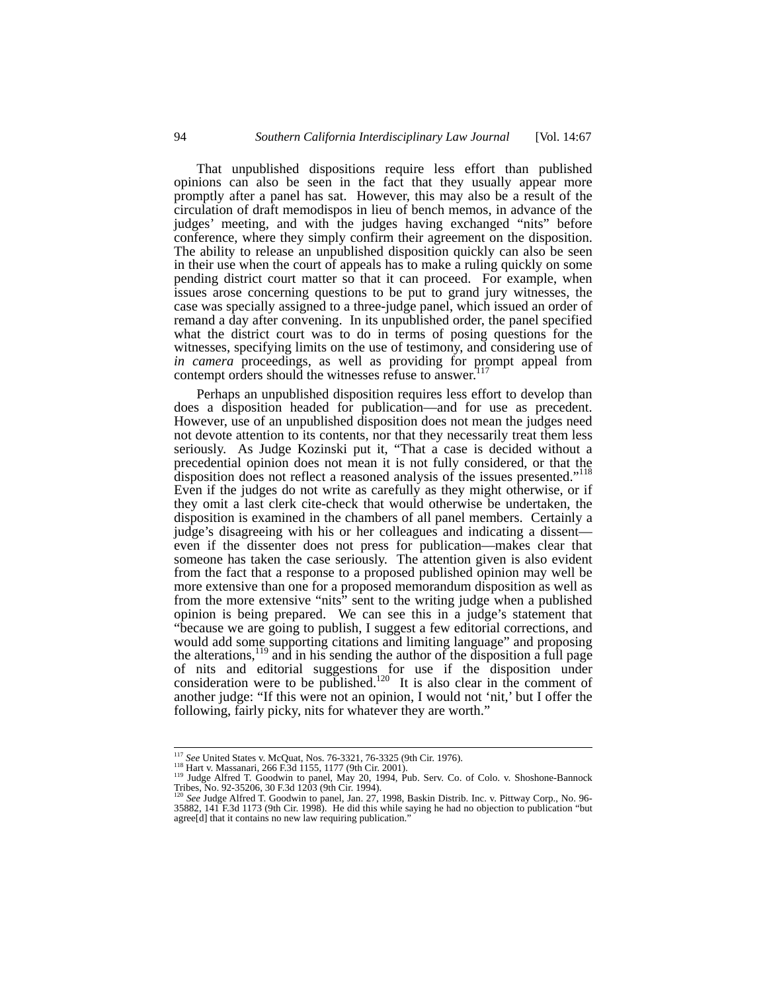That unpublished dispositions require less effort than published opinions can also be seen in the fact that they usually appear more promptly after a panel has sat. However, this may also be a result of the circulation of draft memodispos in lieu of bench memos, in advance of the judges' meeting, and with the judges having exchanged "nits" before conference, where they simply confirm their agreement on the disposition. The ability to release an unpublished disposition quickly can also be seen in their use when the court of appeals has to make a ruling quickly on some pending district court matter so that it can proceed. For example, when issues arose concerning questions to be put to grand jury witnesses, the case was specially assigned to a three-judge panel, which issued an order of remand a day after convening. In its unpublished order, the panel specified what the district court was to do in terms of posing questions for the witnesses, specifying limits on the use of testimony, and considering use of *in camera* proceedings, as well as providing for prompt appeal from contempt orders should the witnesses refuse to answer. $117$ 

Perhaps an unpublished disposition requires less effort to develop than does a disposition headed for publication—and for use as precedent. However, use of an unpublished disposition does not mean the judges need not devote attention to its contents, nor that they necessarily treat them less seriously. As Judge Kozinski put it, "That a case is decided without a precedential opinion does not mean it is not fully considered, or that the disposition does not reflect a reasoned analysis of the issues presented."<sup>118</sup> Even if the judges do not write as carefully as they might otherwise, or if they omit a last clerk cite-check that would otherwise be undertaken, the disposition is examined in the chambers of all panel members. Certainly a judge's disagreeing with his or her colleagues and indicating a dissent even if the dissenter does not press for publication—makes clear that someone has taken the case seriously. The attention given is also evident from the fact that a response to a proposed published opinion may well be more extensive than one for a proposed memorandum disposition as well as from the more extensive "nits" sent to the writing judge when a published opinion is being prepared. We can see this in a judge's statement that "because we are going to publish, I suggest a few editorial corrections, and would add some supporting citations and limiting language" and proposing the alterations,<sup>119</sup> and in his sending the author of the disposition a full page of nits and editorial suggestions for use if the disposition under consideration were to be published.<sup>120</sup> It is also clear in the comment of another judge: "If this were not an opinion, I would not 'nit,' but I offer the following, fairly picky, nits for whatever they are worth."

<sup>&</sup>lt;sup>117</sup> See United States v. McQuat, Nos. 76-3321, 76-3325 (9th Cir. 1976).<br><sup>118</sup> Hart v. Massanari, 266 F.3d 1155, 1177 (9th Cir. 2001).<br><sup>119</sup> Judge Alfred T. Goodwin to panel, May 20, 1994, Pub. Serv. Co. of Colo. v. Shosh

<sup>35882, 141</sup> F.3d 1173 (9th Cir. 1998). He did this while saying he had no objection to publication "but agree[d] that it contains no new law requiring publication."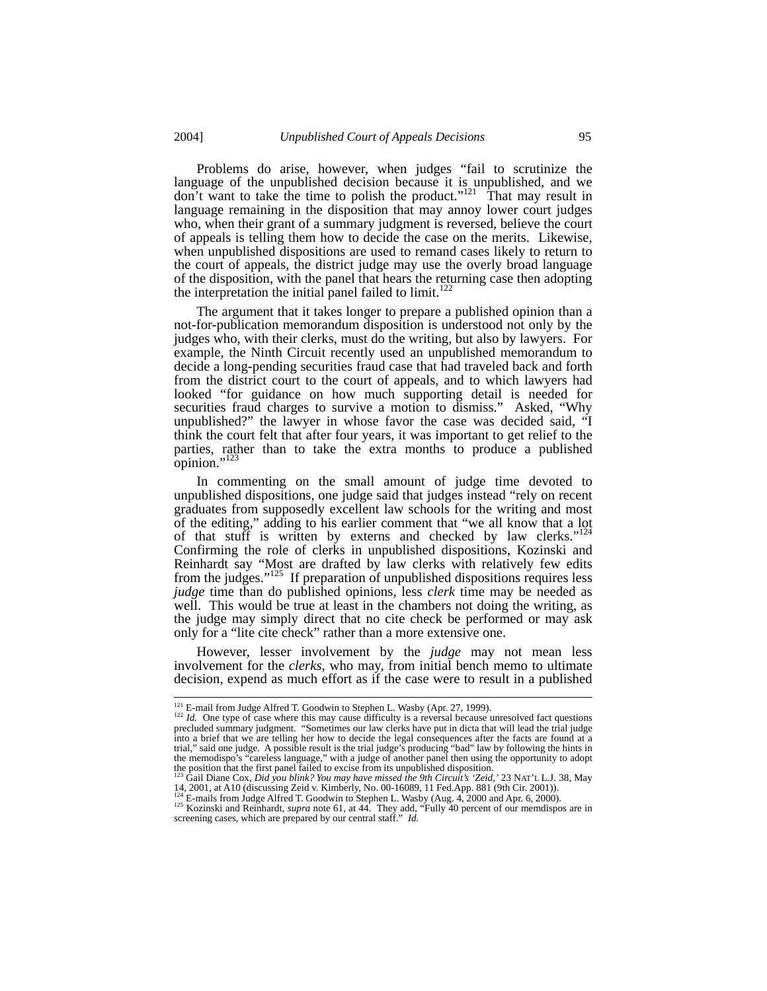Problems do arise, however, when judges "fail to scrutinize the language of the unpublished decision because it is unpublished, and we don't want to take the time to polish the product."<sup>121</sup> That may result in language remaining in the disposition that may annoy lower court judges who, when their grant of a summary judgment is reversed, believe the court of appeals is telling them how to decide the case on the merits. Likewise, when unpublished dispositions are used to remand cases likely to return to the court of appeals, the district judge may use the overly broad language of the disposition, with the panel that hears the returning case then adopting the interpretation the initial panel failed to limit.<sup>12</sup>

The argument that it takes longer to prepare a published opinion than a not-for-publication memorandum disposition is understood not only by the judges who, with their clerks, must do the writing, but also by lawyers. For example, the Ninth Circuit recently used an unpublished memorandum to decide a long-pending securities fraud case that had traveled back and forth from the district court to the court of appeals, and to which lawyers had looked "for guidance on how much supporting detail is needed for securities fraud charges to survive a motion to dismiss." Asked, "Why unpublished?" the lawyer in whose favor the case was decided said, "I think the court felt that after four years, it was important to get relief to the parties, rather than to take the extra months to produce a published opinion."<sup>123</sup>

In commenting on the small amount of judge time devoted to unpublished dispositions, one judge said that judges instead "rely on recent graduates from supposedly excellent law schools for the writing and most of the editing," adding to his earlier comment that "we all know that a lot of that stuff is written by externs and checked by law clerks."<sup>124</sup> Confirming the role of clerks in unpublished dispositions, Kozinski and Reinhardt say "Most are drafted by law clerks with relatively few edits from the judges."<sup>125</sup> If preparation of unpublished dispositions requires less *judge* time than do published opinions, less *clerk* time may be needed as well. This would be true at least in the chambers not doing the writing, as the judge may simply direct that no cite check be performed or may ask only for a "lite cite check" rather than a more extensive one.

However, lesser involvement by the *judge* may not mean less involvement for the *clerks*, who may, from initial bench memo to ultimate decision, expend as much effort as if the case were to result in a published

<sup>&</sup>lt;sup>121</sup> E-mail from Judge Alfred T. Goodwin to Stephen L. Wasby (Apr. 27, 1999).  $Id$ . One type of case where this may cause difficulty is a reversal because unresolved fact questions precluded summary judgment. "Sometimes our law clerks have put in dicta that will lead the trial judge into a brief that we are telling her how to decide the legal consequences after the facts are found at a trial," said one judge. A possible result is the trial judge's producing "bad" law by following the hints in<br>the memodispo's "careless language," with a judge of another panel then using the opportunity to adopt<br>the posit

<sup>&</sup>lt;sup>123</sup> Gail Diane Cox, *Did you blink? You may have missed the 9th Circuit's 'Zeid*,' 23 NAT'L L.J. 38, May 14, 2001, at A10 (discussing Zeid v. Kimberly, No. 00-16089, 11 Fed.App. 881 (9th Cir. 2001)).<br><sup>124</sup> E-mails from

<sup>&</sup>lt;sup>124</sup> E-mails from Judge Alfred T. Goodwin to Stephen L. Wasby (Aug. 4, 2000 and Apr. 6, 2000).<br><sup>125</sup> Kozinski and Reinhardt, *supra* note 61, at 44. They add, "Fully 40 percent of our memdispos are in screening cases, wh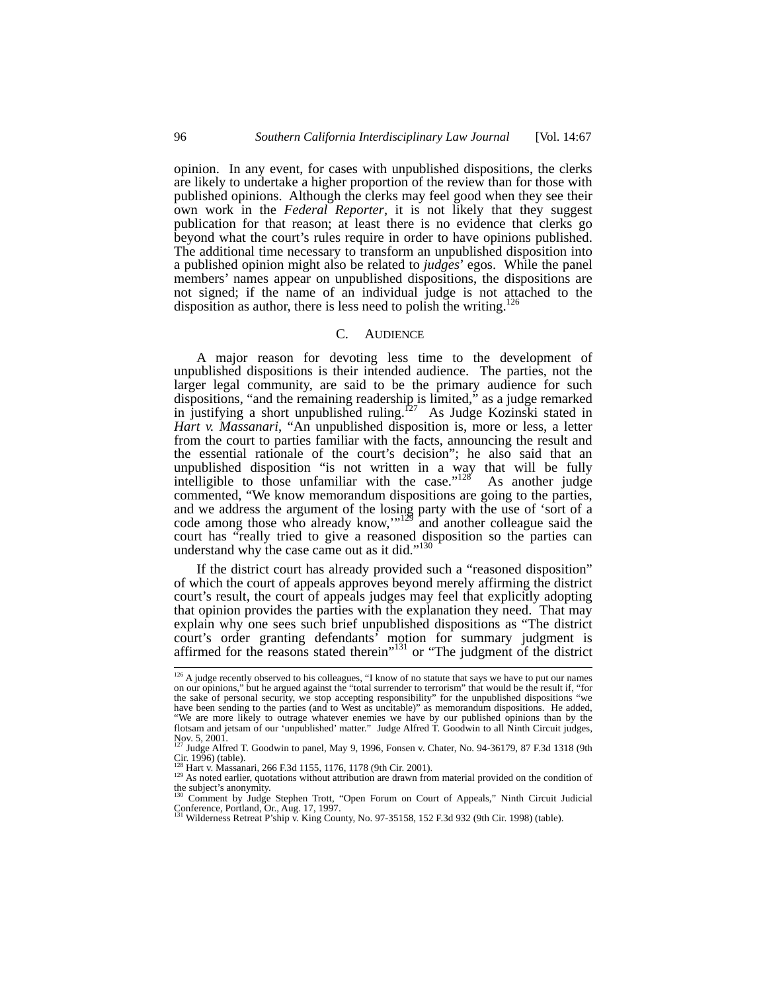opinion. In any event, for cases with unpublished dispositions, the clerks are likely to undertake a higher proportion of the review than for those with published opinions. Although the clerks may feel good when they see their own work in the *Federal Reporter*, it is not likely that they suggest publication for that reason; at least there is no evidence that clerks go beyond what the court's rules require in order to have opinions published. The additional time necessary to transform an unpublished disposition into a published opinion might also be related to *judges*' egos. While the panel members' names appear on unpublished dispositions, the dispositions are not signed; if the name of an individual judge is not attached to the disposition as author, there is less need to polish the writing.<sup>126</sup>

#### C. AUDIENCE

A major reason for devoting less time to the development of unpublished dispositions is their intended audience. The parties, not the larger legal community, are said to be the primary audience for such dispositions, "and the remaining readership is limited," as a judge remarked in justifying a short unpublished ruling.<sup>127</sup> As Judge Kozinski stated in *Hart v. Massanari*, "An unpublished disposition is, more or less, a letter from the court to parties familiar with the facts, announcing the result and the essential rationale of the court's decision"; he also said that an unpublished disposition "is not written in a way that will be fully intelligible to those unfamiliar with the case." $128$  As another judge commented, "We know memorandum dispositions are going to the parties, and we address the argument of the losing party with the use of 'sort of a code among those who already know," $129$  and another colleague said the court has "really tried to give a reasoned disposition so the parties can understand why the case came out as it did."<sup>130</sup>

If the district court has already provided such a "reasoned disposition" of which the court of appeals approves beyond merely affirming the district court's result, the court of appeals judges may feel that explicitly adopting that opinion provides the parties with the explanation they need. That may explain why one sees such brief unpublished dispositions as "The district court's order granting defendants' motion for summary judgment is affirmed for the reasons stated therein"<sup>131</sup> or "The judgment of the district

<sup>&</sup>lt;sup>126</sup> A judge recently observed to his colleagues, "I know of no statute that says we have to put our names on our opinions," but he argued against the "total surrender to terrorism" that would be the result if, "for the sake of personal security, we stop accepting responsibility" for the unpublished dispositions "we have been sending to the parties (and to West as uncitable)" as memorandum dispositions. He added, "We are more likely to outrage whatever enemies we have by our published opinions than by the flotsam and jetsam of our 'unpublished' matter." Judge Alfred T. Goodwin to all Ninth Circuit judges, Nov. 5, 2001.

<sup>127</sup> Judge Alfred T. Goodwin to panel, May 9, 1996, Fonsen v. Chater, No. 94-36179, 87 F.3d 1318 (9th Cir. 1996) (table).<br><sup>128</sup> Hart v. Massanari, 266 F.3d 1155, 1176, 1178 (9th Cir. 2001).<br><sup>129</sup> As noted earlier, quotations without attribution are drawn from material provided on the condition of

the subject's anonymity.

<sup>130</sup> Comment by Judge Stephen Trott, "Open Forum on Court of Appeals," Ninth Circuit Judicial Conference, Portland, Or., Aug. 17, 1997. 131 Wilderness Retreat P'ship v. King County, No. 97-35158, 152 F.3d 932 (9th Cir. 1998) (table).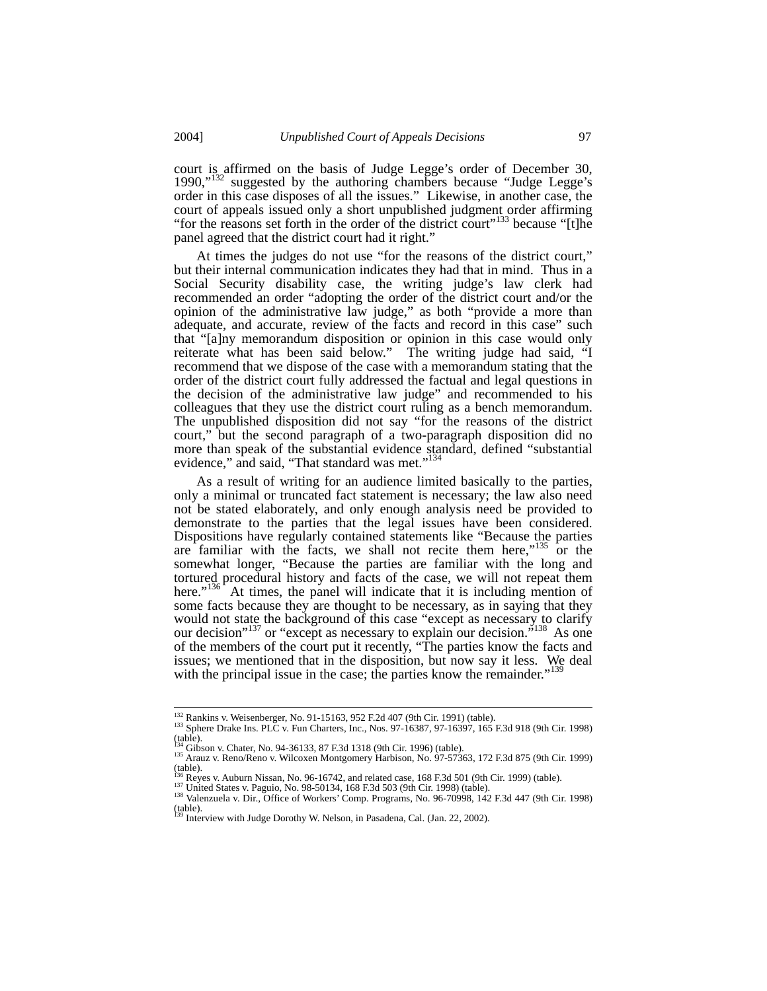court is affirmed on the basis of Judge Legge's order of December 30, 1990,"<sup>132</sup> suggested by the authoring chambers because "Judge Legge's order in this case disposes of all the issues." Likewise, in another case, the court of appeals issued only a short unpublished judgment order affirming "for the reasons set forth in the order of the district court"<sup>133</sup> because "[t]he panel agreed that the district court had it right."

At times the judges do not use "for the reasons of the district court," but their internal communication indicates they had that in mind. Thus in a Social Security disability case, the writing judge's law clerk had recommended an order "adopting the order of the district court and/or the opinion of the administrative law judge," as both "provide a more than adequate, and accurate, review of the facts and record in this case" such that "[a]ny memorandum disposition or opinion in this case would only reiterate what has been said below." The writing judge had said, "I recommend that we dispose of the case with a memorandum stating that the order of the district court fully addressed the factual and legal questions in the decision of the administrative law judge" and recommended to his colleagues that they use the district court ruling as a bench memorandum. The unpublished disposition did not say "for the reasons of the district court," but the second paragraph of a two-paragraph disposition did no more than speak of the substantial evidence standard, defined "substantial evidence," and said, "That standard was met."<sup>134</sup>

As a result of writing for an audience limited basically to the parties, only a minimal or truncated fact statement is necessary; the law also need not be stated elaborately, and only enough analysis need be provided to demonstrate to the parties that the legal issues have been considered. Dispositions have regularly contained statements like "Because the parties are familiar with the facts, we shall not recite them here," $135$  or the somewhat longer, "Because the parties are familiar with the long and tortured procedural history and facts of the case, we will not repeat them here." $136^\circ$  At times, the panel will indicate that it is including mention of some facts because they are thought to be necessary, as in saying that they would not state the background of this case "except as necessary to clarify our decision"<sup>137</sup> or "except as necessary to explain our decision."<sup>138</sup> As one of the members of the court put it recently, "The parties know the facts and issues; we mentioned that in the disposition, but now say it less. We deal with the principal issue in the case; the parties know the remainder.<sup>1</sup>

<sup>&</sup>lt;sup>132</sup> Rankins v. Weisenberger, No. 91-15163, 952 F.2d 407 (9th Cir. 1991) (table).<br><sup>133</sup> Sphere Drake Ins. PLC v. Fun Charters, Inc., Nos. 97-16387, 97-16397, 165 F.3d 918 (9th Cir. 1998)  $(table)$ .

<sup>&</sup>lt;sup>134</sup> Gibson v. Chater, No. 94-36133, 87 F.3d 1318 (9th Cir. 1996) (table).<br><sup>135</sup> Arauz v. Reno/Reno v. Wilcoxen Montgomery Harbison, No. 97-57363, 172 F.3d 875 (9th Cir. 1999)  $(table).$ 

 $^{137}_{150}$  Reyes v. Auburn Nissan, No. 96-16742, and related case, 168 F.3d 501 (9th Cir. 1999) (table).<br><sup>137</sup> United States v. Paguio, No. 98-50134, 168 F.3d 503 (9th Cir. 1998) (table).<br><sup>138</sup> Valenzuela v. Dir., Office (table).<br><sup>139</sup> Interview with Judge Dorothy W. Nelson, in Pasadena, Cal. (Jan. 22, 2002).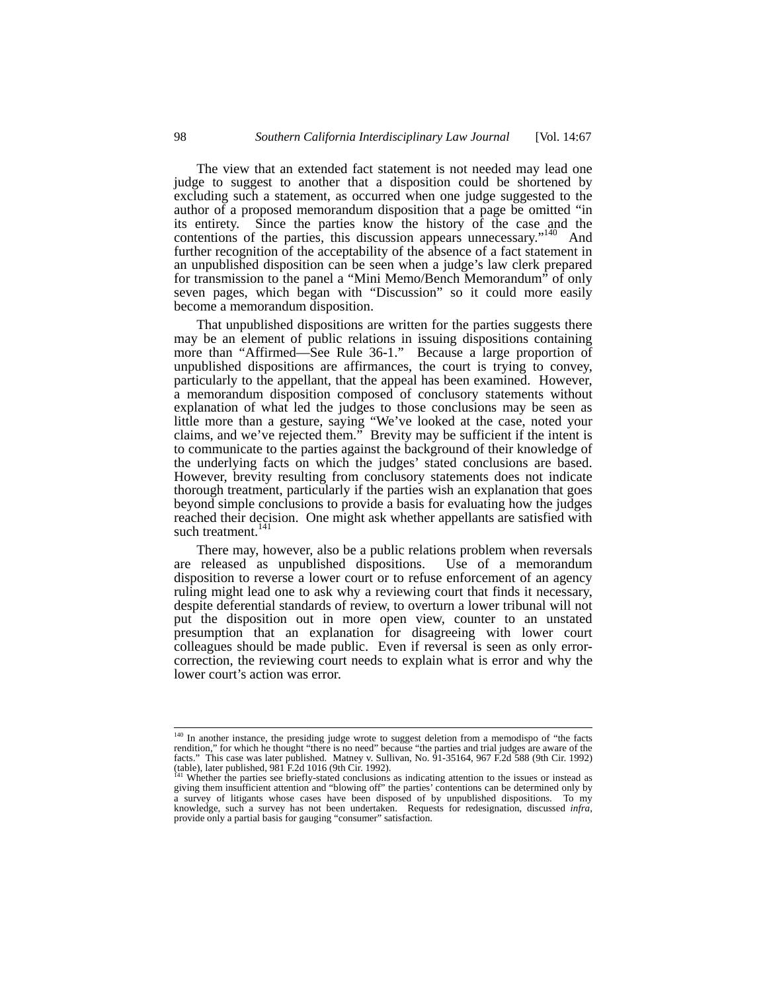The view that an extended fact statement is not needed may lead one judge to suggest to another that a disposition could be shortened by excluding such a statement, as occurred when one judge suggested to the author of a proposed memorandum disposition that a page be omitted "in its entirety. Since the parties know the history of the case and the contentions of the parties, this discussion appears unnecessary."<sup>140</sup> And further recognition of the acceptability of the absence of a fact statement in an unpublished disposition can be seen when a judge's law clerk prepared for transmission to the panel a "Mini Memo/Bench Memorandum" of only seven pages, which began with "Discussion" so it could more easily become a memorandum disposition.

That unpublished dispositions are written for the parties suggests there may be an element of public relations in issuing dispositions containing more than "Affirmed—See Rule 36-1." Because a large proportion of unpublished dispositions are affirmances, the court is trying to convey, particularly to the appellant, that the appeal has been examined. However, a memorandum disposition composed of conclusory statements without explanation of what led the judges to those conclusions may be seen as little more than a gesture, saying "We've looked at the case, noted your claims, and we've rejected them." Brevity may be sufficient if the intent is to communicate to the parties against the background of their knowledge of the underlying facts on which the judges' stated conclusions are based. However, brevity resulting from conclusory statements does not indicate thorough treatment, particularly if the parties wish an explanation that goes beyond simple conclusions to provide a basis for evaluating how the judges reached their decision. One might ask whether appellants are satisfied with such treatment. $141$ 

There may, however, also be a public relations problem when reversals released as unpublished dispositions. Use of a memorandum are released as unpublished dispositions. disposition to reverse a lower court or to refuse enforcement of an agency ruling might lead one to ask why a reviewing court that finds it necessary, despite deferential standards of review, to overturn a lower tribunal will not put the disposition out in more open view, counter to an unstated presumption that an explanation for disagreeing with lower court colleagues should be made public. Even if reversal is seen as only errorcorrection, the reviewing court needs to explain what is error and why the lower court's action was error.

<sup>&</sup>lt;sup>140</sup> In another instance, the presiding judge wrote to suggest deletion from a memodispo of "the facts" rendition," for which he thought "there is no need" because "the parties and trial judges are aware of the facts." This case was later published. Matney v. Sullivan, No. 91-35164, 967 F.2d 588 (9th Cir. 1992) (table), late

Whether the parties see briefly-stated conclusions as indicating attention to the issues or instead as giving them insufficient attention and "blowing off" the parties' contentions can be determined only by a survey of litigants whose cases have been disposed of by unpublished dispositions. To my knowledge, such a survey has not been undertaken. Requests for redesignation, discussed *infra*, provide only a partial basis for gauging "consumer" satisfaction.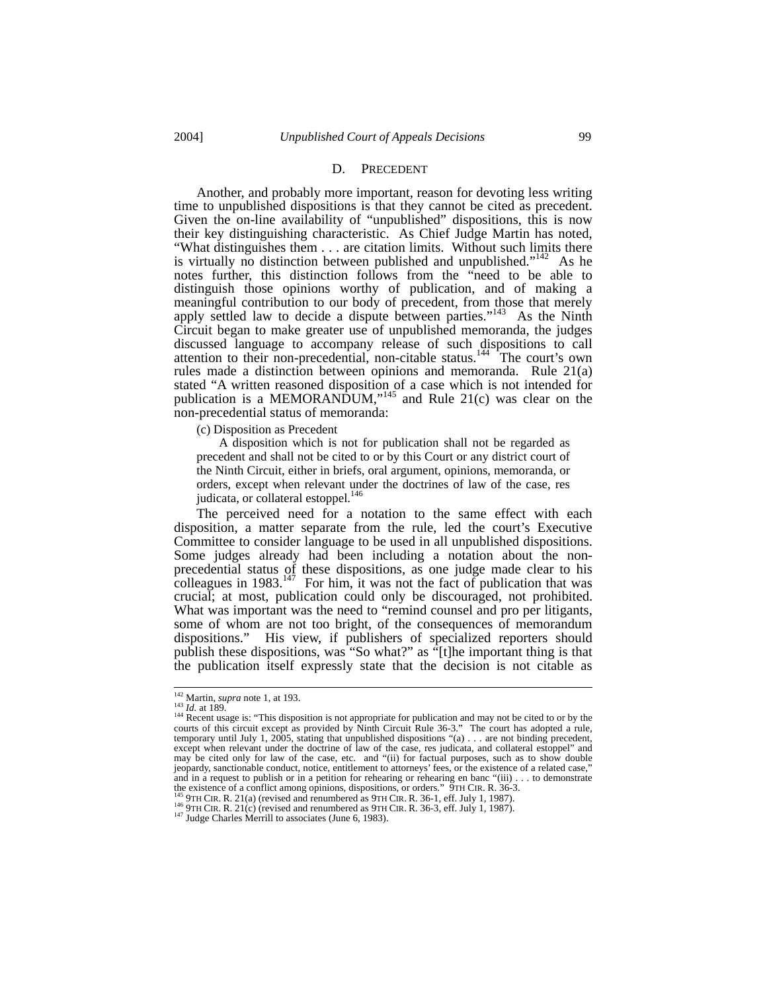#### D. PRECEDENT

Another, and probably more important, reason for devoting less writing time to unpublished dispositions is that they cannot be cited as precedent. Given the on-line availability of "unpublished" dispositions, this is now their key distinguishing characteristic. As Chief Judge Martin has noted, "What distinguishes them . . . are citation limits. Without such limits there is virtually no distinction between published and unpublished." $142$  As he notes further, this distinction follows from the "need to be able to distinguish those opinions worthy of publication, and of making a meaningful contribution to our body of precedent, from those that merely apply settled law to decide a dispute between parties."<sup>143</sup> As the Ninth Circuit began to make greater use of unpublished memoranda, the judges discussed language to accompany release of such dispositions to call attention to their non-precedential, non-citable status.<sup>144</sup> The court's own rules made a distinction between opinions and memoranda. Rule 21(a) stated "A written reasoned disposition of a case which is not intended for publication is a MEMORANDUM,"<sup>145</sup> and Rule 21(c) was clear on the non-precedential status of memoranda:

(c) Disposition as Precedent

 A disposition which is not for publication shall not be regarded as precedent and shall not be cited to or by this Court or any district court of the Ninth Circuit, either in briefs, oral argument, opinions, memoranda, or orders, except when relevant under the doctrines of law of the case, res judicata, or collateral estoppel.<sup>146</sup>

The perceived need for a notation to the same effect with each disposition, a matter separate from the rule, led the court's Executive Committee to consider language to be used in all unpublished dispositions. Some judges already had been including a notation about the nonprecedential status of these dispositions, as one judge made clear to his colleagues in 1983.<sup>147</sup> For him, it was not the fact of publication that was crucial; at most, publication could only be discouraged, not prohibited. What was important was the need to "remind counsel and pro per litigants, some of whom are not too bright, of the consequences of memorandum dispositions." His view, if publishers of specialized reporters should publish these dispositions, was "So what?" as "[t]he important thing is that the publication itself expressly state that the decision is not citable as

<sup>&</sup>lt;sup>142</sup> Martin, *supra* note 1, at 193.<br><sup>143</sup> *Id.* at 189.<br><sup>144</sup> Recent usage is: "This disposition is not appropriate for publication and may not be cited to or by the courts of this circuit except as provided by Ninth Circuit Rule 36-3." The court has adopted a rule, temporary until July 1, 2005, stating that unpublished dispositions "(a) . . . are not binding precedent, except when relevant under the doctrine of law of the case, res judicata, and collateral estoppel" and may be cited only for law of the case, etc. and "(ii) for factual purposes, such as to show double jeopardy, sanctionable conduct, notice, entitlement to attorneys' fees, or the existence of a related case," and in a request to publish or in a petition for rehearing or rehearing en banc "(iii) . . . to demonstrate the existence of a conflict among opinions, dispositions, or orders." 9TH CIR. R. 36-3.<br><sup>145</sup> 9TH CIR. R. 36-3.

<sup>&</sup>lt;sup>145</sup> 9TH CIR. R. 21(a) (revised and renumbered as 9TH CIR. R. 36-1, eff. July 1, 1987).<br><sup>146</sup> 9TH CIR. R. 21(c) (revised and renumbered as 9TH CIR. R. 36-3, eff. July 1, 1987).<br><sup>147</sup> Judge Charles Merrill to associates (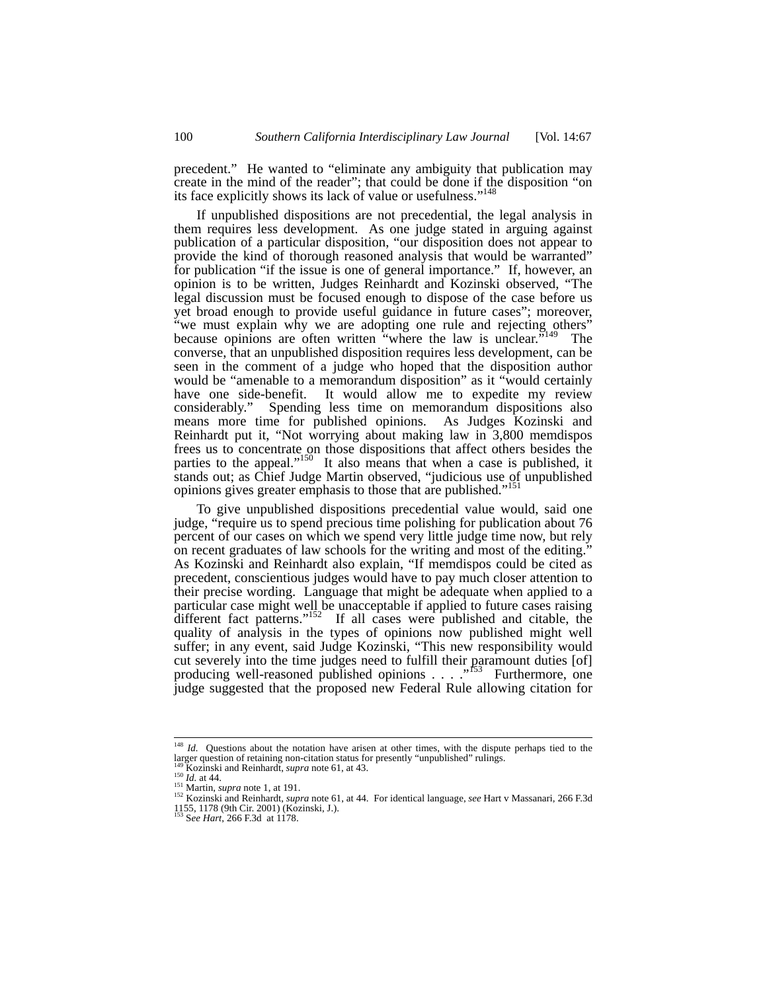precedent." He wanted to "eliminate any ambiguity that publication may create in the mind of the reader"; that could be done if the disposition "on its face explicitly shows its lack of value or usefulness."<sup>148</sup>

If unpublished dispositions are not precedential, the legal analysis in them requires less development. As one judge stated in arguing against publication of a particular disposition, "our disposition does not appear to provide the kind of thorough reasoned analysis that would be warranted" for publication "if the issue is one of general importance." If, however, an opinion is to be written, Judges Reinhardt and Kozinski observed, "The legal discussion must be focused enough to dispose of the case before us yet broad enough to provide useful guidance in future cases"; moreover, "we must explain why we are adopting one rule and rejecting others" because opinions are often written "where the law is unclear."<sup>149</sup> The converse, that an unpublished disposition requires less development, can be seen in the comment of a judge who hoped that the disposition author would be "amenable to a memorandum disposition" as it "would certainly have one side-benefit. It would allow me to expedite my review considerably." Spending less time on memorandum dispositions also means more time for published opinions. As Judges Kozinski and Reinhardt put it, "Not worrying about making law in 3,800 memdispos frees us to concentrate on those dispositions that affect others besides the parties to the appeal."<sup>150</sup> It also means that when a case is published, it stands out; as Chief Judge Martin observed, "judicious use of unpublished opinions gives greater emphasis to those that are published."

To give unpublished dispositions precedential value would, said one judge, "require us to spend precious time polishing for publication about 76 percent of our cases on which we spend very little judge time now, but rely on recent graduates of law schools for the writing and most of the editing." As Kozinski and Reinhardt also explain, "If memdispos could be cited as precedent, conscientious judges would have to pay much closer attention to their precise wording. Language that might be adequate when applied to a particular case might well be unacceptable if applied to future cases raising different fact patterns."<sup>152</sup> If all cases were published and citable, the quality of analysis in the types of opinions now published might well suffer; in any event, said Judge Kozinski, "This new responsibility would cut severely into the time judges need to fulfill their paramount duties [of] producing well-reasoned published opinions . . . . "<sup>153</sup> Furthermore, one judge suggested that the proposed new Federal Rule allowing citation for

<sup>&</sup>lt;sup>148</sup> *Id.* Questions about the notation have arisen at other times, with the dispute perhaps tied to the

larger question of retaining non-citation status for presently "unpublished" rulings.<br><sup>150</sup> Kozinski and Reinhardt, *supra* note 61, at 43.<br><sup>150</sup> Id. at 44.<br><sup>151</sup> Martin, *supra* note 1, at 191.<br><sup>152</sup> Kozinski and Reinhard 1155, 1178 (9th Cir. 2001) (Kozinski, J.). 153 S*ee Hart*, 266 F.3d at 1178.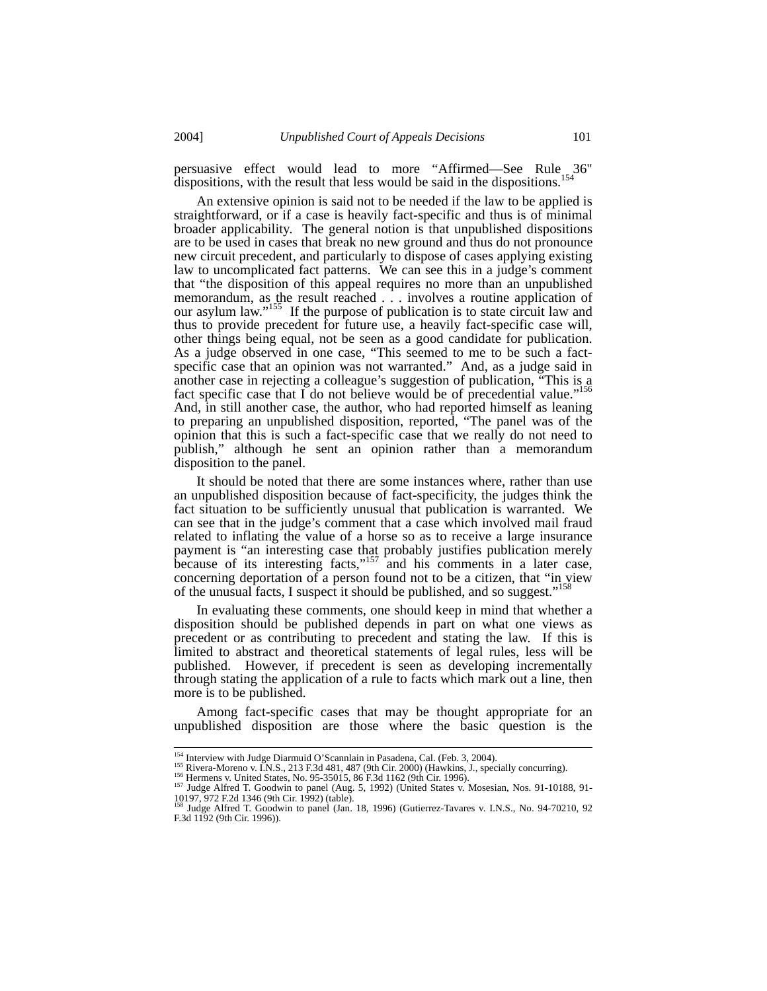persuasive effect would lead to more "Affirmed—See Rule 36" dispositions, with the result that less would be said in the dispositions.<sup>154</sup>

An extensive opinion is said not to be needed if the law to be applied is straightforward, or if a case is heavily fact-specific and thus is of minimal broader applicability. The general notion is that unpublished dispositions are to be used in cases that break no new ground and thus do not pronounce new circuit precedent, and particularly to dispose of cases applying existing law to uncomplicated fact patterns. We can see this in a judge's comment that "the disposition of this appeal requires no more than an unpublished memorandum, as the result reached . . . involves a routine application of our asylum law."<sup>155</sup> If the purpose of publication is to state circuit law and thus to provide precedent for future use, a heavily fact-specific case will, other things being equal, not be seen as a good candidate for publication. As a judge observed in one case, "This seemed to me to be such a factspecific case that an opinion was not warranted." And, as a judge said in another case in rejecting a colleague's suggestion of publication, "This is a fact specific case that I do not believe would be of precedential value."<sup>156</sup> And, in still another case, the author, who had reported himself as leaning to preparing an unpublished disposition, reported, "The panel was of the opinion that this is such a fact-specific case that we really do not need to publish," although he sent an opinion rather than a memorandum disposition to the panel.

It should be noted that there are some instances where, rather than use an unpublished disposition because of fact-specificity, the judges think the fact situation to be sufficiently unusual that publication is warranted. We can see that in the judge's comment that a case which involved mail fraud related to inflating the value of a horse so as to receive a large insurance payment is "an interesting case that probably justifies publication merely because of its interesting facts," $157$  and his comments in a later case, concerning deportation of a person found not to be a citizen, that "in view of the unusual facts, I suspect it should be published, and so suggest."<sup>158</sup>

In evaluating these comments, one should keep in mind that whether a disposition should be published depends in part on what one views as precedent or as contributing to precedent and stating the law. If this is limited to abstract and theoretical statements of legal rules, less will be published. However, if precedent is seen as developing incrementally through stating the application of a rule to facts which mark out a line, then more is to be published.

Among fact-specific cases that may be thought appropriate for an unpublished disposition are those where the basic question is the

<sup>&</sup>lt;sup>154</sup> Interview with Judge Diarmuid O'Scannlain in Pasadena, Cal. (Feb. 3, 2004).<br><sup>155</sup> Rivera-Moreno v. I.N.S., 213 F.3d 481, 487 (9th Cir. 2000) (Hawkins, J., specially concurring).<br><sup>156</sup> Hermens v. United States, No. 9 10197, 972 F.2d 1346 (9th Cir. 1992) (table). 158 Judge Alfred T. Goodwin to panel (Jan. 18, 1996) (Gutierrez-Tavares v. I.N.S., No. 94-70210, 92

F.3d 1192 (9th Cir. 1996)).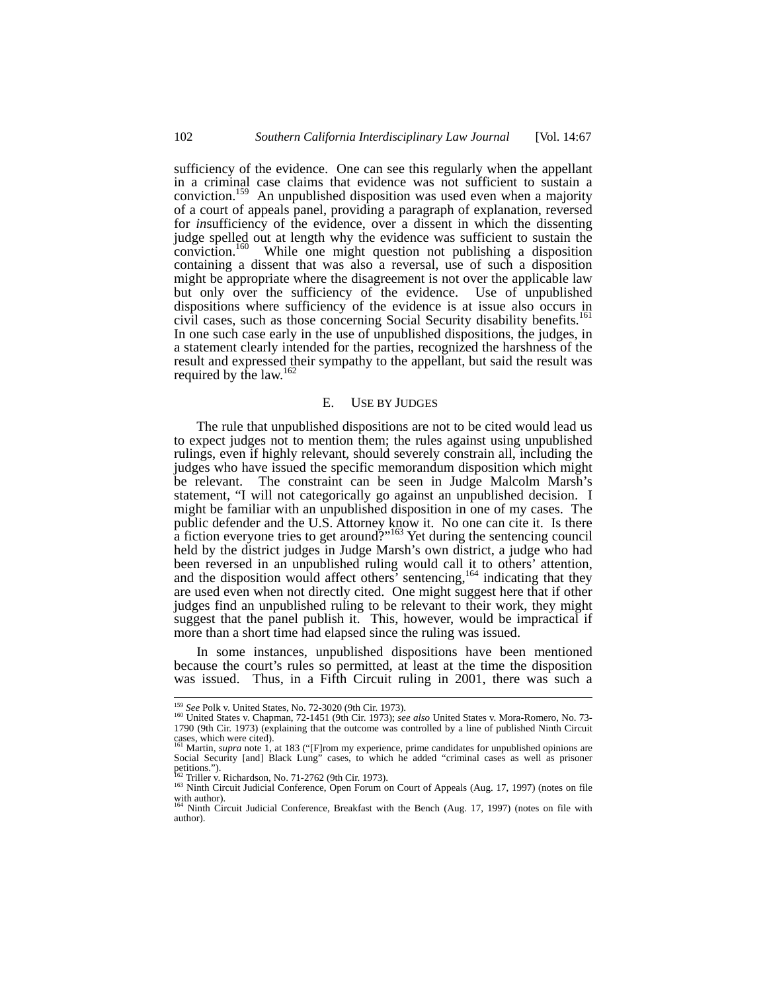sufficiency of the evidence. One can see this regularly when the appellant in a criminal case claims that evidence was not sufficient to sustain a conviction.<sup>159</sup> An unpublished disposition was used even when a majority of a court of appeals panel, providing a paragraph of explanation, reversed for *in*sufficiency of the evidence, over a dissent in which the dissenting judge spelled out at length why the evidence was sufficient to sustain the conviction.<sup>160</sup> While one might question not publishing a disposition While one might question not publishing a disposition containing a dissent that was also a reversal, use of such a disposition might be appropriate where the disagreement is not over the applicable law but only over the sufficiency of the evidence. Use of unpublished dispositions where sufficiency of the evidence is at issue also occurs in civil cases, such as those concerning Social Security disability benefits.<sup>161</sup> In one such case early in the use of unpublished dispositions, the judges, in a statement clearly intended for the parties, recognized the harshness of the result and expressed their sympathy to the appellant, but said the result was required by the law.<sup>162</sup>

#### E. USE BY JUDGES

The rule that unpublished dispositions are not to be cited would lead us to expect judges not to mention them; the rules against using unpublished rulings, even if highly relevant, should severely constrain all, including the judges who have issued the specific memorandum disposition which might be relevant. The constraint can be seen in Judge Malcolm Marsh's statement, "I will not categorically go against an unpublished decision. I might be familiar with an unpublished disposition in one of my cases. The public defender and the U.S. Attorney know it. No one can cite it. Is there a fiction everyone tries to get around?"<sup>163</sup> Yet during the sentencing council held by the district judges in Judge Marsh's own district, a judge who had been reversed in an unpublished ruling would call it to others' attention, and the disposition would affect others' sentencing,<sup>164</sup> indicating that they are used even when not directly cited. One might suggest here that if other judges find an unpublished ruling to be relevant to their work, they might suggest that the panel publish it. This, however, would be impractical if more than a short time had elapsed since the ruling was issued.

In some instances, unpublished dispositions have been mentioned because the court's rules so permitted, at least at the time the disposition was issued. Thus, in a Fifth Circuit ruling in 2001, there was such a

<sup>&</sup>lt;sup>159</sup> *See* Polk v. United States, No. 72-3020 (9th Cir. 1973).<br><sup>160</sup> United States v. Chapman, 72-1451 (9th Cir. 1973); *see also* United States v. Mora-Romero, No. 73-1790 (9th Cir. 1973) (explaining that the outcome was controlled by a line of published Ninth Circuit

cases, which were cited).<br><sup>161</sup> Martin, *supra* note 1, at 183 ("[F]rom my experience, prime candidates for unpublished opinions are<br>Social Security [and] Black Lung" cases, to which he added "criminal cases as well as pri petitions.").<br> $\frac{1}{12}$  Triller v. Richardson, No. 71-2762 (9th Cir. 1973).

<sup>&</sup>lt;sup>163</sup> Ninth Circuit Judicial Conference, Open Forum on Court of Appeals (Aug. 17, 1997) (notes on file with author).

<sup>&</sup>lt;sup>4</sup> Ninth Circuit Judicial Conference, Breakfast with the Bench (Aug. 17, 1997) (notes on file with author).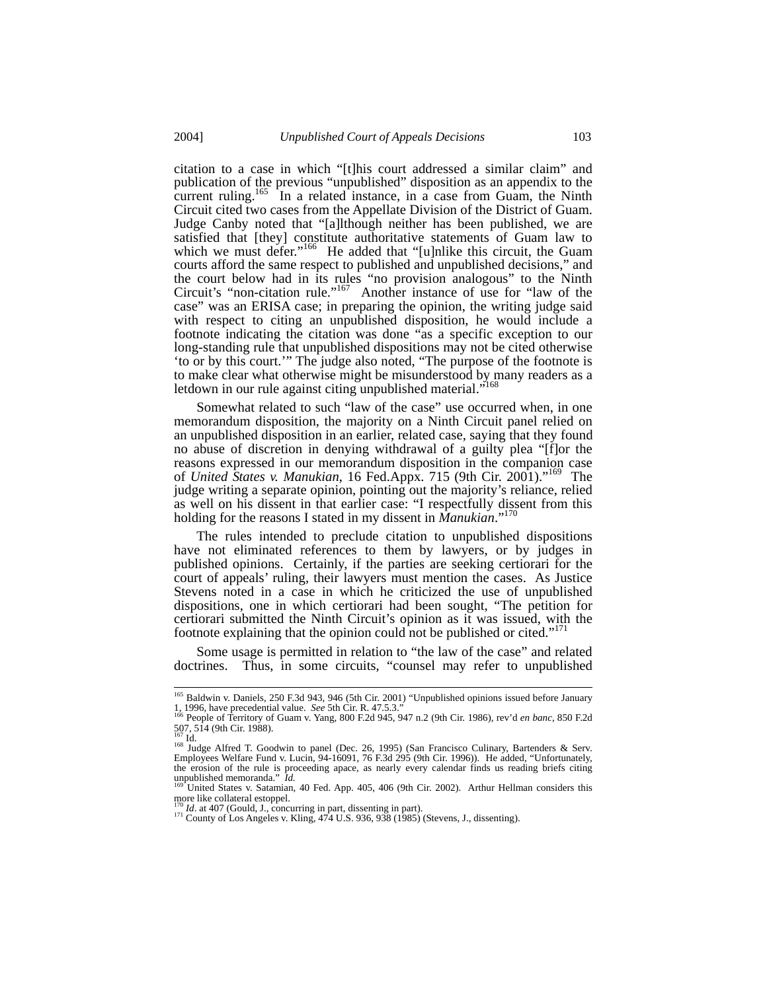citation to a case in which "[t]his court addressed a similar claim" and publication of the previous "unpublished" disposition as an appendix to the current ruling.<sup>165</sup> In a related instance, in a case from Guam, the Ninth Circuit cited two cases from the Appellate Division of the District of Guam. Judge Canby noted that "[a]lthough neither has been published, we are satisfied that [they] constitute authoritative statements of Guam law to which we must defer."<sup>166</sup> He added that "[u]nlike this circuit, the Guam courts afford the same respect to published and unpublished decisions," and the court below had in its rules "no provision analogous" to the Ninth Circuit's "non-citation rule."167 Another instance of use for "law of the case" was an ERISA case; in preparing the opinion, the writing judge said with respect to citing an unpublished disposition, he would include a footnote indicating the citation was done "as a specific exception to our long-standing rule that unpublished dispositions may not be cited otherwise 'to or by this court.'" The judge also noted, "The purpose of the footnote is to make clear what otherwise might be misunderstood by many readers as a letdown in our rule against citing unpublished material."<sup>168</sup>

Somewhat related to such "law of the case" use occurred when, in one memorandum disposition, the majority on a Ninth Circuit panel relied on an unpublished disposition in an earlier, related case, saying that they found no abuse of discretion in denying withdrawal of a guilty plea "[f]or the reasons expressed in our memorandum disposition in the companion case of *United States v. Manukian*, 16 Fed.Appx. 715 (9th Cir. 2001)."169 The judge writing a separate opinion, pointing out the majority's reliance, relied as well on his dissent in that earlier case: "I respectfully dissent from this holding for the reasons I stated in my dissent in *Manukian*."<sup>17</sup>

The rules intended to preclude citation to unpublished dispositions have not eliminated references to them by lawyers, or by judges in published opinions. Certainly, if the parties are seeking certiorari for the court of appeals' ruling, their lawyers must mention the cases. As Justice Stevens noted in a case in which he criticized the use of unpublished dispositions, one in which certiorari had been sought, "The petition for certiorari submitted the Ninth Circuit's opinion as it was issued, with the footnote explaining that the opinion could not be published or cited."<sup>171</sup>

Some usage is permitted in relation to "the law of the case" and related doctrines. Thus, in some circuits, "counsel may refer to unpublished

 <sup>165</sup> Baldwin v. Daniels, 250 F.3d 943, 946 (5th Cir. 2001) "Unpublished opinions issued before January 1, 1996, have precedential value. *See* 5th Cir. R. 47.5.3."<br>1, 1996, have precedential value. *See* 5th Cir. R. 47.5.3."<br><sup>166</sup> People of Territory of Guam v. Yang, 800 F.2d 945, 947 n.2 (9th Cir. 1986), rev'd *en banc*, 8

<sup>507, 514 (9</sup>th Cir. 1988).

<sup>&</sup>lt;sup>167</sup> Id.<br><sup>168</sup> Judge Alfred T. Goodwin to panel (Dec. 26, 1995) (San Francisco Culinary, Bartenders & Serv.<br>Employees Welfare Fund v. Lucin, 94-16091, 76 F.3d 295 (9th Cir. 1996)). He added, "Unfortunately, the erosion of the rule is proceeding apace, as nearly every calendar finds us reading briefs citing unpublished memoranda." *Id.*<br><sup>169</sup> United States v. Satamian, 40 Fed. App. 405, 406 (9th Cir. 2002). Arthur Hellman considers this

more like collateral estoppel.

<sup>&</sup>lt;sup>170</sup> *Id.* at 407 (Gould, J., concurring in part, dissenting in part).<br><sup>171</sup> County of Los Angeles v. Kling, 474 U.S. 936, 938 (1985) (Stevens, J., dissenting).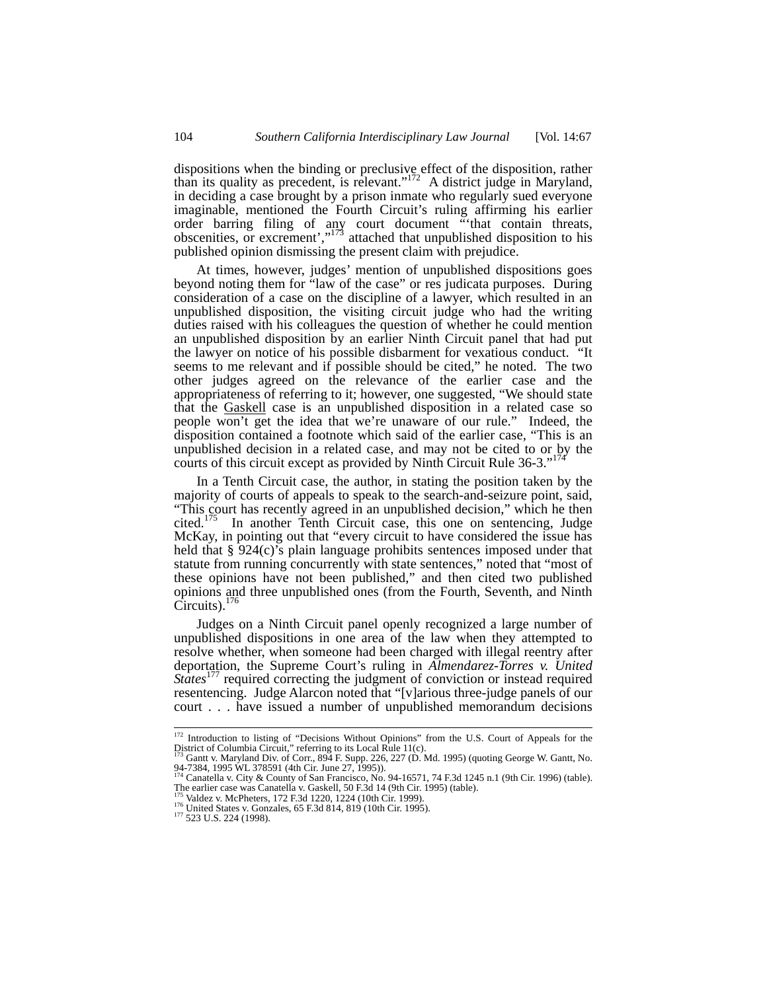dispositions when the binding or preclusive effect of the disposition, rather than its quality as precedent, is relevant."172 A district judge in Maryland, in deciding a case brought by a prison inmate who regularly sued everyone imaginable, mentioned the Fourth Circuit's ruling affirming his earlier order barring filing of any court document "'that contain threats, obscenities, or excrement',"<sup>173</sup> attached that unpublished disposition to his published opinion dismissing the present claim with prejudice.

At times, however, judges' mention of unpublished dispositions goes beyond noting them for "law of the case" or res judicata purposes. During consideration of a case on the discipline of a lawyer, which resulted in an unpublished disposition, the visiting circuit judge who had the writing duties raised with his colleagues the question of whether he could mention an unpublished disposition by an earlier Ninth Circuit panel that had put the lawyer on notice of his possible disbarment for vexatious conduct. "It seems to me relevant and if possible should be cited," he noted. The two other judges agreed on the relevance of the earlier case and the appropriateness of referring to it; however, one suggested, "We should state that the Gaskell case is an unpublished disposition in a related case so people won't get the idea that we're unaware of our rule." Indeed, the disposition contained a footnote which said of the earlier case, "This is an unpublished decision in a related case, and may not be cited to or by the courts of this circuit except as provided by Ninth Circuit Rule 36-3."174

In a Tenth Circuit case, the author, in stating the position taken by the majority of courts of appeals to speak to the search-and-seizure point, said, "This court has recently agreed in an unpublished decision," which he then cited.<sup>175</sup> In another Tenth Circuit case, this one on sentencing. Judge In another Tenth Circuit case, this one on sentencing, Judge McKay, in pointing out that "every circuit to have considered the issue has held that § 924(c)'s plain language prohibits sentences imposed under that statute from running concurrently with state sentences," noted that "most of these opinions have not been published," and then cited two published opinions and three unpublished ones (from the Fourth, Seventh, and Ninth Circuits). $176$ 

Judges on a Ninth Circuit panel openly recognized a large number of unpublished dispositions in one area of the law when they attempted to resolve whether, when someone had been charged with illegal reentry after deportation, the Supreme Court's ruling in *Almendarez-Torres v. United States*<sup>177</sup> required correcting the judgment of conviction or instead required resentencing. Judge Alarcon noted that "[v]arious three-judge panels of our court . . . have issued a number of unpublished memorandum decisions

<sup>&</sup>lt;sup>172</sup> Introduction to listing of "Decisions Without Opinions" from the U.S. Court of Appeals for the

District of Columbia Circuit," referring to its Local Rule 11(c).<br><sup>173</sup> Gantt v. Maryland Div. of Corr., 894 F. Supp. 226, 227 (D. Md. 1995) (quoting George W. Gantt, No.<br>94-7384, 1995 WL 378591 (4th Cir. June 27, 1995)).<br>

The earlier case was Canatella v. Gaskell, 50 F.3d 14 (9th Cir. 1995) (table).

<sup>176</sup> United States v. Gonzales, 65 F.3d 814, 819 (10th Cir. 1995). 177 523 U.S. 224 (1998).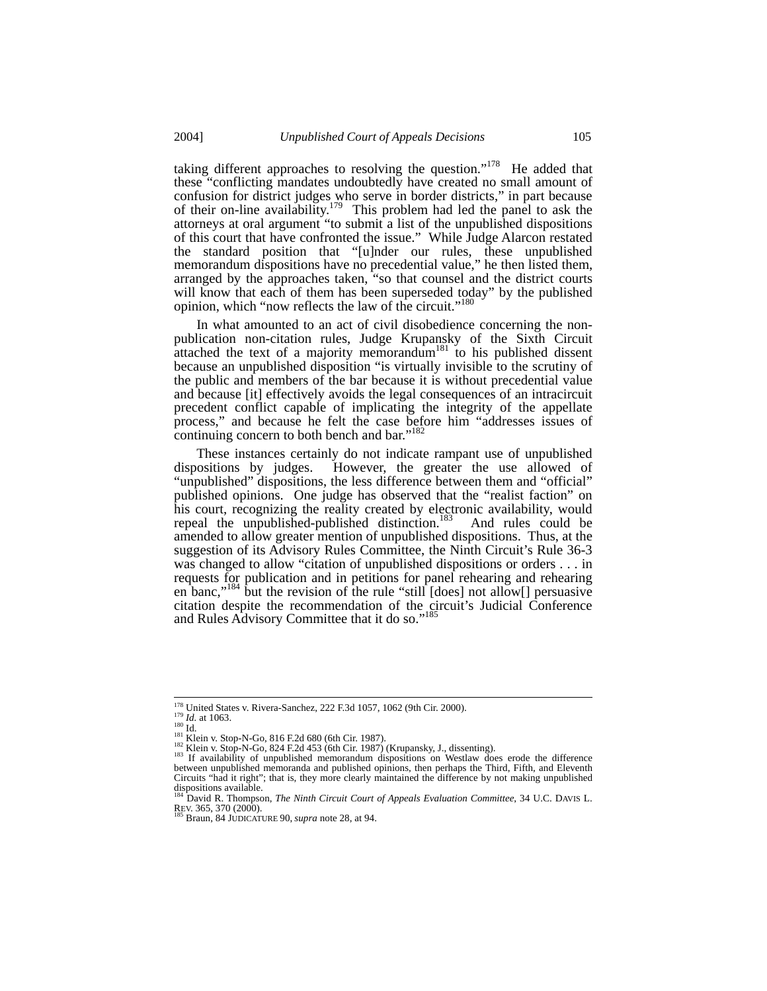taking different approaches to resolving the question."<sup>178</sup> He added that these "conflicting mandates undoubtedly have created no small amount of confusion for district judges who serve in border districts," in part because of their on-line availability.<sup>179</sup> This problem had led the panel to ask the attorneys at oral argument "to submit a list of the unpublished dispositions of this court that have confronted the issue." While Judge Alarcon restated the standard position that "[u]nder our rules, these unpublished memorandum dispositions have no precedential value," he then listed them, arranged by the approaches taken, "so that counsel and the district courts will know that each of them has been superseded today" by the published opinion, which "now reflects the law of the circuit."<sup>180</sup>

In what amounted to an act of civil disobedience concerning the nonpublication non-citation rules, Judge Krupansky of the Sixth Circuit attached the text of a majority memorandum<sup>181</sup> to his published dissent because an unpublished disposition "is virtually invisible to the scrutiny of the public and members of the bar because it is without precedential value and because [it] effectively avoids the legal consequences of an intracircuit precedent conflict capable of implicating the integrity of the appellate process," and because he felt the case before him "addresses issues of continuing concern to both bench and bar."<sup>182</sup>

These instances certainly do not indicate rampant use of unpublished dispositions by judges. However, the greater the use allowed of "unpublished" dispositions, the less difference between them and "official" published opinions. One judge has observed that the "realist faction" on his court, recognizing the reality created by electronic availability, would repeal the unpublished-published distinction.<sup>183</sup> And rules could be repeal the unpublished-published distinction.<sup>183</sup> amended to allow greater mention of unpublished dispositions. Thus, at the suggestion of its Advisory Rules Committee, the Ninth Circuit's Rule 36-3 was changed to allow "citation of unpublished dispositions or orders . . . in requests for publication and in petitions for panel rehearing and rehearing en banc,"184 but the revision of the rule "still [does] not allow[] persuasive citation despite the recommendation of the circuit's Judicial Conference and Rules Advisory Committee that it do so."<sup>185</sup>

<sup>&</sup>lt;sup>178</sup> United States v. Rivera-Sanchez, 222 F.3d 1057, 1062 (9th Cir. 2000).<br><sup>179</sup> *Id.* at 1063.<br><sup>180</sup> Id.<br><sup>181</sup> Klein v. Stop-N-Go, 816 F.2d 680 (6th Cir. 1987).<br><sup>181</sup> Klein v. Stop-N-Go, 824 F.2d 453 (6th Cir. 1987) (Kr between unpublished memoranda and published opinions, then perhaps the Third, Fifth, and Eleventh Circuits "had it right"; that is, they more clearly maintained the difference by not making unpublished dispositions available.<br><sup>184</sup> David R. Thompson, *The Ninth Circuit Court of Appeals Evaluation Committee*, 34 U.C. DAVIS L.

REV. 365, 370 (2000). 185 Braun, 84 JUDICATURE 90, *supra* note 28, at 94.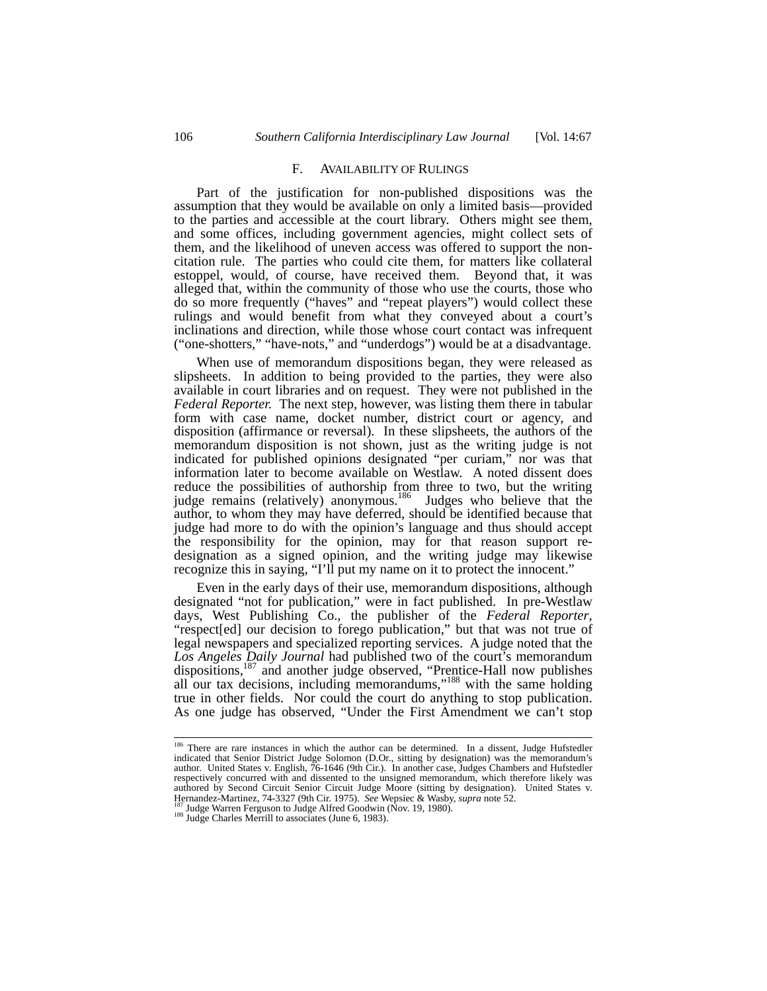#### F. AVAILABILITY OF RULINGS

Part of the justification for non-published dispositions was the assumption that they would be available on only a limited basis—provided to the parties and accessible at the court library. Others might see them, and some offices, including government agencies, might collect sets of them, and the likelihood of uneven access was offered to support the noncitation rule. The parties who could cite them, for matters like collateral estoppel, would, of course, have received them. Beyond that, it was alleged that, within the community of those who use the courts, those who do so more frequently ("haves" and "repeat players") would collect these rulings and would benefit from what they conveyed about a court's inclinations and direction, while those whose court contact was infrequent ("one-shotters," "have-nots," and "underdogs") would be at a disadvantage.

When use of memorandum dispositions began, they were released as slipsheets. In addition to being provided to the parties, they were also available in court libraries and on request. They were not published in the *Federal Reporter.* The next step, however, was listing them there in tabular form with case name, docket number, district court or agency, and disposition (affirmance or reversal). In these slipsheets, the authors of the memorandum disposition is not shown, just as the writing judge is not indicated for published opinions designated "per curiam," nor was that information later to become available on Westlaw. A noted dissent does reduce the possibilities of authorship from three to two, but the writing judge remains (relatively) anonymous.<sup>186</sup> Judges who believe that the author, to whom they may have deferred, should be identified because that judge had more to do with the opinion's language and thus should accept the responsibility for the opinion, may for that reason support redesignation as a signed opinion, and the writing judge may likewise recognize this in saying, "I'll put my name on it to protect the innocent."

Even in the early days of their use, memorandum dispositions, although designated "not for publication," were in fact published. In pre-Westlaw days, West Publishing Co., the publisher of the *Federal Reporter*, "respect[ed] our decision to forego publication," but that was not true of legal newspapers and specialized reporting services. A judge noted that the *Los Angeles Daily Journal* had published two of the court's memorandum dispositions,<sup>187</sup> and another judge observed, "Prentice-Hall now publishes all our tax decisions, including memorandums,"<sup>188</sup> with the same holding true in other fields. Nor could the court do anything to stop publication. As one judge has observed, "Under the First Amendment we can't stop

<sup>&</sup>lt;sup>186</sup> There are rare instances in which the author can be determined. In a dissent, Judge Hufstedler indicated that Senior District Judge Solomon (D.Or., sitting by designation) was the memorandum's author. United States v. English, 76-1646 (9th Cir.). In another case, Judges Chambers and Hufstedler respectively concurred with and dissented to the unsigned memorandum, which therefore likely was authored by Second Circuit Senior Circuit Judge Moore (sitting by designation). United States v. Hernandez-Martinez, 74-3327 (9th Cir. 1975). *See* Wepsiec & Wasby, *supra* note 52.<br><sup>187</sup> Judge Warren Ferguson to Judge Alfred Goodwin (Nov. 19, 1980). <sup>188</sup> Judge Charles Merrill to associates (June 6, 1983).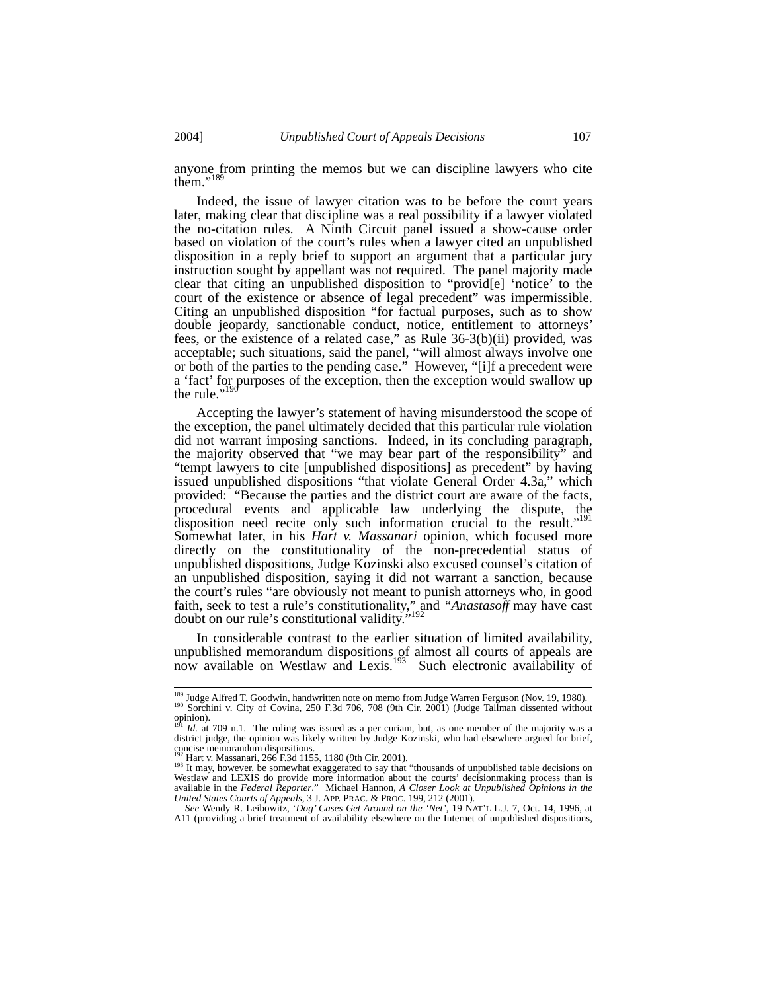anyone from printing the memos but we can discipline lawyers who cite them."<sup>189</sup>

Indeed, the issue of lawyer citation was to be before the court years later, making clear that discipline was a real possibility if a lawyer violated the no-citation rules. A Ninth Circuit panel issued a show-cause order based on violation of the court's rules when a lawyer cited an unpublished disposition in a reply brief to support an argument that a particular jury instruction sought by appellant was not required. The panel majority made clear that citing an unpublished disposition to "provid[e] 'notice' to the court of the existence or absence of legal precedent" was impermissible. Citing an unpublished disposition "for factual purposes, such as to show double jeopardy, sanctionable conduct, notice, entitlement to attorneys' fees, or the existence of a related case," as Rule 36-3(b)(ii) provided, was acceptable; such situations, said the panel, "will almost always involve one or both of the parties to the pending case." However, "[i]f a precedent were a 'fact' for purposes of the exception, then the exception would swallow up the rule." $1\frac{1}{2}$ 

Accepting the lawyer's statement of having misunderstood the scope of the exception, the panel ultimately decided that this particular rule violation did not warrant imposing sanctions. Indeed, in its concluding paragraph, the majority observed that "we may bear part of the responsibility" and "tempt lawyers to cite [unpublished dispositions] as precedent" by having issued unpublished dispositions "that violate General Order 4.3a," which provided: "Because the parties and the district court are aware of the facts, procedural events and applicable law underlying the dispute, the disposition need recite only such information crucial to the result."<sup>191</sup> Somewhat later, in his *Hart v. Massanari* opinion, which focused more directly on the constitutionality of the non-precedential status of unpublished dispositions, Judge Kozinski also excused counsel's citation of an unpublished disposition, saying it did not warrant a sanction, because the court's rules "are obviously not meant to punish attorneys who, in good faith, seek to test a rule's constitutionality," and *"Anastasoff* may have cast doubt on our rule's constitutional validity."<sup>192</sup>

In considerable contrast to the earlier situation of limited availability, unpublished memorandum dispositions of almost all courts of appeals are now available on Westlaw and Lexis.<sup>193</sup> Such electronic availability of

<sup>&</sup>lt;sup>189</sup> Judge Alfred T. Goodwin, handwritten note on memo from Judge Warren Ferguson (Nov. 19, 1980).<br><sup>190</sup> Sorchini v. City of Covina, 250 F.3d 706, 708 (9th Cir. 2001) (Judge Tallman dissented without opinion).<br><sup>191</sup> *Id.* at 709 n.1. The ruling was issued as a per curiam, but, as one member of the majority was a

district judge, the opinion was likely written by Judge Kozinski, who had elsewhere argued for brief, concise memorandum dispositions.<br>
<sup>192</sup> Hart v. Massanari, 266 F.3d 1155, 1180 (9th Cir. 2001).

<sup>&</sup>lt;sup>193</sup> It may, however, be somewhat exaggerated to say that "thousands of unpublished table decisions on Westlaw and LEXIS do provide more information about the courts' decisionmaking process than is available in the *Federal Reporter.*" Michael Hannon, *A Closer Look at Unpublished Opinions in the United States Courts of App* 

*See* Wendy R. Leibowitz, '*Dog' Cases Get Around on the 'Net'*, 19 NAT'L L.J. 7, Oct. 14, 1996, at A11 (providing a brief treatment of availability elsewhere on the Internet of unpublished dispositions,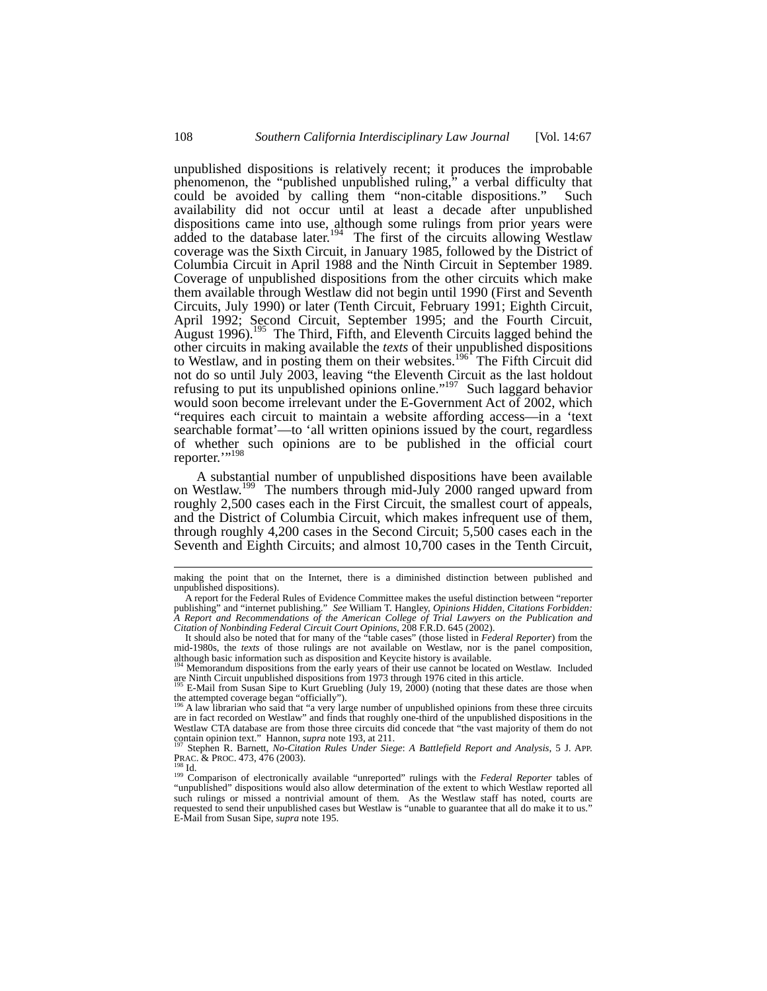unpublished dispositions is relatively recent; it produces the improbable phenomenon, the "published unpublished ruling," a verbal difficulty that could be avoided by calling them "non-citable dispositions." Such availability did not occur until at least a decade after unpublished dispositions came into use, although some rulings from prior years were added to the database later.<sup>194</sup> The first of the circuits allowing Westlaw coverage was the Sixth Circuit, in January 1985, followed by the District of Columbia Circuit in April 1988 and the Ninth Circuit in September 1989. Coverage of unpublished dispositions from the other circuits which make them available through Westlaw did not begin until 1990 (First and Seventh Circuits, July 1990) or later (Tenth Circuit, February 1991; Eighth Circuit, April 1992; Second Circuit, September 1995; and the Fourth Circuit, August 1996).<sup>195</sup> The Third, Fifth, and Eleventh Circuits lagged behind the other circuits in making available the *texts* of their unpublished dispositions to Westlaw, and in posting them on their websites.<sup>196</sup> The Fifth Circuit did not do so until July 2003, leaving "the Eleventh Circuit as the last holdout refusing to put its unpublished opinions online."<sup>197</sup> Such laggard behavior would soon become irrelevant under the E-Government Act of 2002, which "requires each circuit to maintain a website affording access—in a 'text searchable format'—to 'all written opinions issued by the court, regardless of whether such opinions are to be published in the official court reporter."<sup>198</sup>

A substantial number of unpublished dispositions have been available on Westlaw.<sup>199</sup> The numbers through mid-July 2000 ranged upward from roughly 2,500 cases each in the First Circuit, the smallest court of appeals, and the District of Columbia Circuit, which makes infrequent use of them, through roughly 4,200 cases in the Second Circuit; 5,500 cases each in the Seventh and Eighth Circuits; and almost 10,700 cases in the Tenth Circuit,

making the point that on the Internet, there is a diminished distinction between published and unpublished dispositions).

A report for the Federal Rules of Evidence Committee makes the useful distinction between "reporter publishing" and "internet publishing." See William T. Hangley, Opinions Hidden, Citations Forbidden: A Report and Recommen *Citation of Nonbinding Federal Circuit Court Opinions*, 208 F.R.D. 645 (2002). It should also be noted that for many of the "table cases" (those listed in *Federal Reporter*) from the

mid-1980s, the *texts* of those rulings are not available on Westlaw, nor is the panel composition,

although basic information such as disposition and Keycite history is available.<br><sup>194</sup> Memorandum dispositions from the early years of their use cannot be located on Westlaw. Included<br><sup>195</sup> E Meil from the use cannot be l

are Ninth Circuit unpublished dispositions from 1973 through 1976 cited in this article.<br><sup>195</sup> E-Mail from Susan Sipe to Kurt Gruebling (July 19, 2000) (noting that these dates are those when<br>the attempted coverage began "

<sup>&</sup>lt;sup>196</sup> A law librarian who said that "a very large number of unpublished opinions from these three circuits are in fact recorded on Westlaw" and finds that roughly one-third of the unpublished dispositions in the Westlaw CTA database are from those three circuits did concede that "the vast majority of them do not contain opinion text." Hannon, *supra* note 193, at 211.

contain opinion text." Hannon, *supra* note 193, at 211.<br><sup>197</sup> Stephen R. Barnett, *No-Citation Rules Under Siege: A Battlefield Report and Analysis*, 5 J. APP.<br>PRAC. & PROC. 473, 476 (2003).<br><sup>198</sup> Id.<br><sup>199</sup> Comparison of

<sup>&</sup>quot;unpublished" dispositions would also allow determination of the extent to which Westlaw reported all such rulings or missed a nontrivial amount of them. As the Westlaw staff has noted, courts are requested to send their unpublished cases but Westlaw is "unable to guarantee that all do make it to us." E-Mail from Susan Sipe, *supra* note 195.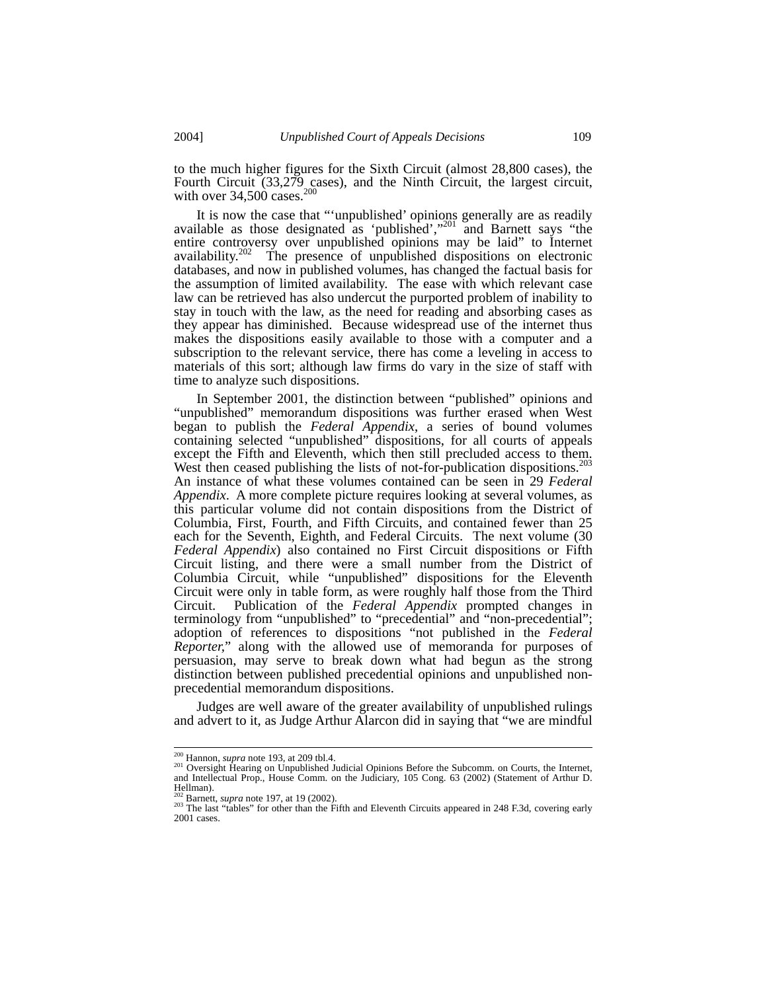to the much higher figures for the Sixth Circuit (almost 28,800 cases), the Fourth Circuit (33,279 cases), and the Ninth Circuit, the largest circuit, with over  $34,500$  cases.<sup>200</sup>

It is now the case that "'unpublished' opinions generally are as readily available as those designated as 'published',"<sup>201</sup> and Barnett says "the entire controversy over unpublished opinions may be laid" to Internet availability.<sup>202</sup> The presence of unpublished dispositions on electronic databases, and now in published volumes, has changed the factual basis for the assumption of limited availability. The ease with which relevant case law can be retrieved has also undercut the purported problem of inability to stay in touch with the law, as the need for reading and absorbing cases as they appear has diminished. Because widespread use of the internet thus makes the dispositions easily available to those with a computer and a subscription to the relevant service, there has come a leveling in access to materials of this sort; although law firms do vary in the size of staff with time to analyze such dispositions.

In September 2001, the distinction between "published" opinions and "unpublished" memorandum dispositions was further erased when West began to publish the *Federal Appendix*, a series of bound volumes containing selected "unpublished" dispositions, for all courts of appeals except the Fifth and Eleventh, which then still precluded access to them. West then ceased publishing the lists of not-for-publication dispositions.<sup>203</sup> An instance of what these volumes contained can be seen in 29 *Federal Appendix*. A more complete picture requires looking at several volumes, as this particular volume did not contain dispositions from the District of Columbia, First, Fourth, and Fifth Circuits, and contained fewer than 25 each for the Seventh, Eighth, and Federal Circuits. The next volume (30 *Federal Appendix*) also contained no First Circuit dispositions or Fifth Circuit listing, and there were a small number from the District of Columbia Circuit, while "unpublished" dispositions for the Eleventh Circuit were only in table form, as were roughly half those from the Third Circuit. Publication of the *Federal Appendix* prompted changes in terminology from "unpublished" to "precedential" and "non-precedential"; adoption of references to dispositions "not published in the *Federal Reporter,*" along with the allowed use of memoranda for purposes of persuasion, may serve to break down what had begun as the strong distinction between published precedential opinions and unpublished nonprecedential memorandum dispositions.

Judges are well aware of the greater availability of unpublished rulings and advert to it, as Judge Arthur Alarcon did in saying that "we are mindful

<sup>&</sup>lt;sup>200</sup> Hannon, *supra* note 193, at 209 tbl.4.<br><sup>201</sup> Oversight Hearing on Unpublished Judicial Opinions Before the Subcomm. on Courts, the Internet, and Intellectual Prop., House Comm. on the Judiciary, 105 Cong. 63 (2002) (Statement of Arthur D. Hellman).<br> $\frac{202}{202}$  Barnett, *supra* note 197, at 19 (2002).

<sup>&</sup>lt;sup>203</sup> The last "tables" for other than the Fifth and Eleventh Circuits appeared in 248 F.3d, covering early 2001 cases.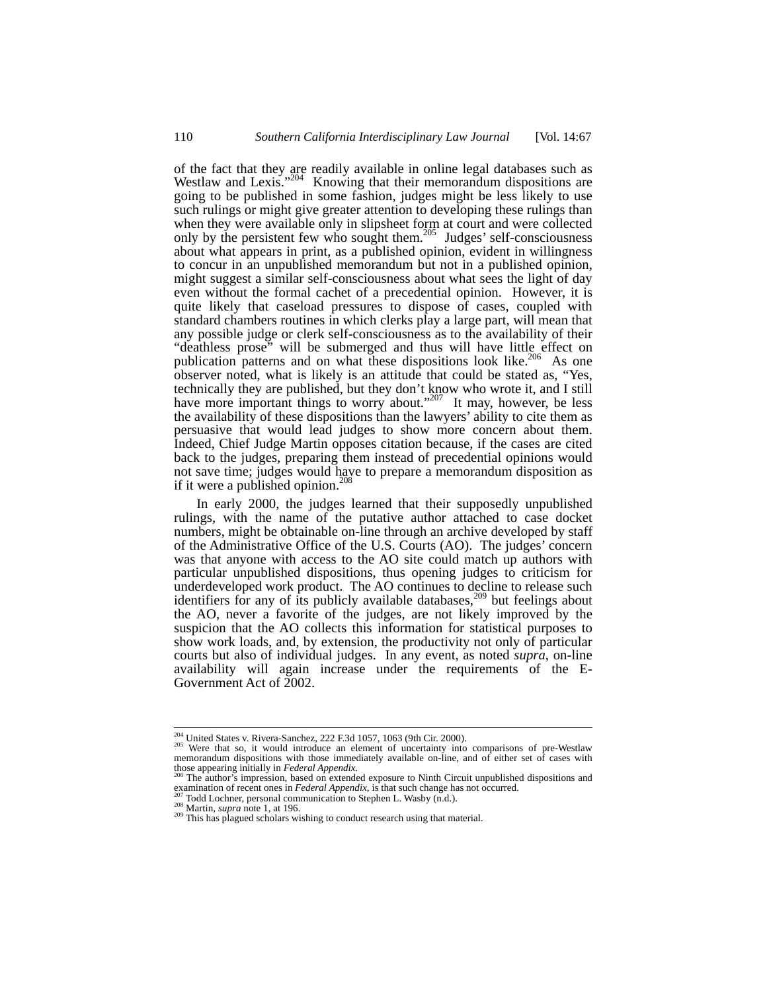of the fact that they are readily available in online legal databases such as Westlaw and Lexis."<sup>204</sup> Knowing that their memorandum dispositions are going to be published in some fashion, judges might be less likely to use such rulings or might give greater attention to developing these rulings than when they were available only in slipsheet form at court and were collected only by the persistent few who sought them.<sup>205</sup> Judges' self-consciousness about what appears in print, as a published opinion, evident in willingness to concur in an unpublished memorandum but not in a published opinion, might suggest a similar self-consciousness about what sees the light of day even without the formal cachet of a precedential opinion. However, it is quite likely that caseload pressures to dispose of cases, coupled with standard chambers routines in which clerks play a large part, will mean that any possible judge or clerk self-consciousness as to the availability of their "deathless prose" will be submerged and thus will have little effect on publication patterns and on what these dispositions look like.<sup>206</sup> As one observer noted, what is likely is an attitude that could be stated as, "Yes, technically they are published, but they don't know who wrote it, and I still have more important things to worry about."<sup>207</sup> It may, however, be less the availability of these dispositions than the lawyers' ability to cite them as persuasive that would lead judges to show more concern about them. Indeed, Chief Judge Martin opposes citation because, if the cases are cited back to the judges, preparing them instead of precedential opinions would not save time; judges would have to prepare a memorandum disposition as if it were a published opinion.<sup>208</sup>

In early 2000, the judges learned that their supposedly unpublished rulings, with the name of the putative author attached to case docket numbers, might be obtainable on-line through an archive developed by staff of the Administrative Office of the U.S. Courts (AO). The judges' concern was that anyone with access to the AO site could match up authors with particular unpublished dispositions, thus opening judges to criticism for underdeveloped work product. The AO continues to decline to release such identifiers for any of its publicly available databases,  $209$  but feelings about the AO, never a favorite of the judges, are not likely improved by the suspicion that the AO collects this information for statistical purposes to show work loads, and, by extension, the productivity not only of particular courts but also of individual judges. In any event, as noted *supra*, on-line availability will again increase under the requirements of the E-Government Act of 2002.

<sup>&</sup>lt;sup>204</sup> United States v. Rivera-Sanchez, 222 F.3d 1057, 1063 (9th Cir. 2000).<br><sup>205</sup> Were that so, it would introduce an element of uncertainty into comparisons of pre-Westlaw<br>memorandum dispositions with those immediately av those appearing initially in *Federal Appendix.*<br><sup>206</sup> The author's impression, based on extended exposure to Ninth Circuit unpublished dispositions and

examination of recent ones in *Federal Appendix*, is that such change has not occurred.<br><sup>207</sup> Todd Lochner, personal communication to Stephen L. Wasby (n.d.).<br><sup>208</sup> Martin, *supra* note 1, at 196.<br><sup>209</sup> This has plagued s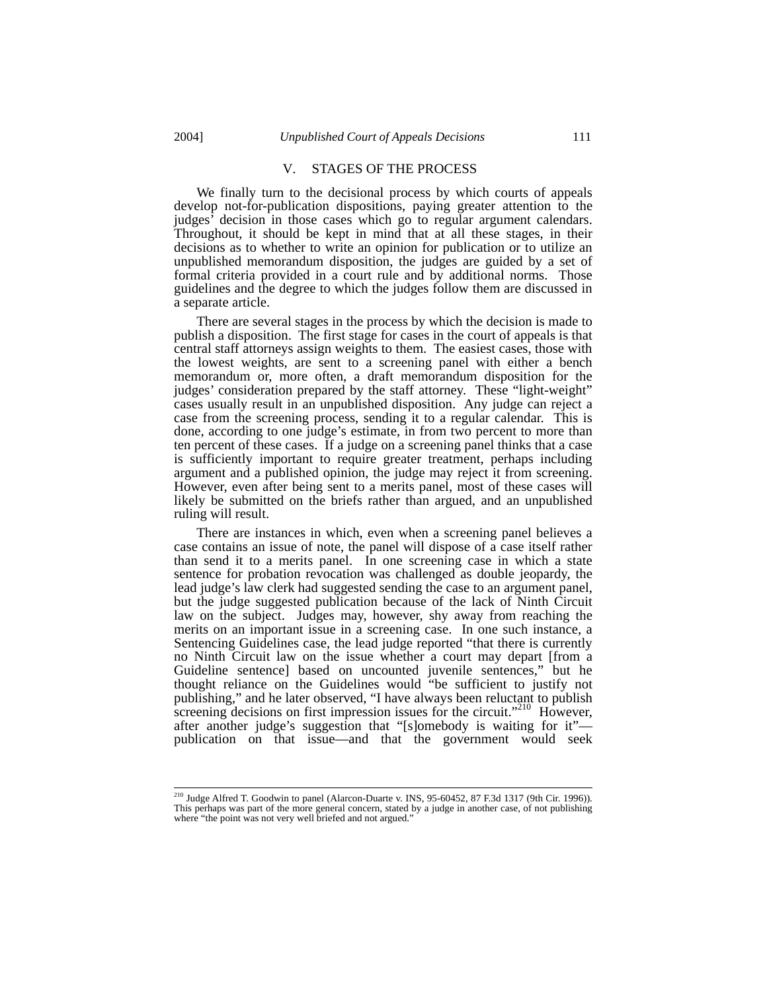## V. STAGES OF THE PROCESS

We finally turn to the decisional process by which courts of appeals develop not-for-publication dispositions, paying greater attention to the judges' decision in those cases which go to regular argument calendars. Throughout, it should be kept in mind that at all these stages, in their decisions as to whether to write an opinion for publication or to utilize an unpublished memorandum disposition, the judges are guided by a set of formal criteria provided in a court rule and by additional norms. Those guidelines and the degree to which the judges follow them are discussed in a separate article.

There are several stages in the process by which the decision is made to publish a disposition. The first stage for cases in the court of appeals is that central staff attorneys assign weights to them. The easiest cases, those with the lowest weights, are sent to a screening panel with either a bench memorandum or, more often, a draft memorandum disposition for the judges' consideration prepared by the staff attorney. These "light-weight" cases usually result in an unpublished disposition. Any judge can reject a case from the screening process, sending it to a regular calendar. This is done, according to one judge's estimate, in from two percent to more than ten percent of these cases. If a judge on a screening panel thinks that a case is sufficiently important to require greater treatment, perhaps including argument and a published opinion, the judge may reject it from screening. However, even after being sent to a merits panel, most of these cases will likely be submitted on the briefs rather than argued, and an unpublished ruling will result.

There are instances in which, even when a screening panel believes a case contains an issue of note, the panel will dispose of a case itself rather than send it to a merits panel. In one screening case in which a state sentence for probation revocation was challenged as double jeopardy, the lead judge's law clerk had suggested sending the case to an argument panel, but the judge suggested publication because of the lack of Ninth Circuit law on the subject. Judges may, however, shy away from reaching the merits on an important issue in a screening case. In one such instance, a Sentencing Guidelines case, the lead judge reported "that there is currently no Ninth Circuit law on the issue whether a court may depart [from a Guideline sentence] based on uncounted juvenile sentences," but he thought reliance on the Guidelines would "be sufficient to justify not publishing," and he later observed, "I have always been reluctant to publish screening decisions on first impression issues for the circuit."<sup>210</sup> However, after another judge's suggestion that "[s]omebody is waiting for it" publication on that issue—and that the government would seek

 <sup>210</sup> Judge Alfred T. Goodwin to panel (Alarcon-Duarte v. INS, 95-60452, 87 F.3d 1317 (9th Cir. 1996)). This perhaps was part of the more general concern, stated by a judge in another case, of not publishing where "the point was not very well briefed and not argued."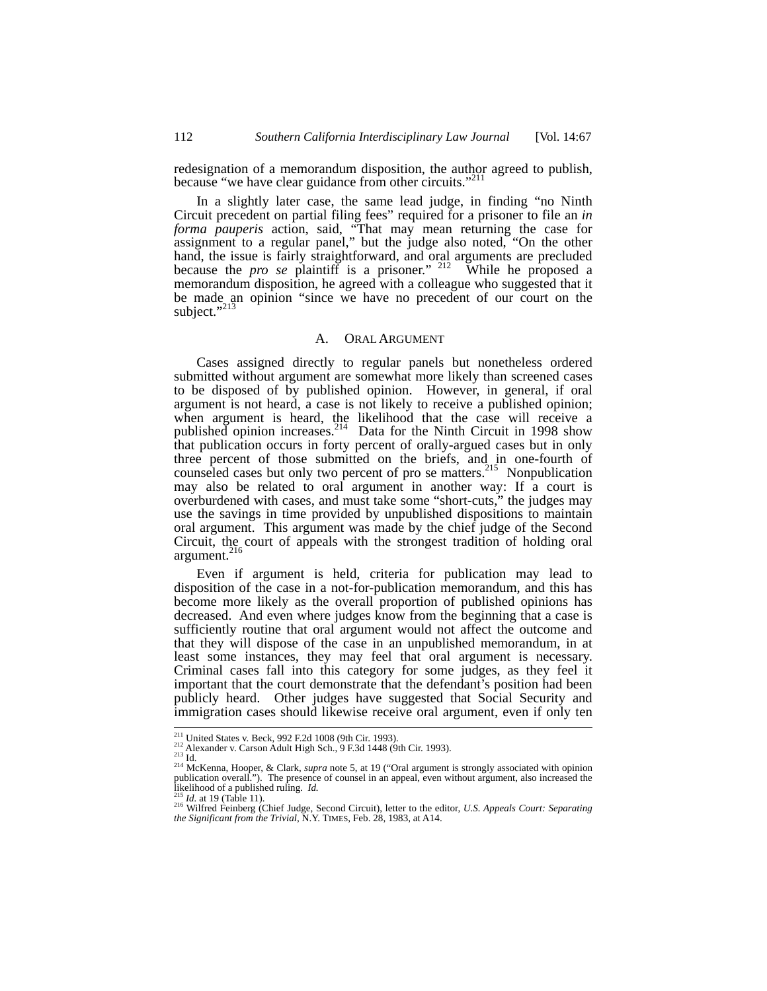redesignation of a memorandum disposition, the author agreed to publish, because "we have clear guidance from other circuits."<sup>211</sup>

In a slightly later case, the same lead judge, in finding "no Ninth Circuit precedent on partial filing fees" required for a prisoner to file an *in forma pauperis* action, said, "That may mean returning the case for assignment to a regular panel," but the judge also noted, "On the other hand, the issue is fairly straightforward, and oral arguments are precluded because the *pro se* plaintiff is a prisoner." <sup>212</sup> While he proposed a memorandum disposition, he agreed with a colleague who suggested that it be made an opinion "since we have no precedent of our court on the subject." $^{213}$ 

#### A. ORAL ARGUMENT

Cases assigned directly to regular panels but nonetheless ordered submitted without argument are somewhat more likely than screened cases to be disposed of by published opinion. However, in general, if oral argument is not heard, a case is not likely to receive a published opinion; when argument is heard, the likelihood that the case will receive a published opinion increases.<sup>214</sup> Data for the Ninth Circuit in 1998 show that publication occurs in forty percent of orally-argued cases but in only three percent of those submitted on the briefs, and in one-fourth of counseled cases but only two percent of pro se matters.<sup>215</sup> Nonpublication may also be related to oral argument in another way: If a court is overburdened with cases, and must take some "short-cuts," the judges may use the savings in time provided by unpublished dispositions to maintain oral argument. This argument was made by the chief judge of the Second Circuit, the court of appeals with the strongest tradition of holding oral argument. $^{216}$ 

Even if argument is held, criteria for publication may lead to disposition of the case in a not-for-publication memorandum, and this has become more likely as the overall proportion of published opinions has decreased. And even where judges know from the beginning that a case is sufficiently routine that oral argument would not affect the outcome and that they will dispose of the case in an unpublished memorandum, in at least some instances, they may feel that oral argument is necessary. Criminal cases fall into this category for some judges, as they feel it important that the court demonstrate that the defendant's position had been publicly heard. Other judges have suggested that Social Security and immigration cases should likewise receive oral argument, even if only ten

<sup>&</sup>lt;sup>211</sup> United States v. Beck, 992 F.2d 1008 (9th Cir. 1993).<br><sup>212</sup> Alexander v. Carson Adult High Sch., 9 F.3d 1448 (9th Cir. 1993).<br><sup>213</sup> Id.<br><sup>214</sup> McKenna, Hooper, & Clark, *supra* note 5, at 19 ("Oral argument is strong publication overall."). The presence of counsel in an appeal, even without argument, also increased the

Iikelihood of a published ruling. *Id.*<br><sup>215</sup> *Id.* at 19 (Table 11).<br><sup>216</sup> Wilfred Feinberg (Chief Judge, Second Circuit), letter to the editor, *U.S. Appeals Court: Separating*<br>*the Significant from the Trivial*, N.Y. TI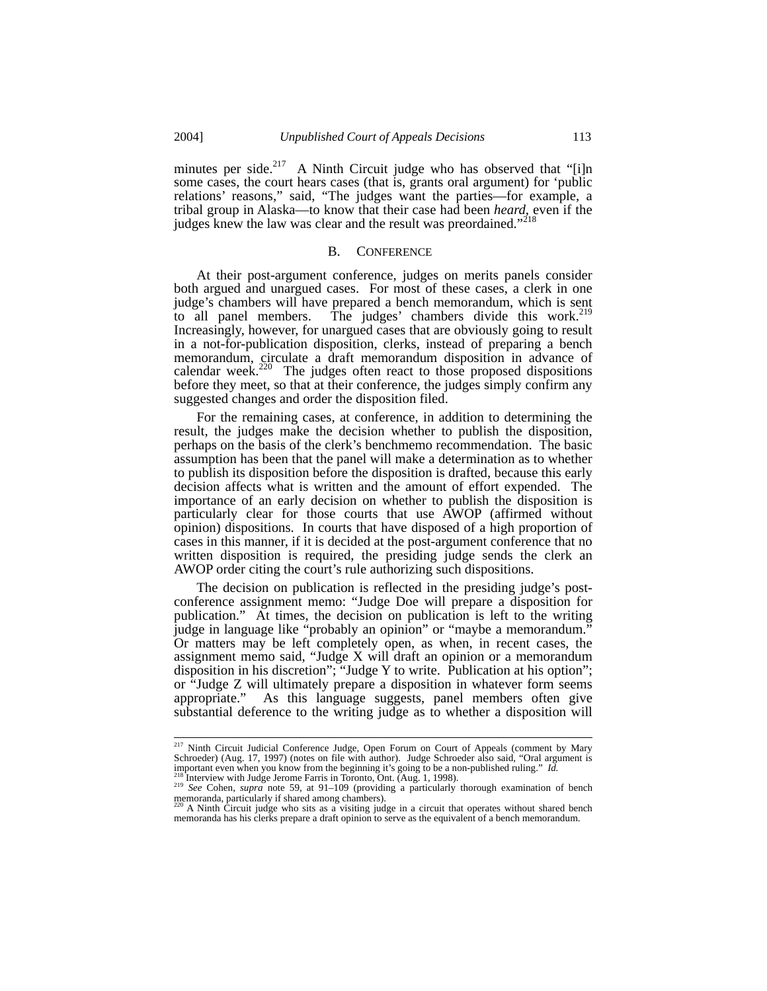minutes per side.<sup>217</sup> A Ninth Circuit judge who has observed that "[i]n some cases, the court hears cases (that is, grants oral argument) for 'public relations' reasons," said, "The judges want the parties—for example, a tribal group in Alaska—to know that their case had been *heard*, even if the judges knew the law was clear and the result was preordained."<sup>218</sup>

#### B. CONFERENCE

At their post-argument conference, judges on merits panels consider both argued and unargued cases. For most of these cases, a clerk in one judge's chambers will have prepared a bench memorandum, which is sent to all panel members. The judges' chambers divide this work.<sup>219</sup> Increasingly, however, for unargued cases that are obviously going to result in a not-for-publication disposition, clerks, instead of preparing a bench memorandum, circulate a draft memorandum disposition in advance of calendar week. $220$  The judges often react to those proposed dispositions before they meet, so that at their conference, the judges simply confirm any suggested changes and order the disposition filed.

For the remaining cases, at conference, in addition to determining the result, the judges make the decision whether to publish the disposition, perhaps on the basis of the clerk's benchmemo recommendation. The basic assumption has been that the panel will make a determination as to whether to publish its disposition before the disposition is drafted, because this early decision affects what is written and the amount of effort expended. The importance of an early decision on whether to publish the disposition is particularly clear for those courts that use AWOP (affirmed without opinion) dispositions. In courts that have disposed of a high proportion of cases in this manner, if it is decided at the post-argument conference that no written disposition is required, the presiding judge sends the clerk an AWOP order citing the court's rule authorizing such dispositions.

The decision on publication is reflected in the presiding judge's postconference assignment memo: "Judge Doe will prepare a disposition for publication." At times, the decision on publication is left to the writing judge in language like "probably an opinion" or "maybe a memorandum." Or matters may be left completely open, as when, in recent cases, the assignment memo said, "Judge X will draft an opinion or a memorandum disposition in his discretion"; "Judge Y to write. Publication at his option"; or "Judge Z will ultimately prepare a disposition in whatever form seems appropriate." As this language suggests, panel members often give substantial deference to the writing judge as to whether a disposition will

ender 217 Ninth Circuit Judicial Conference Judge, Open Forum on Court of Appeals (comment by Mary Schroeder) (Aug. 17, 1997) (notes on file with author). Judge Schroeder also said, "Oral argument is important even when you know from the beginning it's going to be a non-published ruling." Id.<br>
<sup>218</sup> Interview with Judge Jerome Farris in Toronto, Ont. (Aug. 1, 1998).<br>
<sup>219</sup> See Cohen, *supra* note 59, at 91–109 (provid

memoranda, particularly if shared among chambers).

A Ninth Circuit judge who sits as a visiting judge in a circuit that operates without shared bench memoranda has his clerks prepare a draft opinion to serve as the equivalent of a bench memorandum.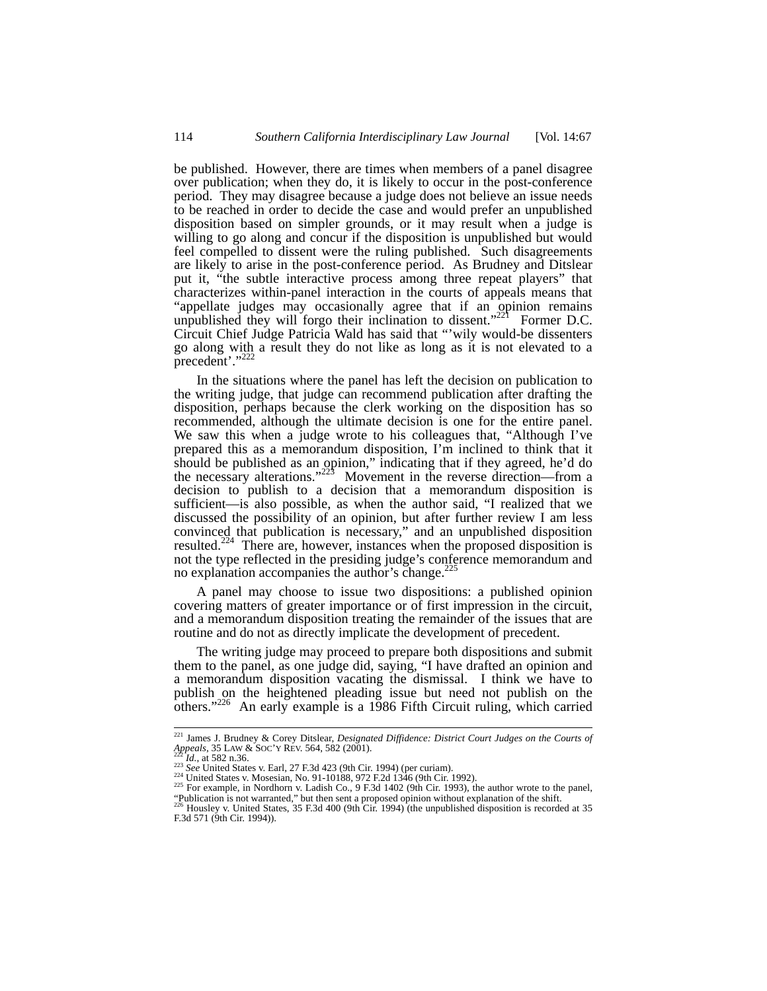be published. However, there are times when members of a panel disagree over publication; when they do, it is likely to occur in the post-conference period. They may disagree because a judge does not believe an issue needs to be reached in order to decide the case and would prefer an unpublished disposition based on simpler grounds, or it may result when a judge is willing to go along and concur if the disposition is unpublished but would feel compelled to dissent were the ruling published. Such disagreements are likely to arise in the post-conference period. As Brudney and Ditslear put it, "the subtle interactive process among three repeat players" that characterizes within-panel interaction in the courts of appeals means that "appellate judges may occasionally agree that if an opinion remains unpublished they will forgo their inclination to dissent."<sup>221</sup> Former D.C. Circuit Chief Judge Patricia Wald has said that "'wily would-be dissenters go along with a result they do not like as long as it is not elevated to a precedent'."222

In the situations where the panel has left the decision on publication to the writing judge, that judge can recommend publication after drafting the disposition, perhaps because the clerk working on the disposition has so recommended, although the ultimate decision is one for the entire panel. We saw this when a judge wrote to his colleagues that, "Although I've prepared this as a memorandum disposition, I'm inclined to think that it should be published as an opinion," indicating that if they agreed, he'd do the necessary alterations." $225$  Movement in the reverse direction—from a decision to publish to a decision that a memorandum disposition is sufficient—is also possible, as when the author said, "I realized that we discussed the possibility of an opinion, but after further review I am less convinced that publication is necessary," and an unpublished disposition resulted.224 There are, however, instances when the proposed disposition is not the type reflected in the presiding judge's conference memorandum and no explanation accompanies the author's change. $^{225}$ 

A panel may choose to issue two dispositions: a published opinion covering matters of greater importance or of first impression in the circuit, and a memorandum disposition treating the remainder of the issues that are routine and do not as directly implicate the development of precedent.

The writing judge may proceed to prepare both dispositions and submit them to the panel, as one judge did, saying, "I have drafted an opinion and a memorandum disposition vacating the dismissal. I think we have to publish on the heightened pleading issue but need not publish on the others."<sup>226</sup> An early example is a 1986 Fifth Circuit ruling, which carried

<sup>&</sup>lt;sup>221</sup> James J. Brudney & Corey Ditslear, *Designated Diffidence: District Court Judges on the Courts of Appeals*, 35 LAW & SOC'Y REV. 564, 582 (2001). Appeals, 35 LAW & SOC'Y REV. 564, 582 (2001).<br><sup>223</sup> Id., at 582 n.36.<br><sup>223</sup> See United States v. Earl, 27 F.3d 423 (9th Cir. 1994) (per curiam).<br><sup>224</sup> United States v. Mosesian, No. 91-10188, 972 F.2d 1346 (9th Cir. 1992).

<sup>&</sup>quot;Publication is not warranted," but then sent a proposed opinion without explanation of the shift.<br><sup>226</sup> Housley v. United States, 35 F.3d 400 (9th Cir. 1994) (the unpublished disposition is recorded at 35

<sup>100</sup> Housley v. United States, 35 F.3d 400 (9th Cir. 1994) (the unpublished disposition is recorded at 35 F.3d 571 (9th Cir. 1994)).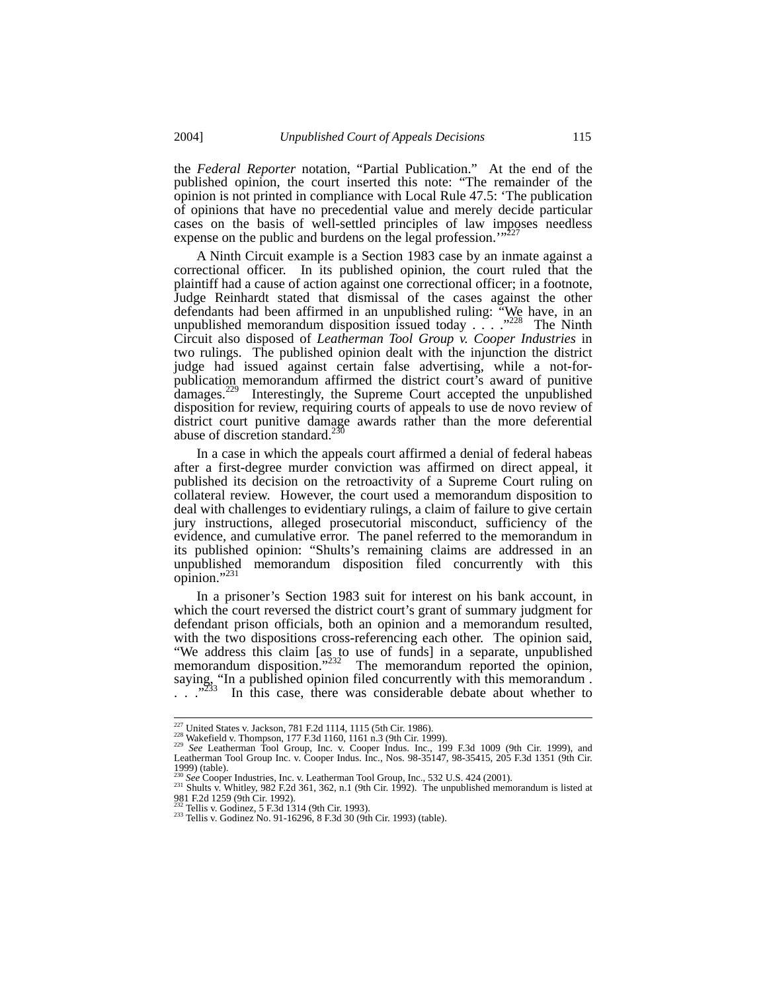the *Federal Reporter* notation, "Partial Publication." At the end of the published opinion, the court inserted this note: "The remainder of the opinion is not printed in compliance with Local Rule 47.5: 'The publication of opinions that have no precedential value and merely decide particular cases on the basis of well-settled principles of law imposes needless expense on the public and burdens on the legal profession."

A Ninth Circuit example is a Section 1983 case by an inmate against a correctional officer. In its published opinion, the court ruled that the plaintiff had a cause of action against one correctional officer; in a footnote, Judge Reinhardt stated that dismissal of the cases against the other defendants had been affirmed in an unpublished ruling: "We have, in an unpublished memorandum disposition issued today . . . .  $\cdot$  . . . . The Ninth Circuit also disposed of *Leatherman Tool Group v. Cooper Industries* in two rulings. The published opinion dealt with the injunction the district judge had issued against certain false advertising, while a not-forpublication memorandum affirmed the district court's award of punitive damages.<sup> $229$ </sup> Interestingly, the Supreme Court accepted the unpublished disposition for review, requiring courts of appeals to use de novo review of district court punitive damage awards rather than the more deferential abuse of discretion standard.<sup>230</sup>

In a case in which the appeals court affirmed a denial of federal habeas after a first-degree murder conviction was affirmed on direct appeal, it published its decision on the retroactivity of a Supreme Court ruling on collateral review. However, the court used a memorandum disposition to deal with challenges to evidentiary rulings, a claim of failure to give certain jury instructions, alleged prosecutorial misconduct, sufficiency of the evidence, and cumulative error. The panel referred to the memorandum in its published opinion: "Shults's remaining claims are addressed in an unpublished memorandum disposition filed concurrently with this opinion." $^{23}$ 

In a prisoner's Section 1983 suit for interest on his bank account, in which the court reversed the district court's grant of summary judgment for defendant prison officials, both an opinion and a memorandum resulted, with the two dispositions cross-referencing each other. The opinion said, "We address this claim [as to use of funds] in a separate, unpublished memorandum disposition."<sup>232</sup> The memorandum reported the opinion, saying, "In a published opinion filed concurrently with this memorandum.  $\therefore$   $\frac{1}{233}$  In this case, there was considerable debate about whether to

<sup>&</sup>lt;sup>227</sup> United States v. Jackson, 781 F.2d 1114, 1115 (5th Cir. 1986).<br><sup>228</sup> Wakefield v. Thompson, 177 F.3d 1160, 1161 n.3 (9th Cir. 1999).<br><sup>229</sup> See Leatherman Tool Group, Inc. v. Cooper Indus. Inc., 199 F.3d 1009 (9th Cir 1999) (table).<br> $230 \text{ See Cooper Industries, Inc. v. Leatherman Tool Group, Inc., } 532 \text{ U.S. } 424 \text{ (2001).}$ 

<sup>&</sup>lt;sup>231</sup> Shults v. Whitley, 982 F.2d 361, 362, n.1 (9th Cir. 1992). The unpublished memorandum is listed at 981 F.2d 1259 (9th Cir. 1992).<br><sup>232</sup> Tellis v. Godinez, 5 F.3d 1314 (9th Cir. 1993).

<sup>233</sup> Tellis v. Godinez No. 91-16296, 8 F.3d 30 (9th Cir. 1993) (table).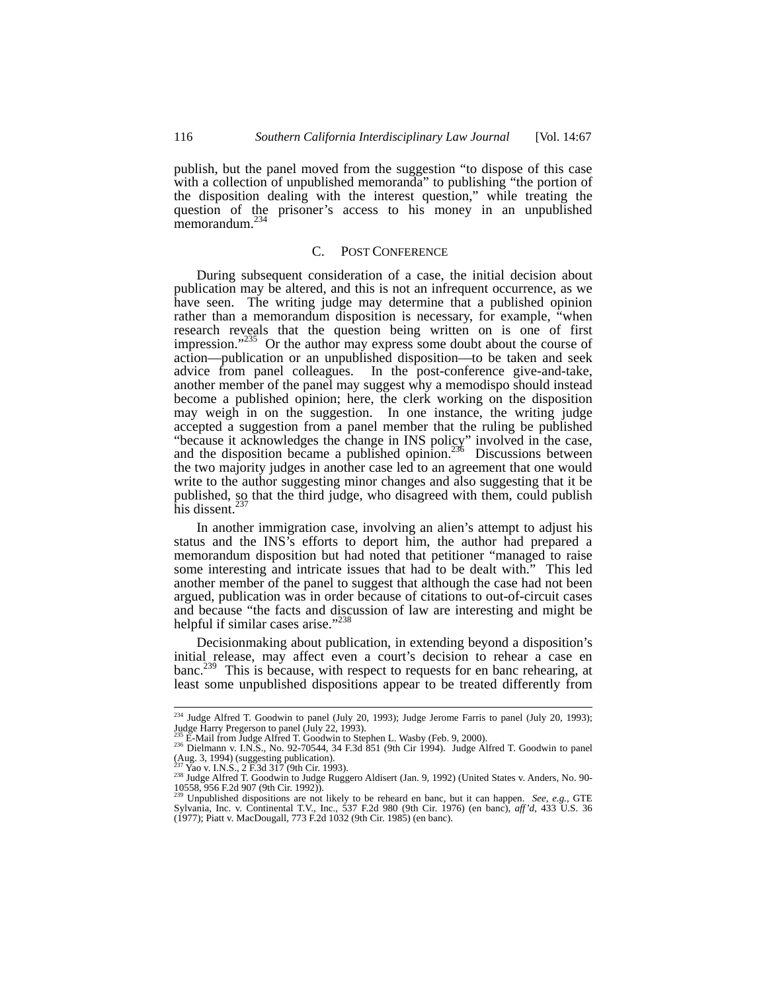publish, but the panel moved from the suggestion "to dispose of this case with a collection of unpublished memoranda" to publishing "the portion of the disposition dealing with the interest question," while treating the question of the prisoner's access to his money in an unpublished memorandum.<sup>234</sup>

#### C. POST CONFERENCE

During subsequent consideration of a case, the initial decision about publication may be altered, and this is not an infrequent occurrence, as we have seen. The writing judge may determine that a published opinion rather than a memorandum disposition is necessary, for example, "when research reveals that the question being written on is one of first impression."<sup>235</sup> Or the author may express some doubt about the course of action—publication or an unpublished disposition—to be taken and seek advice from panel colleagues. In the post-conference give-and-take, another member of the panel may suggest why a memodispo should instead become a published opinion; here, the clerk working on the disposition may weigh in on the suggestion. In one instance, the writing judge accepted a suggestion from a panel member that the ruling be published "because it acknowledges the change in INS policy" involved in the case, and the disposition became a published opinion.<sup>236</sup> Discussions between the two majority judges in another case led to an agreement that one would write to the author suggesting minor changes and also suggesting that it be published, so that the third judge, who disagreed with them, could publish his dissent.<sup>237</sup>

In another immigration case, involving an alien's attempt to adjust his status and the INS's efforts to deport him, the author had prepared a memorandum disposition but had noted that petitioner "managed to raise some interesting and intricate issues that had to be dealt with." This led another member of the panel to suggest that although the case had not been argued, publication was in order because of citations to out-of-circuit cases and because "the facts and discussion of law are interesting and might be helpful if similar cases arise." $^{23}$ 

Decisionmaking about publication, in extending beyond a disposition's initial release, may affect even a court's decision to rehear a case en banc.<sup>239</sup> This is because, with respect to requests for en banc rehearing, at least some unpublished dispositions appear to be treated differently from

<sup>&</sup>lt;sup>234</sup> Judge Alfred T. Goodwin to panel (July 20, 1993); Judge Jerome Farris to panel (July 20, 1993); Judge Harry Pregerson to panel (July 22, 1993).

<sup>235</sup> E-Mail from Judge Alfred T. Goodwin to Stephen L. Wasby (Feb. 9, 2000).<br><sup>236</sup> Dielmann v. I.N.S., No. 92-70544, 34 F.3d 851 (9th Cir 1994). Judge Alfred T. Goodwin to panel (Aug. 3, 1994) (suggesting publication).<br><sup>237</sup> Yao v. I.N.S., 2 F.3d 317 (9th Cir. 1993).

<sup>&</sup>lt;sup>237</sup> Yao v. I.N.S., 2 F.3d 317 (9th Cir. 1993).<br><sup>238</sup> Judge Alfred T. Goodwin to Judge Ruggero Aldisert (Jan. 9, 1992) (United States v. Anders, No. 90-<br>10558, 956 F.2d 907 (9th Cir. 1992)).

<sup>239</sup> Unpublished dispositions are not likely to be reheard en banc, but it can happen. *See, e.g.,* GTE Sylvania, Inc. v. Continental T.V., Inc., 537 F.2d 980 (9th Cir. 1976) (en banc), *aff'd*, 433 U.S. 36 (1977); Piatt v. MacDougall, 773 F.2d 1032 (9th Cir. 1985) (en banc).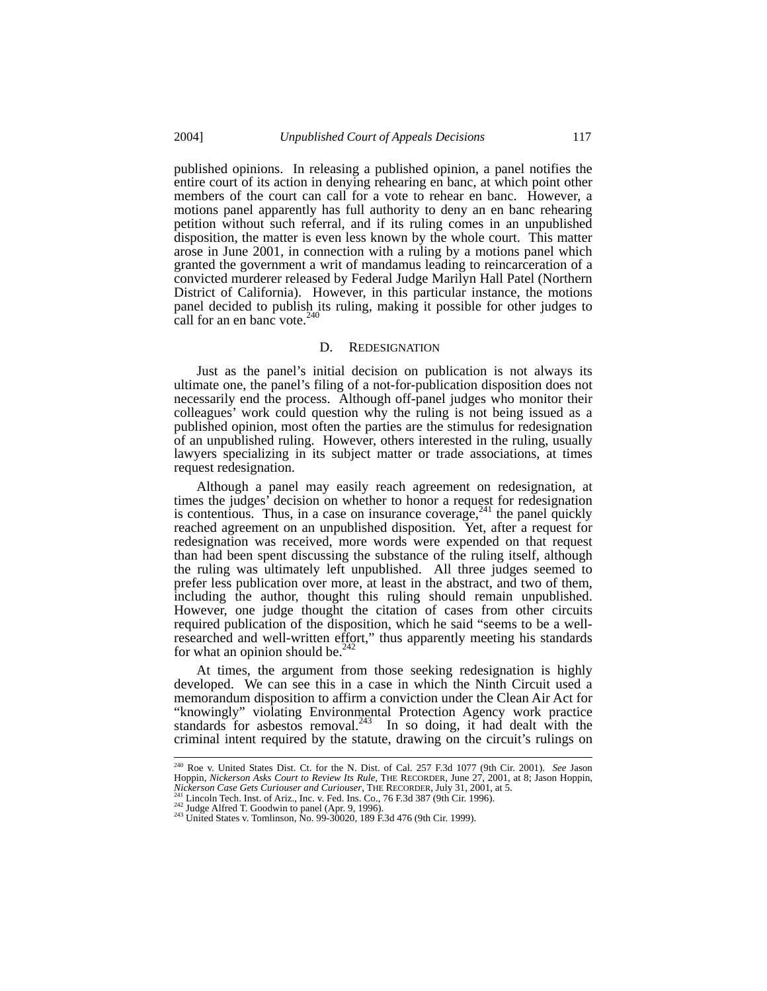published opinions. In releasing a published opinion, a panel notifies the entire court of its action in denying rehearing en banc, at which point other members of the court can call for a vote to rehear en banc. However, a motions panel apparently has full authority to deny an en banc rehearing petition without such referral, and if its ruling comes in an unpublished disposition, the matter is even less known by the whole court. This matter arose in June 2001, in connection with a ruling by a motions panel which granted the government a writ of mandamus leading to reincarceration of a convicted murderer released by Federal Judge Marilyn Hall Patel (Northern District of California). However, in this particular instance, the motions panel decided to publish its ruling, making it possible for other judges to call for an en banc vote. $240$ 

#### D. REDESIGNATION

Just as the panel's initial decision on publication is not always its ultimate one, the panel's filing of a not-for-publication disposition does not necessarily end the process. Although off-panel judges who monitor their colleagues' work could question why the ruling is not being issued as a published opinion, most often the parties are the stimulus for redesignation of an unpublished ruling. However, others interested in the ruling, usually lawyers specializing in its subject matter or trade associations, at times request redesignation.

Although a panel may easily reach agreement on redesignation, at times the judges' decision on whether to honor a request for redesignation is contentious. Thus, in a case on insurance coverage,  $241$  the panel quickly reached agreement on an unpublished disposition. Yet, after a request for redesignation was received, more words were expended on that request than had been spent discussing the substance of the ruling itself, although the ruling was ultimately left unpublished. All three judges seemed to prefer less publication over more, at least in the abstract, and two of them, including the author, thought this ruling should remain unpublished. However, one judge thought the citation of cases from other circuits required publication of the disposition, which he said "seems to be a wellresearched and well-written effort," thus apparently meeting his standards for what an opinion should be. $242$ 

At times, the argument from those seeking redesignation is highly developed. We can see this in a case in which the Ninth Circuit used a memorandum disposition to affirm a conviction under the Clean Air Act for "knowingly" violating Environmental Protection Agency work practice standards for asbestos removal. $243$  In so doing, it had dealt with the criminal intent required by the statute, drawing on the circuit's rulings on

 <sup>240</sup> Roe v. United States Dist. Ct. for the N. Dist. of Cal. 257 F.3d 1077 (9th Cir. 2001). *See* Jason Hoppin, *Nickerson Asks Court to Review Its Rule*, THE RECORDER, June 27, 2001, at 8; Jason Hoppin, *Nickerson Case Gets Curiouser and Curiouser*, THE RECORDER, July 31, 2001, at 5.<br><sup>241</sup> Lincoln Tech. Inst. of Ariz., Inc.

<sup>&</sup>lt;sup>242</sup> Judge Alfred T. Goodwin to panel (Apr. 9, 1996).<br><sup>242</sup> Judge Alfred T. Goodwin to panel (Apr. 9, 1996).<br><sup>243</sup> United States v. Tomlinson, No. 99-30020, 189 F.3d 476 (9th Cir. 1999).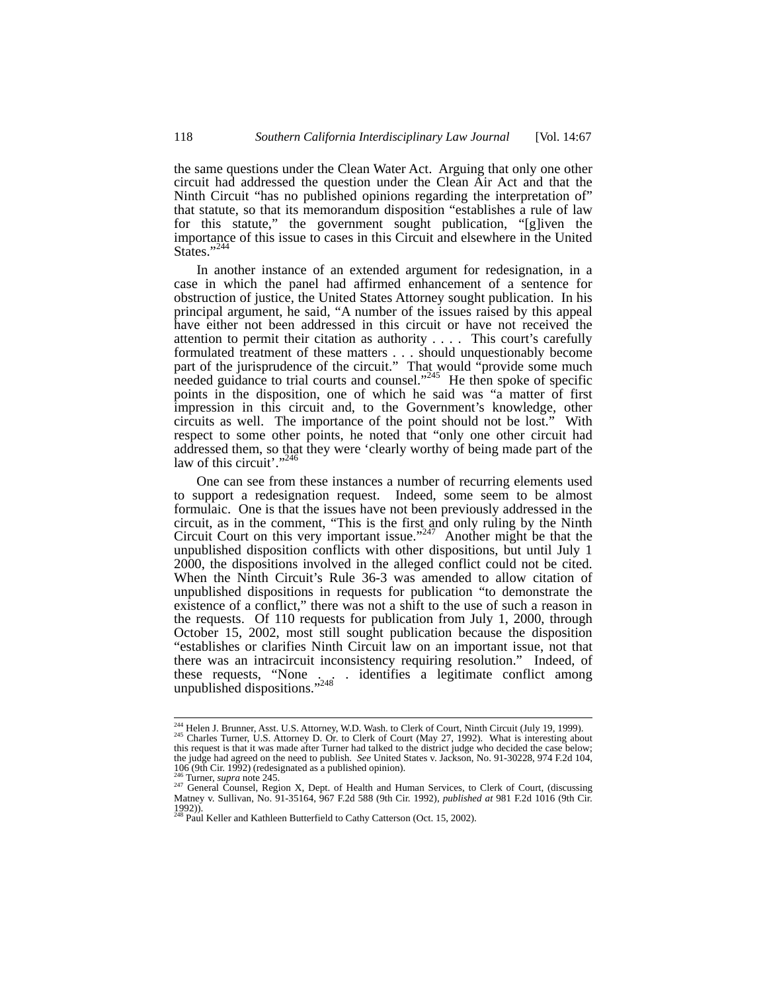the same questions under the Clean Water Act. Arguing that only one other circuit had addressed the question under the Clean Air Act and that the Ninth Circuit "has no published opinions regarding the interpretation of" that statute, so that its memorandum disposition "establishes a rule of law for this statute," the government sought publication, "[g]iven the importance of this issue to cases in this Circuit and elsewhere in the United States."<sup>244</sup>

In another instance of an extended argument for redesignation, in a case in which the panel had affirmed enhancement of a sentence for obstruction of justice, the United States Attorney sought publication. In his principal argument, he said, "A number of the issues raised by this appeal have either not been addressed in this circuit or have not received the attention to permit their citation as authority . . . . This court's carefully formulated treatment of these matters . . . should unquestionably become part of the jurisprudence of the circuit." That would "provide some much needed guidance to trial courts and counsel."<sup>245</sup> He then spoke of specific points in the disposition, one of which he said was "a matter of first impression in this circuit and, to the Government's knowledge, other circuits as well. The importance of the point should not be lost." With respect to some other points, he noted that "only one other circuit had addressed them, so that they were 'clearly worthy of being made part of the law of this circuit'."<sup>246</sup>

One can see from these instances a number of recurring elements used to support a redesignation request. Indeed, some seem to be almost formulaic. One is that the issues have not been previously addressed in the circuit, as in the comment, "This is the first and only ruling by the Ninth Circuit Court on this very important issue."<sup>247</sup> Another might be that the unpublished disposition conflicts with other dispositions, but until July 1 2000, the dispositions involved in the alleged conflict could not be cited. When the Ninth Circuit's Rule 36-3 was amended to allow citation of unpublished dispositions in requests for publication "to demonstrate the existence of a conflict," there was not a shift to the use of such a reason in the requests. Of 110 requests for publication from July 1, 2000, through October 15, 2002, most still sought publication because the disposition "establishes or clarifies Ninth Circuit law on an important issue, not that there was an intracircuit inconsistency requiring resolution." Indeed, of these requests, "None . . . identifies a legitimate conflict among unpublished dispositions."248

<sup>&</sup>lt;sup>244</sup> Helen J. Brunner, Asst. U.S. Attorney, W.D. Wash. to Clerk of Court, Ninth Circuit (July 19, 1999).<br><sup>245</sup> Charles Turner, U.S. Attorney D. Or. to Clerk of Court (May 27, 1992). What is interesting about this request is that it was made after Turner had talked to the district judge who decided the case below; the judge had agreed on the need to publish. *See* United States v. Jackson, No. 91-30228, 974 F.2d 104,

<sup>106 (9</sup>th Cir. 1992) (redesignated as a published opinion).<br><sup>246</sup> Turner, *supra* note 245.<br><sup>247</sup> General Counsel, Region X, Dept. of Health and Human Services, to Clerk of Court, (discussing<br>Matney v. Sullivan, No. 91-3516 1992)).<br><sup>248</sup> Paul Keller and Kathleen Butterfield to Cathy Catterson (Oct. 15, 2002).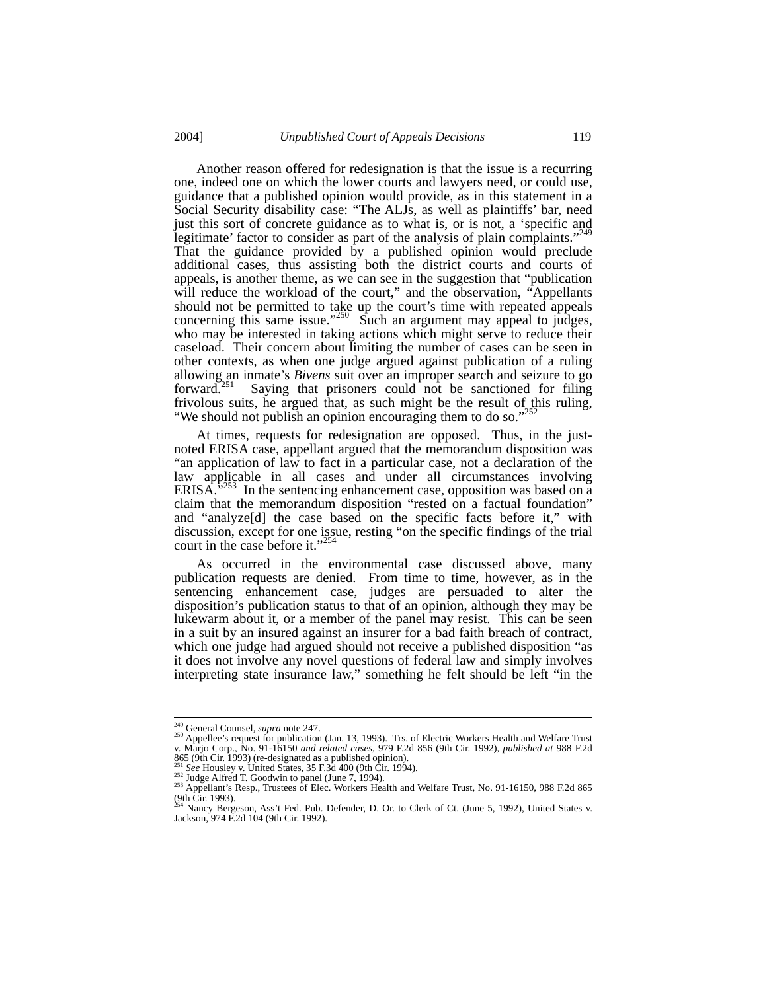Another reason offered for redesignation is that the issue is a recurring one, indeed one on which the lower courts and lawyers need, or could use, guidance that a published opinion would provide, as in this statement in a Social Security disability case: "The ALJs, as well as plaintiffs' bar, need just this sort of concrete guidance as to what is, or is not, a 'specific and legitimate' factor to consider as part of the analysis of plain complaints."<sup>249</sup><br>That the guidance provided by a published opinion would preclude additional cases, thus assisting both the district courts and courts of appeals, is another theme, as we can see in the suggestion that "publication will reduce the workload of the court," and the observation, "Appellants" should not be permitted to take up the court's time with repeated appeals concerning this same issue." $250$  Such an argument may appeal to judges, who may be interested in taking actions which might serve to reduce their caseload. Their concern about limiting the number of cases can be seen in other contexts, as when one judge argued against publication of a ruling allowing an inmate's *Bivens* suit over an improper search and seizure to go<br>forward.<sup>251</sup> Saving that prisoners could not be sanctioned for filing Saying that prisoners could not be sanctioned for filing frivolous suits, he argued that, as such might be the result of this ruling, "We should not publish an opinion encouraging them to do so." $252$ 

At times, requests for redesignation are opposed. Thus, in the justnoted ERISA case, appellant argued that the memorandum disposition was "an application of law to fact in a particular case, not a declaration of the law applicable in all cases and under all circumstances involving ERISA."<sup>253</sup> In the sentencing enhancement case, opposition was based on a claim that the memorandum disposition "rested on a factual foundation" and "analyze[d] the case based on the specific facts before it," with discussion, except for one issue, resting "on the specific findings of the trial court in the case before it."<sup>254</sup>

As occurred in the environmental case discussed above, many publication requests are denied. From time to time, however, as in the sentencing enhancement case, judges are persuaded to alter the disposition's publication status to that of an opinion, although they may be lukewarm about it, or a member of the panel may resist. This can be seen in a suit by an insured against an insurer for a bad faith breach of contract, which one judge had argued should not receive a published disposition "as it does not involve any novel questions of federal law and simply involves interpreting state insurance law," something he felt should be left "in the

<sup>&</sup>lt;sup>249</sup> General Counsel, *supra* note 247.<br><sup>250</sup> Appellee's request for publication (Jan. 13, 1993). Trs. of Electric Workers Health and Welfare Trust v. Marjo Corp., No. 91-16150 *and related cases*, 979 F.2d 856 (9th Cir. 1992), *published at* 988 F.2d 865 (9th Cir. 1993) (re-designated as a published opinion).

<sup>&</sup>lt;sup>251</sup> *See* Housley v. United States, 35 F.3d 400 (9th Cir. 1994).<br><sup>252</sup> Judge Alfred T. Goodwin to panel (June 7, 1994).<br><sup>253</sup> Appellant's Resp., Trustees of Elec. Workers Health and Welfare Trust, No. 91-16150, 988 F.2d  $(9th \tilde{C}$ ir. 1993).

Nancy Bergeson, Ass't Fed. Pub. Defender, D. Or. to Clerk of Ct. (June 5, 1992), United States v. Jackson, 974 F.2d 104 (9th Cir. 1992).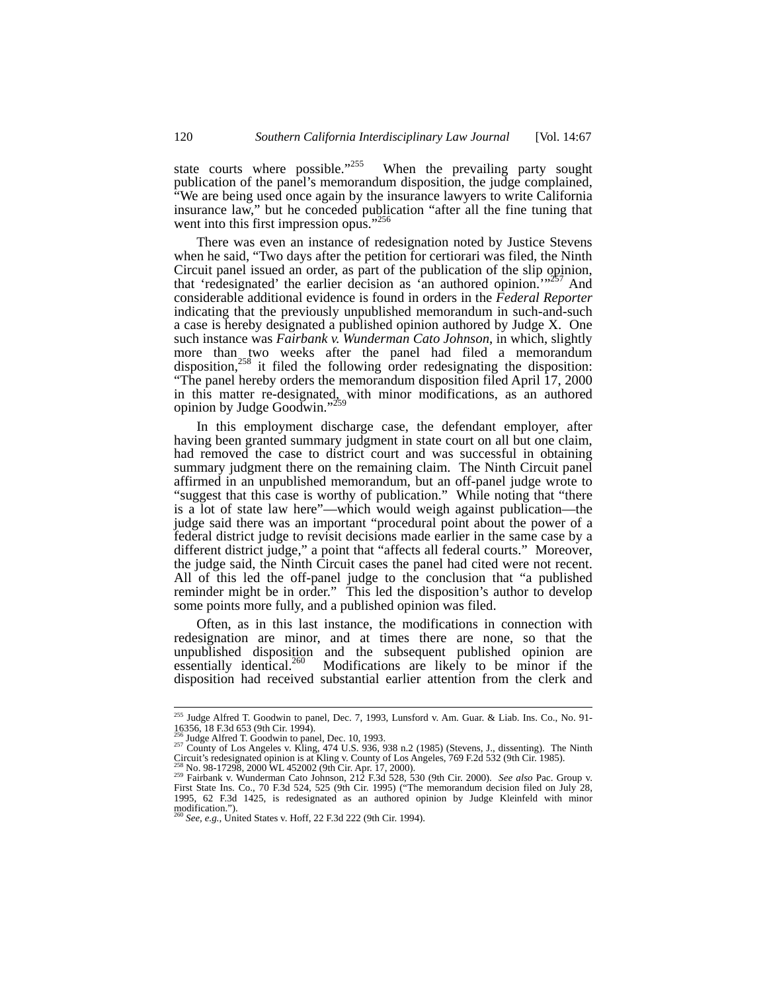state courts where possible."<sup>255</sup> When the prevailing party sought publication of the panel's memorandum disposition, the judge complained, "We are being used once again by the insurance lawyers to write California insurance law," but he conceded publication "after all the fine tuning that went into this first impression opus."<sup>256</sup>

There was even an instance of redesignation noted by Justice Stevens when he said, "Two days after the petition for certiorari was filed, the Ninth Circuit panel issued an order, as part of the publication of the slip opinion, that 'redesignated' the earlier decision as 'an authored opinion.'"257 And considerable additional evidence is found in orders in the *Federal Reporter* indicating that the previously unpublished memorandum in such-and-such a case is hereby designated a published opinion authored by Judge X. One such instance was *Fairbank v. Wunderman Cato Johnson*, in which, slightly more than two weeks after the panel had filed a memorandum disposition,<sup>258</sup> it filed the following order redesignating the disposition: "The panel hereby orders the memorandum disposition filed April 17, 2000 in this matter re-designated, with minor modifications, as an authored opinion by Judge Goodwin."<sup>259</sup>

In this employment discharge case, the defendant employer, after having been granted summary judgment in state court on all but one claim, had removed the case to district court and was successful in obtaining summary judgment there on the remaining claim. The Ninth Circuit panel affirmed in an unpublished memorandum, but an off-panel judge wrote to "suggest that this case is worthy of publication." While noting that "there is a lot of state law here"—which would weigh against publication—the judge said there was an important "procedural point about the power of a federal district judge to revisit decisions made earlier in the same case by a different district judge," a point that "affects all federal courts." Moreover, the judge said, the Ninth Circuit cases the panel had cited were not recent. All of this led the off-panel judge to the conclusion that "a published reminder might be in order." This led the disposition's author to develop some points more fully, and a published opinion was filed.

Often, as in this last instance, the modifications in connection with redesignation are minor, and at times there are none, so that the unpublished disposition and the subsequent published opinion are essentially identical.<sup>260</sup> Modifications are likely to be minor if the disposition had received substantial earlier attention from the clerk and

<sup>&</sup>lt;sup>255</sup> Judge Alfred T. Goodwin to panel, Dec. 7, 1993, Lunsford v. Am. Guar. & Liab. Ins. Co., No. 91-<br>16356, 18 F.3d 653 (9th Cir. 1994).

<sup>&</sup>lt;sup>257</sup> County of Los Angeles v. Kling, 474 U.S. 936, 938 n.2 (1985) (Stevens, J., dissenting). The Ninth Circuit's redesignated opinion is at Kling v. County of Los Angeles, 769 F.2d 532 (9th Cir. 1985). County of 258 Magn

Circuit's redesignated opinion is at Kling v. County of Los Angeles, 769 F.2d 532 (9th Cir. 1985).<br><sup>258</sup> No. 98-17298, 2000 WL 452002 (9th Cir. Apr. 17, 2000).<br><sup>259</sup> Fairbank v. Wunderman Cato Johnson, 212 F.3d 528, 530 (9 1995, 62 F.3d 1425, is redesignated as an authored opinion by Judge Kleinfeld with minor modification."). <sup>260</sup> *See, e.g.,* United States v. Hoff, 22 F.3d 222 (9th Cir. 1994).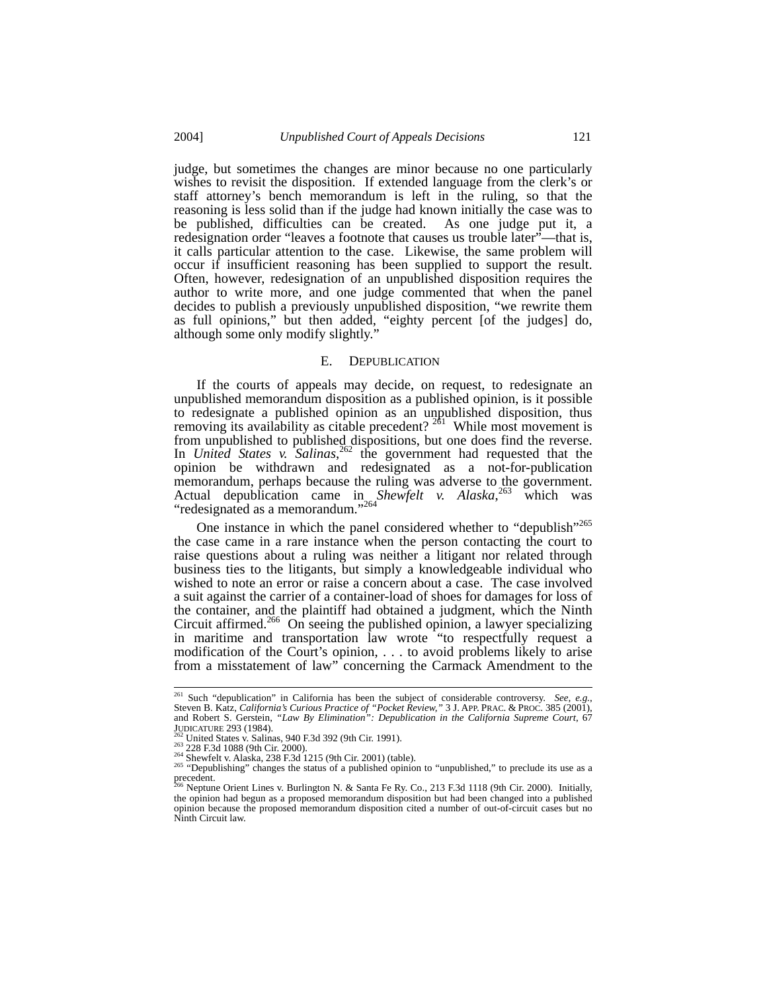judge, but sometimes the changes are minor because no one particularly wishes to revisit the disposition. If extended language from the clerk's or staff attorney's bench memorandum is left in the ruling, so that the reasoning is less solid than if the judge had known initially the case was to be published, difficulties can be created. As one judge put it, a redesignation order "leaves a footnote that causes us trouble later"—that is, it calls particular attention to the case. Likewise, the same problem will occur if insufficient reasoning has been supplied to support the result. Often, however, redesignation of an unpublished disposition requires the author to write more, and one judge commented that when the panel decides to publish a previously unpublished disposition, "we rewrite them as full opinions," but then added, "eighty percent [of the judges] do, although some only modify slightly."

#### E. DEPUBLICATION

If the courts of appeals may decide, on request, to redesignate an unpublished memorandum disposition as a published opinion, is it possible to redesignate a published opinion as an unpublished disposition, thus removing its availability as citable precedent?  $2^{61}$  While most movement is from unpublished to published dispositions, but one does find the reverse. In *United States v.* Salinas,<sup>262</sup> the government had requested that the opinion be withdrawn and redesignated as a not-for-publication memorandum, perhaps because the ruling was adverse to the government. Actual depublication came in *Shewfelt v. Alaska*, 263 which was "redesignated as a memorandum."<sup>264</sup>

One instance in which the panel considered whether to "depublish"<sup>265</sup> the case came in a rare instance when the person contacting the court to raise questions about a ruling was neither a litigant nor related through business ties to the litigants, but simply a knowledgeable individual who wished to note an error or raise a concern about a case. The case involved a suit against the carrier of a container-load of shoes for damages for loss of the container, and the plaintiff had obtained a judgment, which the Ninth Circuit affirmed.<sup>266</sup> On seeing the published opinion, a lawyer specializing in maritime and transportation law wrote "to respectfully request a modification of the Court's opinion, . . . to avoid problems likely to arise from a misstatement of law" concerning the Carmack Amendment to the

<sup>&</sup>lt;sup>261</sup> Such "depublication" in California has been the subject of considerable controversy. *See, e.g.*, Steven B. Katz, *California's Curious Practice of "Pocket Review*," 3 J. APP. PRAC. & PROC. 385 (2001), and Robert S. Gerstein, "Law By Elimination": Depublication in the California Supreme Court, 67 JUDICATURE 293 (1984).<br>
<sup>262</sup> United States v. Salinas, 940 F.3d 392 (9th Cir. 1991).<br>
<sup>262</sup> United States v. Salinas, 940 F.3d 392 (9th Cir. 1991).<br>
<sup>262</sup> 228 F.3d 1088 (9th Cir. 2000).<br>
<sup>264</sup> Shewfelt v. Alaska, 238 F.3d

precedent.<br><sup>266</sup> Neptune Orient Lines v. Burlington N. & Santa Fe Ry. Co., 213 F.3d 1118 (9th Cir. 2000). Initially,

the opinion had begun as a proposed memorandum disposition but had been changed into a published opinion because the proposed memorandum disposition cited a number of out-of-circuit cases but no Ninth Circuit law.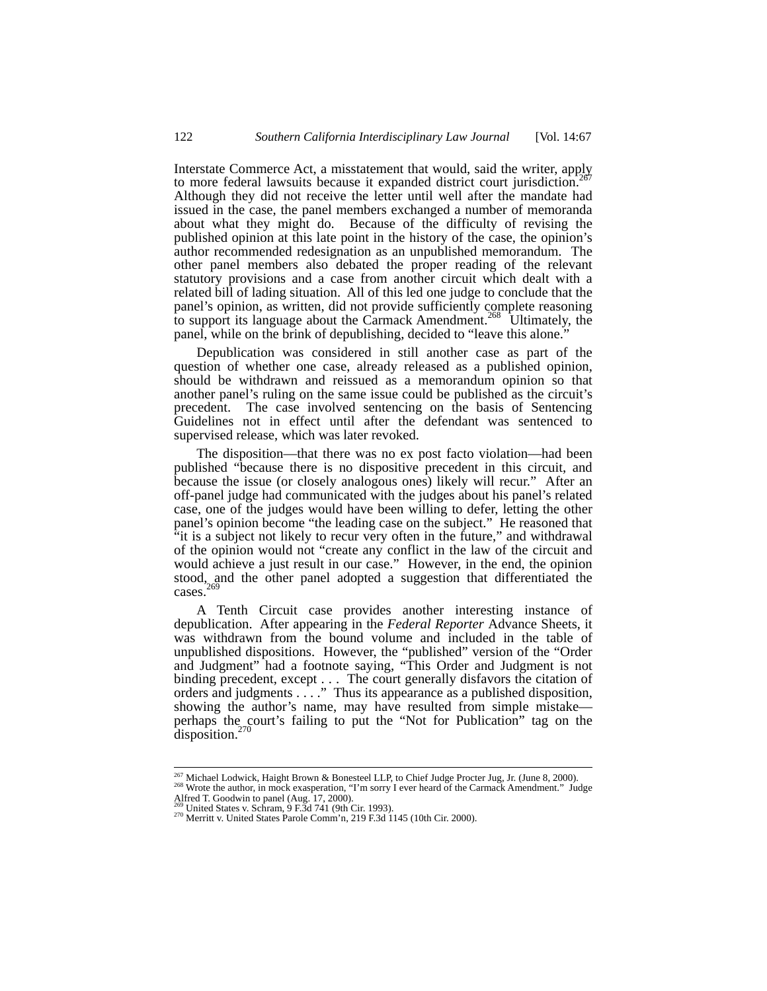Interstate Commerce Act, a misstatement that would, said the writer, apply to more federal lawsuits because it expanded district court jurisdiction.<sup>2</sup> Although they did not receive the letter until well after the mandate had issued in the case, the panel members exchanged a number of memoranda about what they might do. Because of the difficulty of revising the published opinion at this late point in the history of the case, the opinion's author recommended redesignation as an unpublished memorandum. The other panel members also debated the proper reading of the relevant statutory provisions and a case from another circuit which dealt with a related bill of lading situation. All of this led one judge to conclude that the panel's opinion, as written, did not provide sufficiently complete reasoning to support its language about the Carmack Amendment.<sup>268</sup> Ultimately, the panel, while on the brink of depublishing, decided to "leave this alone."

Depublication was considered in still another case as part of the question of whether one case, already released as a published opinion, should be withdrawn and reissued as a memorandum opinion so that another panel's ruling on the same issue could be published as the circuit's precedent. The case involved sentencing on the basis of Sentencing Guidelines not in effect until after the defendant was sentenced to supervised release, which was later revoked.

The disposition—that there was no ex post facto violation—had been published "because there is no dispositive precedent in this circuit, and because the issue (or closely analogous ones) likely will recur." After an off-panel judge had communicated with the judges about his panel's related case, one of the judges would have been willing to defer, letting the other panel's opinion become "the leading case on the subject." He reasoned that "it is a subject not likely to recur very often in the future," and withdrawal of the opinion would not "create any conflict in the law of the circuit and would achieve a just result in our case." However, in the end, the opinion stood, and the other panel adopted a suggestion that differentiated the cases. $26$ 

A Tenth Circuit case provides another interesting instance of depublication. After appearing in the *Federal Reporter* Advance Sheets, it was withdrawn from the bound volume and included in the table of unpublished dispositions. However, the "published" version of the "Order and Judgment" had a footnote saying, "This Order and Judgment is not binding precedent, except . . . The court generally disfavors the citation of orders and judgments . . . . " Thus its appearance as a published disposition, showing the author's name, may have resulted from simple mistake perhaps the court's failing to put the "Not for Publication" tag on the disposition.<sup>270</sup>

<sup>&</sup>lt;sup>267</sup> Michael Lodwick, Haight Brown & Bonesteel LLP, to Chief Judge Procter Jug, Jr. (June 8, 2000).

<sup>&</sup>lt;sup>268</sup> Wrote the author, inagin Browsne Bonessee ELF, to Chief Judge Procter Jug, Jr. (Julie 6, 2000).<br><sup>268</sup> Wrote the author, in mock example in Sorry I ever heard of the Carmack Amendment." Judge<br>Alfred T. Goodwin to pan

 $270$  Merritt v. United States Parole Comm'n, 219 F.3d 1145 (10th Cir. 2000).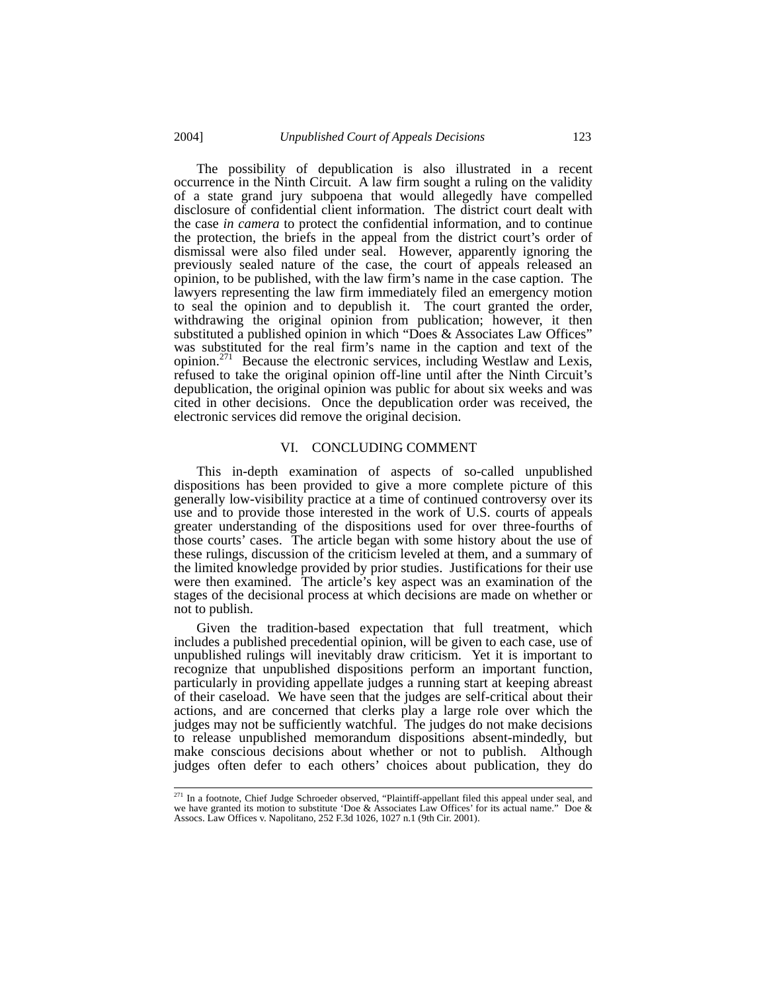The possibility of depublication is also illustrated in a recent occurrence in the Ninth Circuit. A law firm sought a ruling on the validity of a state grand jury subpoena that would allegedly have compelled disclosure of confidential client information. The district court dealt with the case *in camera* to protect the confidential information, and to continue the protection, the briefs in the appeal from the district court's order of dismissal were also filed under seal. However, apparently ignoring the previously sealed nature of the case, the court of appeals released an opinion, to be published, with the law firm's name in the case caption. The lawyers representing the law firm immediately filed an emergency motion to seal the opinion and to depublish it. The court granted the order, withdrawing the original opinion from publication; however, it then substituted a published opinion in which "Does & Associates Law Offices" was substituted for the real firm's name in the caption and text of the opinion.<sup>271</sup> Because the electronic services, including Westlaw and Lexis, refused to take the original opinion off-line until after the Ninth Circuit's depublication, the original opinion was public for about six weeks and was cited in other decisions. Once the depublication order was received, the electronic services did remove the original decision.

## VI. CONCLUDING COMMENT

This in-depth examination of aspects of so-called unpublished dispositions has been provided to give a more complete picture of this generally low-visibility practice at a time of continued controversy over its use and to provide those interested in the work of U.S. courts of appeals greater understanding of the dispositions used for over three-fourths of those courts' cases. The article began with some history about the use of these rulings, discussion of the criticism leveled at them, and a summary of the limited knowledge provided by prior studies. Justifications for their use were then examined. The article's key aspect was an examination of the stages of the decisional process at which decisions are made on whether or not to publish.

Given the tradition-based expectation that full treatment, which includes a published precedential opinion, will be given to each case, use of unpublished rulings will inevitably draw criticism. Yet it is important to recognize that unpublished dispositions perform an important function, particularly in providing appellate judges a running start at keeping abreast of their caseload. We have seen that the judges are self-critical about their actions, and are concerned that clerks play a large role over which the judges may not be sufficiently watchful. The judges do not make decisions to release unpublished memorandum dispositions absent-mindedly, but make conscious decisions about whether or not to publish. Although judges often defer to each others' choices about publication, they do

<sup>&</sup>lt;sup>271</sup> In a footnote, Chief Judge Schroeder observed, "Plaintiff-appellant filed this appeal under seal, and we have granted its motion to substitute 'Doe & Associates Law Offices' for its actual name." Doe & Assocs. Law Offices v. Napolitano, 252 F.3d 1026, 1027 n.1 (9th Cir. 2001).